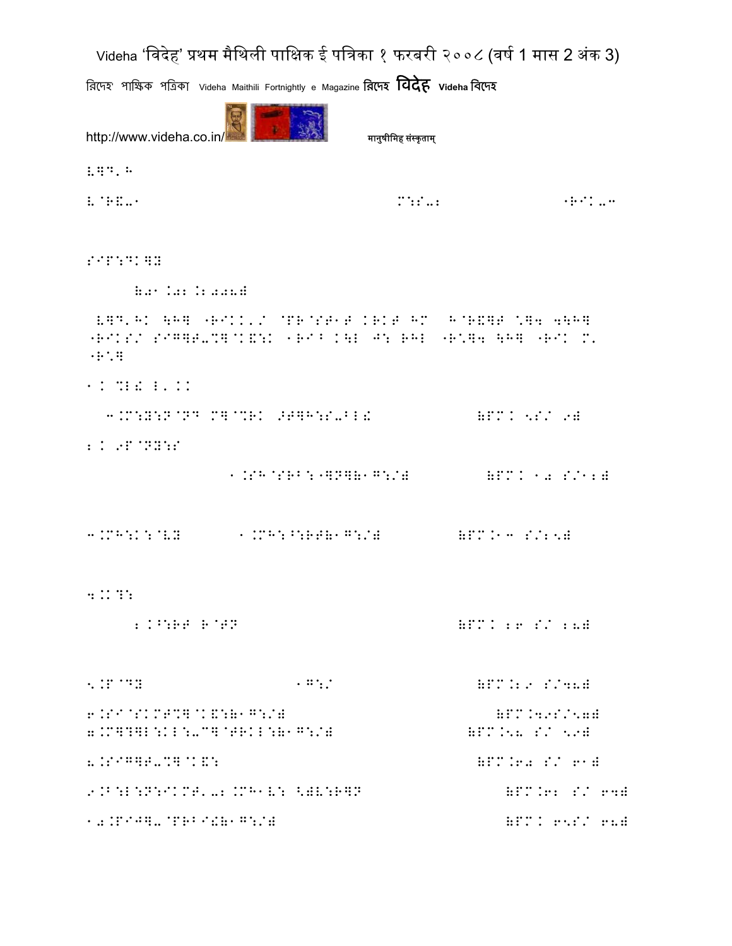|                                         | Videha 'विदेह' प्रथम मैथिली पाक्षिक ई पत्रिका १ फरबरी २००८ (वर्ष 1 मास 2 अंक 3)                                                  |                      |                                                                                                               |
|-----------------------------------------|----------------------------------------------------------------------------------------------------------------------------------|----------------------|---------------------------------------------------------------------------------------------------------------|
|                                         | রিদেহ' পাক্ষিক পত্রিকা Videha Maithili Fortnightly e Magazine <b>রিদেহ যি<math>\overline{\textbf{d}}</math>ন্টে Videha বিদেহ</b> |                      |                                                                                                               |
| http://www.videha.co.in/                |                                                                                                                                  | मानुषीमिह संस्कृताम् |                                                                                                               |
| 197.5                                   |                                                                                                                                  |                      |                                                                                                               |
| $L$ $H$ $H$                             |                                                                                                                                  | T111                 | $\{4441, 44$                                                                                                  |
| <b>PAPARD 82</b>                        |                                                                                                                                  |                      |                                                                                                               |
| har la: li aand                         |                                                                                                                                  |                      |                                                                                                               |
| $\sim 1000$                             | APPLAINARE (BRILLIN TERNIKA IBIANA) ANG BERANGARA<br>HEROED ERMORATORY CONFIDENCIAL AND ERRORENT CONTINUES.                      |                      |                                                                                                               |
| (1 THE 1.11                             |                                                                                                                                  |                      |                                                                                                               |
|                                         | <b>WARD BELLEVILLE MANUFACTURERS</b>                                                                                             |                      | 1999 - 1999 - 1999 - 1999 - 1999 - 1999 - 1999 - 1999 - 1999 - 1999 - 1999 - 1999 - 1999 - 1999 - 1999 - 1999 |
| <b>FILETTEN</b>                         |                                                                                                                                  |                      |                                                                                                               |
|                                         |                                                                                                                                  |                      | <b>ARTICAL COMME</b>                                                                                          |
|                                         |                                                                                                                                  |                      |                                                                                                               |
| 4.1141                                  |                                                                                                                                  |                      |                                                                                                               |
| : :Phe bjep                             |                                                                                                                                  |                      | STILL TEATHER                                                                                                 |
| $\sim$ 100 190 $\pm$                    | $\ldots$                                                                                                                         |                      | BITH find                                                                                                     |
| <b>A CONTROLL CONTROLL AND ADDRESS</b>  |                                                                                                                                  |                      | <b>BITIMACIÓN</b><br>herdan filmen                                                                            |
| <u>. :: : : :: . : : : : : : : : : </u> |                                                                                                                                  |                      | BUTIMA IT PAR                                                                                                 |
|                                         |                                                                                                                                  |                      | BUCH: C'end                                                                                                   |
|                                         |                                                                                                                                  |                      | <b>APPI PART PART</b>                                                                                         |
|                                         |                                                                                                                                  |                      |                                                                                                               |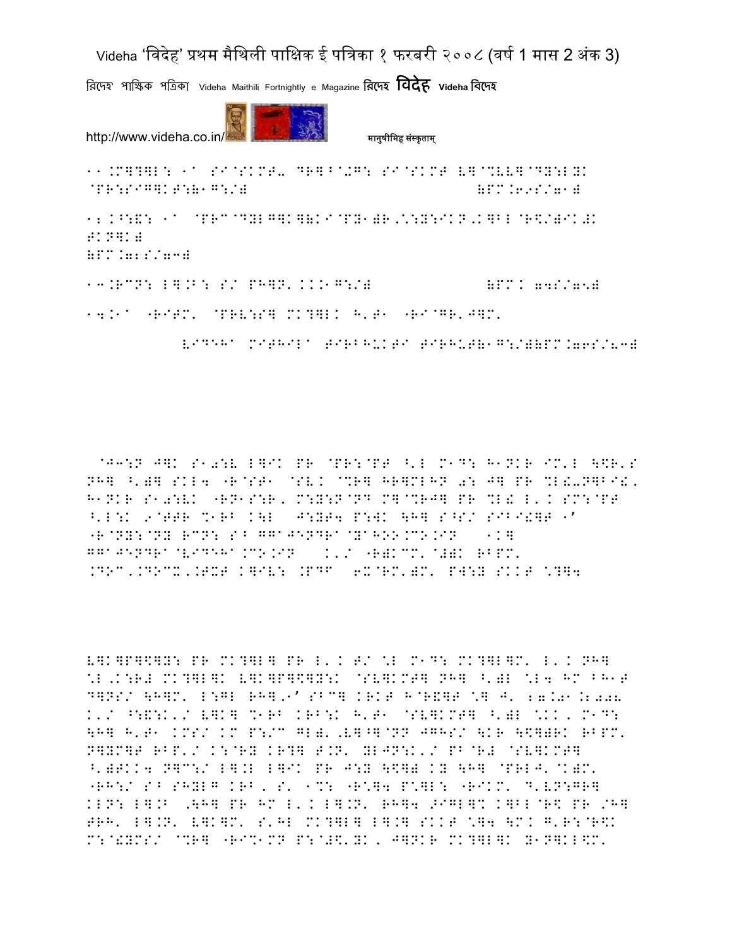| videha 'विदेह' प्रथम मैथिली पाक्षिक ई पत्रिका १ फरबरी २००८ (वर्ष 1 मास 2 अंक 3)                                                                                            |  |  |  |
|----------------------------------------------------------------------------------------------------------------------------------------------------------------------------|--|--|--|
| রিদেহ' পাক্ষিক পত্রিকা Videha Maithili Fortnightly e Magazine <b>রিদেহ যি<math>\overline{c}</math> R</b> ideha বিদেহ                                                       |  |  |  |
| http://www.videha.co.in/<br>मानुषीमिह संस्कृताम्                                                                                                                           |  |  |  |
| 800 to 2010 8                                                                                                                                                              |  |  |  |
| $\sim$ 2008-2008 (SITE) of the MOST PROPERTY (The SITE) of the SITE of the SITE (SITE) and SITE $\sim$ 300 SITE (SITE) of the SITE (SITE) $\sim$<br>9:39:8<br>hr: Infflued |  |  |  |
| <b>++HTT: 19311 :: FRUL ::: "128</b>                                                                                                                                       |  |  |  |
| <b>FAIRY HRANG MEESING NIGHT AGA ARRIVENAGY.</b>                                                                                                                           |  |  |  |

VIDEHA MITHILA TIRBHUKTI TIRHUT(1G:/)(PM.76S/83)

 @J3:N J]K S10:V L]IK PR @PR:@PT ^'L M1D: H1NKR IM'L \\$R'S NHA) SKLAA (POSTA) SKLANDS ON DE SVERTIGE DE SKLANDER OM DIE SKLANDS OOK DIE SKLANDE OOK DIE SOVIETIE VAN DIE H1NKR S10:VK "RN1S:R, M:Y:N@ND M]@%RJ] PR %L! L'. SM:@PT ^'L:K 9@TTR %1RB K\L J:YT4 P:WK \H] S^S/ SIBI!]T 1**'**  $R$  Ranching and  $R$  and  $R$  in the solution  $R$  in  $\mathbb{R}^n$  is the solution of  $R$ GGAJENDRA@VIDEHA.CO.IN K'/ "R)KCM'@#)K RBPM' .DOC,.DOCX,.TXT K]IV: .PDF 6X@RM')M' PW:Y SKKT \*?]4

V]K]P]\$]Y: PR MK?]L] PR L'. T/ \*L M1D: MK?]L]M' L'. NH]  $\Lambda$ e  $\Lambda$ i abu vitare bili komiser beratasi internet dan beratasi negara beratasi pertama beratasi pertama beratas DHIMY HAHT, 1988 EAH 27.01.08.1ECH A MENHE NH<sup>2</sup> A. 18.12.12.2008  $K: \mathbb{R} \to \mathbb{R}$  , then the state  $K$  in  $K$  is the state  $K$  -model  $K$  . Then  $K$  is the state  $K$  mass  $K$  $\{H \in \mathbb{R}^N : H \in \mathbb{R}^N \mid \mathbb{R}^N : H \in \mathbb{R}^N \mid \mathbb{R}^N : H \in \mathbb{R}^N : H \in \mathbb{R}^N : H \in \mathbb{R}^N : H \in \mathbb{R}^N : H \in \mathbb{R}^N : H \in \mathbb{R}^N : H \in \mathbb{R}^N : H \in \mathbb{R}^N : H \in \mathbb{R}^N : H \in \mathbb{R}^N : H \in \mathbb{R}^N : H \in \mathbb{R}^N : H \in \mathbb{R}^N : H \in \mathbb$ NARRA REP./ K:PH KRAP ROP. BEARY, Z'PEMA MEROPA  $\sim$  1. April 1. Latin provide the second property of  $\sim$  1. Let  $\sim$ "RH: SO SHYLG KRB, S' SO SHYLG KRAGHE (STANDA PARTICLE) PRODUCT KLAR: LAND (SAHA) PR HO LI, COLAND, GHANA (PPR AD) CARL ORD PR (PH) TRH' L].N' V]K]M' S'HL MK?]L] L].] SKKT \*]4 \M. G'R:@R\$K M:@!YMS/ @%R] "RI%1MN P:@#\$'YK, J]NKR MK?]L]K Y1N]KL\$M'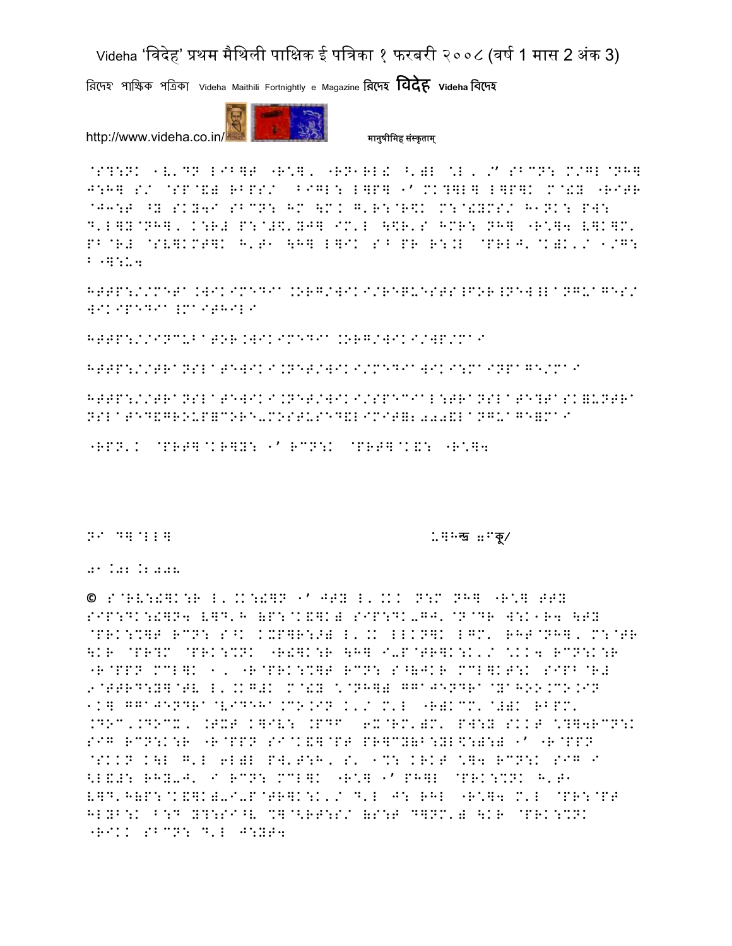িরেদহ' পািkক পিtকা Videha Maithili Fortnightly e Magazine িরেদহ िवदेह **Videha** িবেদহ

http://www.videha.co.in/ मानुषीमिह संस्कृताम्



@S?:NK 1V'DN LIB]T "R\*], "RN1RL! ^')L \*L, /**'** SBCN: M/GL@NH] J:H] S/ @SP@&) RBPS/ BIGL: L]P] 1**'** MK?]L] L]P]K M@!Y "RITR @J3:T ^Y SKY4I SBCN: HM \M. G'R:@R\$K M:@!YMS/ H1NK: PW:  $D$ , FAS (200 ), C:R# P: P: P: P: NH  $P$  , P: P: F: NHR: NHR: NHI (200 ),  $\{P, P\}$ PROPA OSKRIJEMI PLANOVAM IMAJO SOVJEK PROVINCI OTAKANOG LJU NJAV  $\blacksquare$ 

HEBEN JUMPEN DER KOMPANNISE POERNEN KJENBLYSEE BROEKBEBEN BEDIARD PNS J WIKIPEDIA WIKIPEDIA

HTTP://INCUBATOR.WIKIMEDIA.ORG/WIKI/WP/MAI

HTTP://TRANSLATEWIKI.NET/WIKI/MEDIAWIKI:MAINPAGE/MAI

HTTP://TRANSLATEWIKI.NET/WIKI/SPECIAL:TRANSLATE?TASK=UNTRA NSLATED&GROUP=CORE-MOSTUSED&LIMIT=2000&LANGUAGE=MAI

"RPN'K @PRT]@KR]Y: 1**'** RCN:K @PRT]@K&: "R\*]4

NI DIA DIA MARKATA KATA SEKERA YANG MELANGGAN KE SERIA DIA MARKATA SEKERA YANG MELANGGAN KE SERIA DIA MARKATA

01.02.2008

 $\odot$  : THE RET IN IN 1890 IN 1890 IN 1990 IN 2000 IN THE SECOND PRODUCT IN THE RED TO A 2000 IN THE TERM IN THE T SIP:DRICHERA (ERR) R) BEN MERI BOSPENRI LAP, MRORE (PNI) SRAO BAD @PRK:%]T RCN: S^K KXP]R:>) L'.K LLKN]K LGM' RHT@NH], M:@TR  $K$   $\mathbf{R}$  are proposed to the proposed to the parameter  $\mathbf{R}$  is the proposed to the  $\mathbf{R}$ "REPORT MCLARIK 1, "REPORT STOLE PORT STOLEN SITE OF BOARD STOLEN SING 9@TTRD:Y]@TV L'.KG#K M@!Y \*@NH]) GGAJENDRA@YAHOO.CO.IN 1K] GGAJENDRA@VIDEHA.CO.IN K'/ M'L "R)KCM'@#)K RBPM' .DOC,.DOCX, .TXT K]IV: .PDF 6X@RM')M' PW:Y SKKT \*?]4RCN:K SIG RCN:K:R "R@PPN SI@K&]@PT PR]CY(B:YL\$:):) 1**'** "R@PPN MSKK KAL GLI GLIL PALEAN, S. KRK KIL AGGE ETAK SIG SIG <L&#: RHY-J' I RCN: MCL]K "R\*] 1**'** PH]L @PRK:%NK H'T1 V]D'H(P:@K&]K)-I-P@TR]K:K'/ D'L J: RHL "R\*]4 M'L @PR:@PT HESP RIC PORT STREET BY THE REPORT GENE THRUSH AN ECONOMICATION "RIKK" "RIKK SPORT "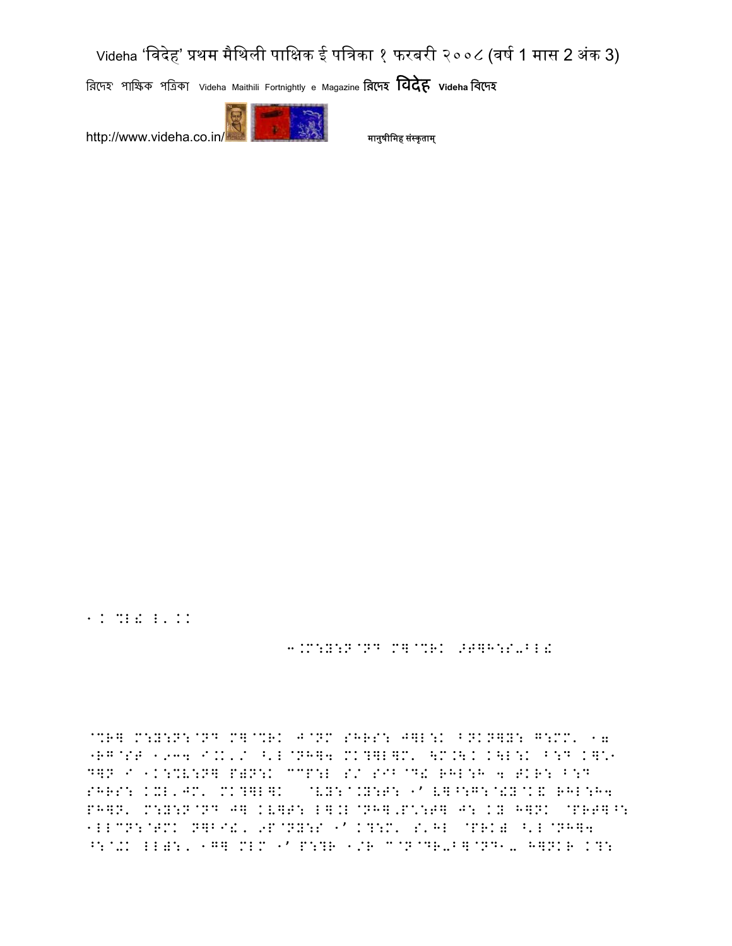**THE CHINESTER CHITCH: A TEC 29621 ANISI FOLDRIN PICC. Fa** APPORT (200 YOUR SECRET COMMISSION AND LOCAL SECTION) THE ROSINEER PERM TTPH WAS THE BRING WIRD FOR TH PREPRIMENT MOTHER COMMISSION CONTROL CONTROL ERBEL CABARARY AR CERAN ERGENER (ENNAR AN COURRE) SERREN KILTRIGHT PHONE WEIREN MICHEL E.RE TENE RETPRES PETAL BEBEL FAR TET PT TETH FOR TITATING RITH & ARTER CITE

 $+1$  THE FILE

http://www.videha.co.ir



রিদেহ' পাক্ষিক পত্রিকা Videha Maithili Fortnightly e Magazine **রিদেহ যি** $\overline{\textbf{d}}$ **ন্টে Videha বিদেহ** 

मानुषीमिह संस्कृताम्

Videha 'विदेह' प्रथम मैथिली पाक्षिक ई पत्रिका १ फरबरी २००८ (वर्ष 1 मास 2 अंक 3)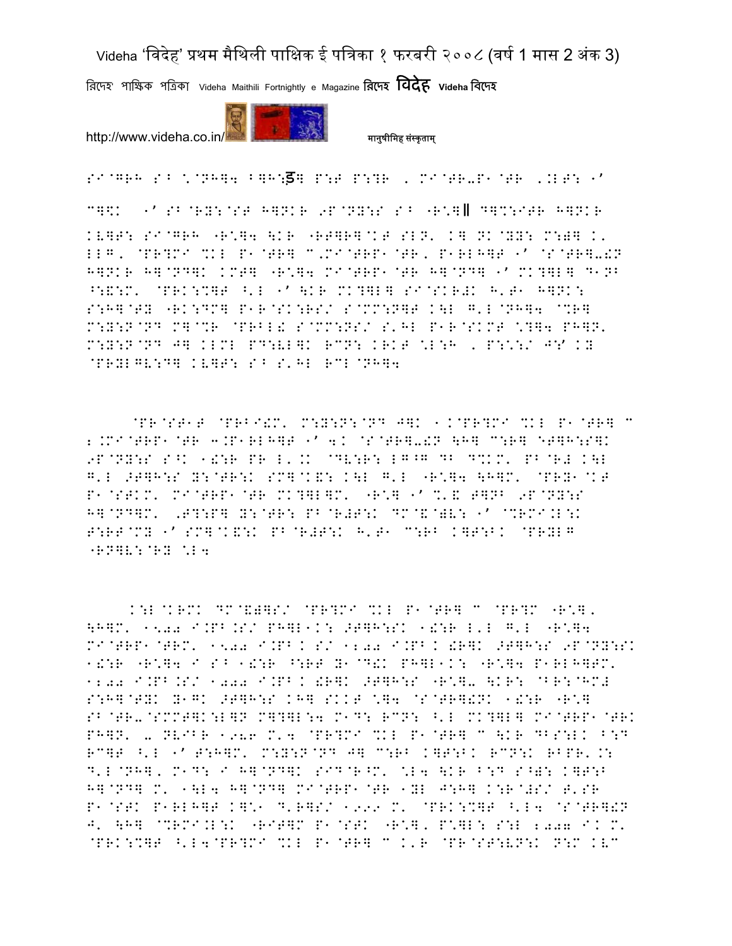িরেদহ' পািkক পিtকা Videha Maithili Fortnightly e Magazine িরেদহ िवदेह **Videha** িবেদহ



SI@GRH S^ \*@NH]4 B]H:ड़] P:T P:?R , MI@TR-P1@TR ,.LT: 1**'**

C]\$K 1**'** SB@RY:@ST H]NKR 9P@NY:S S^ "R\*]॥ D]%:ITR H]NKR T: ERAN SIMORER "PENRA" AT ROOPERRY MORTING TO DO THE "PICTURE" (1) LLG, @PR?MI %KL P1@TR] C,MI@TRP1@TR, P1RLH]T 1**'** @S@TR]-!N H]NKR H]@ND]K KMT] "R\*]4 MI@TRP1@TR H]@ND] 1**'** MK?]L] D1NB ^:&:M' @PRK:%]T ^'L 1**'** \KR MK?]L] SI@SKR#K H'T1 H]NK: SSERIGE "RISTE P1R@SK:RRS/ S@MM:RRF IRE P.E GPERA @%RR M:Y:N@ND M]@%R @PRBL! S@MM:NS/ S'HL P1R@SKMT \*?]4 PH]N' M:Y:N@ND J] KLML PD:VL]K RCN: KRKT \*L:H , P:\*:/ J:**'** KY MPRHIMALING (SEP) STORY STORY STORY

 @PR@ST1T @PRBI!M' M:Y:N:@ND J]K 1.@PR?MI %KL P1@TR] C 2.MI@TRP1@TR 3.P1RLH]T 1**'** 4. @S@TR]-!N \H] C:R] ET]H:S]K 9P@NY:S S^K 1!:R PR L'.K @DV:R: LG^G DB D%KM' PB@R# K\L G'L B: JARAHYE (GYL SAM) ETRITORY (1914) AL ANNAH (1994) APROXIMATE DI B P1@STKM' MI@TRP1@TR MK?]L]M' "R\*] 1**'** %'& T]NB 9P@NY:S H]@ND]M' ,T?:P] Y:@TR: PB@R#T:K DM@&@)V: 1**'** @%RMI.L:K T:RT@MY 1**'** SM]@K&:K PB@R#T:K H'T1 C:RB K]T:BK @PRYLG "RND" RND" \* RND" \* RND" \* RND" \* RND" \* RND" \* RND" \* RND \* RND \* RND \* RND \* RND \* RND \* RND \* RND \* RND \* R

K:L@KRMA DO DO DO DO DO DO DO DO DO DO PROTO DO DO DO DO PARTE DO PROTO DO PROTO DO PROTO DO DO DO DO PROTO DO  $\#$ HIT,  $\rightarrow$   $\forall$ ulu  $\rightarrow$  ITF. In  $\Box$  Thilis,  $\Box$  is  $\Box$  is  $\Box$  then  $\Box$   $\Box$   $\Box$  . Hence  $\Box$ MATRPPH TRPI. 15000 I.PB. S/ 1200 I.Pa. S/ 1200 I.PB. S/ 1200 I.Pa. I.PB. SK SP. I.PB. 1200 I.P. 1!:R "R\*]4 I S^ 1!:R ^:RT Y1@D!K PH]L1K: "R\*]4 P1RLH]TM' 1200 I.PB.S/ 1000 I.PB. !R]K >T]H:S "R\*]- \KR: @BR:@HM# STERMEN ING SHRET IER SKKE NAAMT SKRAAKT FRIE HEN SB@TR-@SMMT]K:L]N M]?]L:4 M1D: RCN: ^'L MK?]L] MI@TRP1@TRK PHEN, A PERPERTANCE METRY WILL PROPERTY AND DEPOSIT PAR RC]T ^'L 1**'** T:H]M' M:Y:N@ND J] C:RB K]T:BK RCN:K RBPR'.: D.E NDAR, MAND: I HANDER SIDE SIDE SOM I HID SOM STARTES HE CRRE T. (ABEN HE CRRE TRIGER) ME (ABEN 1998 ISBN 3820-8.89) P1@STK P1RLHB\_IBV (R)RBM] (AVA: 2. TERINTH (R)E (MOMERNE J' \H] @%RMI.L:K "RIT]M P1@STK "R\*], P\*]L: S:L 2007 I. M' @PRK:%]T ^'L4@PR?MI %KL P1@TR] C K'R @PR@ST:VN:K N:M KVC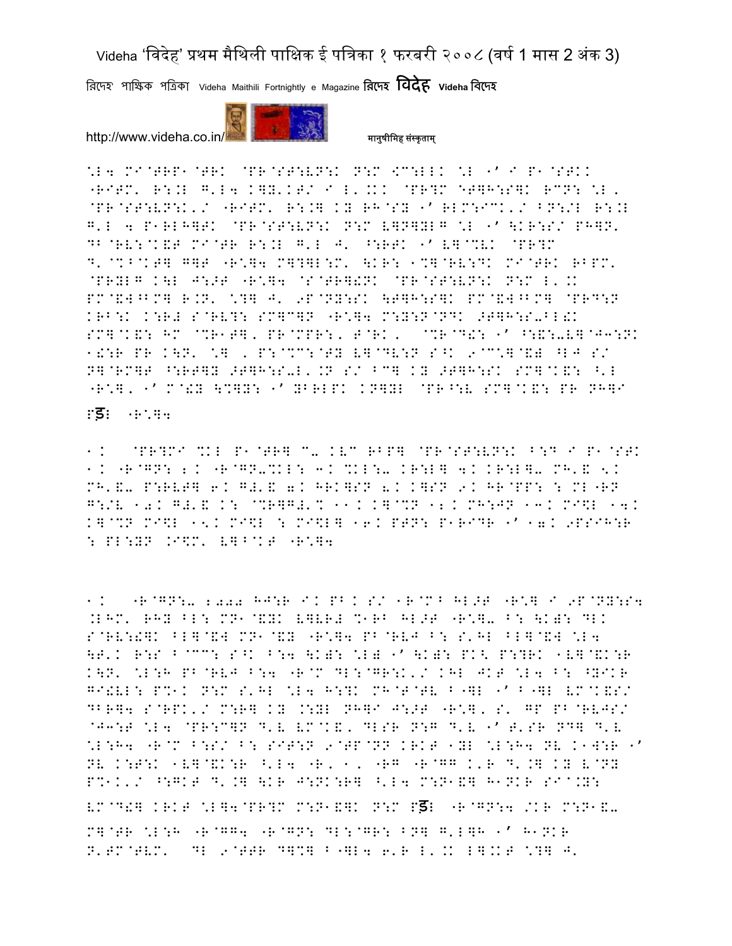িরেদহ' পািkক পিtকা Videha Maithili Fortnightly e Magazine িরেদহ िवदेह **Videha** িবেদহ



\*L4 MI@TRP1@TRK @PR@ST:VN:K N:M [C:LLK \*L 1**'** I P1@STKK "RITH" RITM' RITH' CHELLED YOU, IN THIS SERVICE RITH OUR @PR@ST:VN:K'/ "RITM' R:.] KY RH@SY 1**'** RLM:ICK'/ BN:/L R:.L G'L 4 P1RLH]TK @PR@ST:VN:K N:M V]N]YLG \*L 1**'** \KR:S/ PH]N' DB@RV:@K&T MI@TR R:.L G'L J' ^:RTK 1**'** V]@%VK @PR?M D', CORPORAT ARTE "REDARDED TROLL AD BOLK ON DE DEDICTION OF TREDUCTION OF TRANSPORTATION @PRYLG K\L J:>T "R\*]4 @S@TR]!NK @PR@ST:VN:K N:M L'.K PM TEACH POST AND THE GROUP POST AND A BUSINESS OF THE THING POINT  $\mathbb{P}$ KRP: K:R# S@RV:R#C#: SMICH: SMICH: SMICH: SMICH: SMICH: SMICH: SMICH: SMICH: SMIC SM]@K&: HM @%R1T], PR@MPR:, T@RK, @%R@D!: 1**'** ^:&:-V]@J3:NK  $1.111$ :R PR KONS  $\sim$  2001 , P: MINI VER LA MALS  $\sim$  P  $\sim$  P  $\sim$  P  $\sim$  P  $\sim$ N]@RM]T ^:RT]Y >T]H:S-L'.N S/ BC] KY >T]H:SK SM]@K&: ^'L "R\*], 1**'** M@!Y \%]Y: 1**'** YBRLPK KN]YL @PR^:V SM]@K&: PR NH]I

 $P\overline{S}$ :  $\cdots$ 

1. @PR?MI %KL P1@TR] C- KVC RBP] @PR@ST:VN:K B:D I P1@STK 1. "R@GN: 2. "R@GN-%KL: 3. %KL:- KR:L] 4. KR:L]- MH'& 5. MH'&- P:RVTHE F: MALE G: PP:PP: 6. CIRP 6. MAP TEEN 'N DE PP GS:/B:/G:/G#.B:/S:/THUR.T./S:/UNITY-3:/THSAP/-A:/TYTE--4: K]@%N MI\$L 15. MI\$L : MI\$L] 16. PTN: P1RIDR 1**'** 17. 9PSIH:R : PL:YN .I\$M' V .I\$M' V .I\$M' V .I\$M' V .I\$M' V .I\$M' V .I\$M' V .I\$M' V .I\$M' V .I\$M' V .I\$M' V .I\$M' V .I\$M' <br>.I\$M' Y .I\$M' Y .I\$M' Y .I\$M' Y .I\$M' Y .I\$M' Y .I\$M' Y .I\$M' Y .I\$M' Y .I\$M' Y .I\$M' Y .I\$M' Y .I\$M' Y .I\$M'

1. "R@GN:- 2000 HJ:R I. PB. S/ 1R@M^ HL>T "R\*] I 9P@NY:S4 .LHM' RHY BL: MN1@&YK V]VR# %1RB HL>T "R\*]- B: \K): DLK S@RV:!]K BL]@&W MN1@&Y "R\*]4 PB@RVJ B: S'HL BL]@&W \*L4 \T'K R:S B@CC: S^K B:4 \K): \*L) 1**'** \K): PK< P:?RK 1V]@&K:R KAD, NEAR BY BEAT FAN DE WORKERVOOR DE BEAT AGE DE WEARTE GI!VL: P%1K N:M S'HL \*L4 H:?K MH@T@TV B"]L 1**'** B"]L VM@K&S/ DBRI4 SMRTI.I M:RAB I: YL NHI DPP GALAR GPUB. S. PP PP PP GARY @J3:T \*L4 @PR:C]N D'V VM@K&, DLSR N:G D'V 1**'** T'SR ND] D'V \*L:H4 "R@M B:S/ B: SIT:N 9@TP@NN KRKT 1YL \*L:H4 NV K1W:R 1**'** NV K:T:K 1V]@&K:R ^'L4 "R, 1, "RG "R@GG K'R D'.] KY V@NY P%1K'/ ^:GKT D'.] \KR J:NK:R] ^'L4 M:N1&] H1NKR SI@.Y: BO MAD LELE GIRE TEED OND ER CONT PSE TE MORE OLE OND EL M]@TR \*L:H "R@GG4 "R@GN: DL:@GR: BN] G'L]H 1**'** H1NKR N'TMOT DE L'ATMENTIE DE L'ANNES DE L'ATMENTIE DE L'ATMENTIE DE L'ATMENTIE DE L'ATMENTIE DE L'ATMENTIE DE L'ATM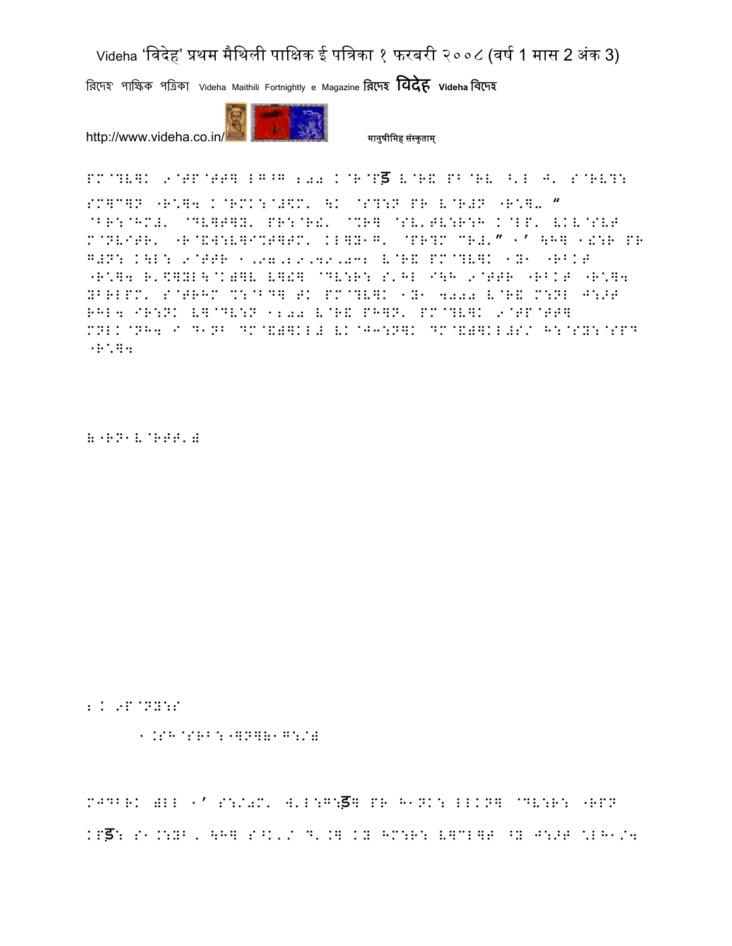িরেদহ' পািkক পিtকা Videha Maithili Fortnightly e Magazine িরেদহ िवदेह **Videha** িবেদহ



PM THE VOIRT POST OF THE LOGAL CONFUSER PROPERTY OF A SACTOR PROPERTY SM]C]N "R\*]4 K@RMK:@#\$M' \K @S?:N PR V@R#N "R\*]- **"** @BR:@HM#' @DV]T]Y' PR:@R!' @%R] @SV'TV:R:H K@LP' VKV@SVT M@NVITR' "R@&W:V]I%T]TM' KL]Y1G' @PR?M CR#'**"** 1**'** \H] 1!:R PR B#N: CH: Y (PHP) (2002) P20200 E PROPRIES (197, 197, 2 "R\*]4 R'\$]YL\@K)]V V]!] @DV:R: S'HL I\H 9@TTR "RBKT "R\*]4 BREPM SMERT WINTER ON THE SATISFIES OR AN ACTEUR MINE RHL4 PRINK KATHLIN FLAD KORK PHAN, PMONENT 2000 VAR MNLK@NH4 I D1NB DM@&)]KL# VK@J3:N]K DM@&)]KL#S/ H:@SY:@SPD  $\cdot$   $\cdot$   $\cdot$   $\cdot$   $\cdot$   $\cdot$   $\cdot$ 

("RN1V@RTT')

2. 9P@NY:S

1.SH@SRB:"]N](1G:/)

MJDBRK )LL 1**'** S:/0M' W'L:G:ड़] PR H1NK: LLKN] @DV:R: "RPN  $R = \frac{1}{2}$  ,  $R = \frac{1}{2}$  ,  $R = \frac{1}{2}$  ,  $R = \frac{1}{2}$  ,  $R = \frac{1}{2}$  . The  $R = \frac{1}{2}$  such that  $R = \frac{1}{2}$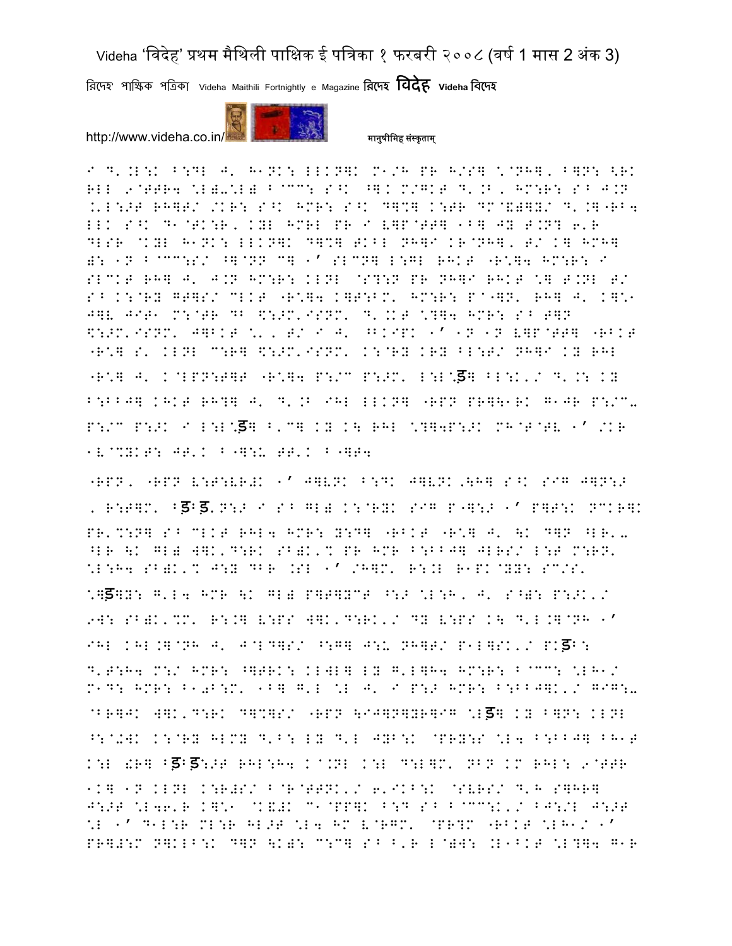িরেদহ' পািkক পিtকা Videha Maithili Fortnightly e Magazine িরেদহ िवदेह **Videha** িবেদহ



I D'.L:K B:DL J' H1NK: LLKN]K M1/H PR H/S] \*@NH], B]N: <RK RLL 9@THR4 &LALA FOTTR PRO PED TIPLE TO ROOM DETECT PAT  $\sim$  T. F RHS FRAME  $\sim$  S  $\sim$  S  $\sim$  S  $\sim$  S  $\sim$  S  $\sim$  S  $\sim$  S  $\sim$  S  $\sim$  S  $\sim$  S  $\sim$  S  $\sim$  S  $\sim$  S  $\sim$  S  $\sim$  S  $\sim$  S  $\sim$  S  $\sim$  S  $\sim$  S  $\sim$  S  $\sim$  S  $\sim$  S  $\sim$  S  $\sim$  S  $\sim$  S  $\sim$  S  $\sim$  S  $\sim$  S  $\sim$  LLK SOK DIN SELABILI DI PORTO PROSTABLI PR I VIRONO BI POD I LA DLSR @KYL HISR & LESSERI (DRIVA) HISR DRAAM IN KRAAI, HIM KRAAA ): 1N B@CC:S/ ^]@NN C] 1**'** SLCN] L:GL RHKT "R\*]4 HM:R: I SLCCH RHE A. A.C. KORAN (1981) STRE TR PHE ARE AN EACH THAT AC  $S^{\rm T}$ So K: B: ClickT (So Kingt "Report", "Report "Report "Report "Report "Report "Report "Report "Report "R JAN JARA (TR DE A SALET, PETT. A: MI A NORR ATER SA TANT \$:>M'ISNM' J]BKT \*', T/ I J' ^BKIPK 1**'** 1N 1N V]P@TT] "RBKT "RENN S', CEDE "MERN KYZD, KSDD, C'Y NH. C'RI FIYEZ D'ARRK C'H RHE. "R\*] J' K@LPN:T]T "R\*]4 P:/C P:>M' L:L\*ड़] BL:K'/ D'.: KY B:BBJ] B:BD) B:BBJB] (H. L. DE (PA) (B1)DB, (BPD) PRB6(B1) B:HP PS2M. P:/C P:>K I L:L\*ड़] B'C] KY K\ RHL \*?]4P:>K MH@T@TV 1**'** /KR 1V@%YKT: JT'K B"]:U TT'K B"]T4

"RPN, "RPN V:T:VR#K 1**'** J]VNK B:DK J]VNK,\H] S^K SIG J]N:> , R:T]M' Bड़Bड़'N:> I S^ GL) K:@RYK SIG P"]:> 1**'** P]T:K NCKR]K PR, TADR'S PORT ROLLA HMR: PORT GARRY "RBC PORT "RELIGION PROVINCE". L ^LR \K GL) W]K'D:RK SB)K'% PR HMR B:BBJ] JLRS/ L:T M:RN' \*L:H4 SB)K'% J:Y DBR .SL 1**'** /H]M' R:.L R1PK@YY: SC/S'

 $\Lambda$ 9 $\overline{S}$ 935 A.14 HMR AN AL PITE E999378 PGP  $\Lambda$ :A S $\Lambda$ : P. H, T Son PGP . 9W: SB)K'%M' R:.] V:PS W]K'D:RK'/ DY V:PS K\ D'L.]@NH 1**'** IHL CHLOBOR P. P. PORTHER PHE PAIR DREAM PHERICO IN TI D'T:H4 M:/ HMR: ^]TRK: KLWL] LY G'L]H4 HM:R: B@CC: \*LH1/ MATR: HMR: B10B: GM, AFT F.E. NE (A) IN PRESS PMRY PIRESENT FOR BE OF BRAD I ARD LITHED I TRORED IN ABOUT A CARDROBER CRISIS TO BLIVE WE BE DIEDE ^:@+WK K:@RY HLMY D'B: LY D'L JYB:K @PRY:S \*L4 B:BBJ] BH1T K:L BEST**S**S:PROPHING KONL K:L THUR: PPOINTRHING MAR 1K] 1N KLNL K:R#S/ B@R@TTNK'/ 6'IKB:K @SVRS/ D'H S]HR] J:>T \*L46'R K]\*1 @K&#K C1@PP]K B:D S^ B@CC:K'/ BJ:/L J:>T \*L 1**'** D1L:R ML:R HL>T \*L4 HM V@RGM' @PR?M "RBKT \*LH1/ 1**'** PRAGAN DALEKAI MAD ALBA MAMA 2000 K.B. CIGAA (IG)KIR NIGA AGE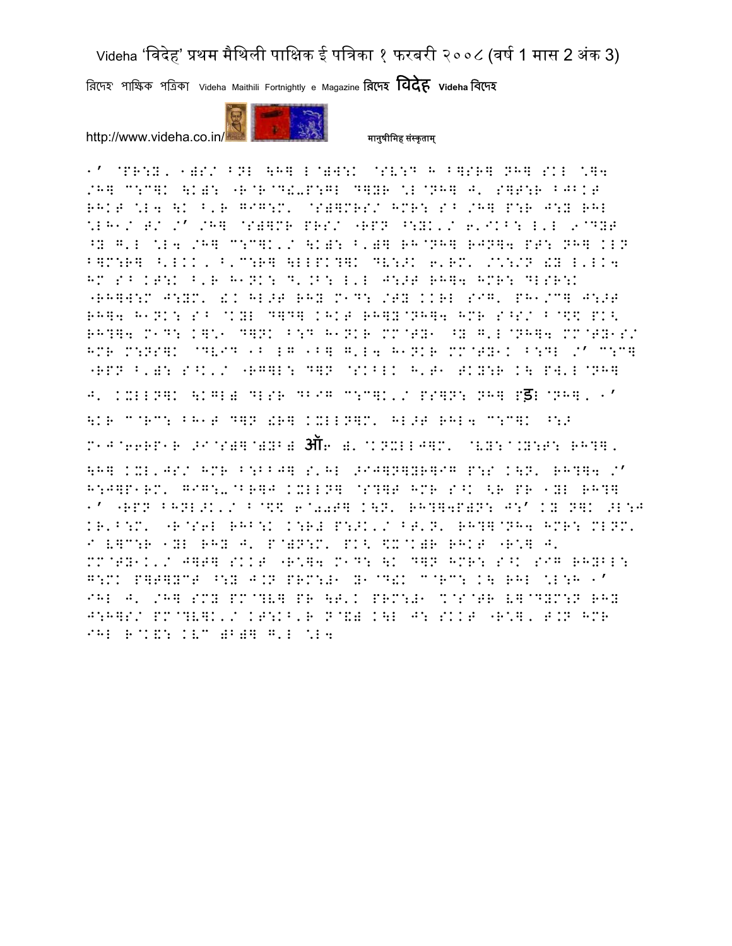িরেদহ' পািkক পিtকা Videha Maithili Fortnightly e Magazine িরেদহ िवदेह **Videha** িবেদহ



1**'** @PR:Y, 1)S/ BNL \H] L@)W:K @SV:D H B]SR] NH] SKL \*]4 /H] C:C]K \K): "R@R@D!-P:GL D]YR \*L@NH] J' S]T:R BJBKT RHCH \*LA B: B. B'R GIG: MONDER: STORE STORE POST AND RHE \*LH1/ T/ /**'** /H] @S)]MR PRS/ "RPN ^:YK'/ 6'IKB: L'L 9@DYT ^Y G'L \*L4 /H] C:C]K'/ \K): B')] RH@NH] RJN]4 PT: NH] KLN BANYER BILLI, BITHA BEEN ARISEN EIEN BIJMI /\*:/N 2002 AN EIEIA HM SO KIER HIJE HIJ: D'A: L'ES EL I: HRIA HHRH: PUBR: DESPRI "RH]W:M J:YM' !. HL>T RHY M1D: /TY KKRL SIG' PH1/C] J:>T RHA H2NK: S^ MIN MAMA (H) BAAN MHA AMR SAN BOSCO RHIN M1D: KIN DIN FIND B:D MID: KI D. MHH MMMH. HMR M:NS]K @DVID 1B LG 1B] G'L4 H1NKR MM@TY1K B:DL /**'** C:C] "RPN B'): S^K'/ "RG]L: D]N @SKBLK H'T1 TKY:R K\ PW'L@NH] J' KXLLN]K \KGL) DLSR DBIG C:C]K'/ PS]N: NH] Pड़L@NH], 1**'** \KR C@RC: BH1T D]N !R] KXLLN]M' HL>T RHL4 C:C]K ^:> M1966RP1R 27 YEAR YEAR & 新R (E. MORILPART) (NORTHREN BRYA), \H] KXL'JS/ HMR B:BBJ] S'HL >IJ]N]YR]IG P:S K\N' RH?]4 /**'** H:JAREY BO. (PAPS), M.BRACO DE EPROCESTER (POB) E RICO RECORDERED BRITA 1**'** "RPN BHNL>K'/ B@\$\$ 6@00T] K\N' RH?]4P)N: J:**'** KY N]K >L:J KR'B:M' "R@S6L RHB:K K:R# P:>K'/ BT'N' RH?]@NH4 HMR: MLNM' I V]C:R 1YL RHY J' P@)N:M' PK< \$X@K)R RHKT "R\*] J' MM THAT IS SHOW THAT THE REAL REPORT OF THE SAME SHOWS THAT IS A REAL BLOCK OF THE SAME SIGNAL SAME SIGNAL SAM G:MK P]T]YCT ^:Y J.N PRM:#1 Y1@D!K C@RC: K\ RHL \*L:H 1**'** IHL J' /H] SMY PM@?V] PR \T'K PRM:#1 %@S@TR V]@DYM:N RHY J:H]S/ PM@?V]K'/ KT:KB'R N@&) K\L J: SKKT "R\*], T.N HMR IHL R@K&: KVC )B)] G'L \*L4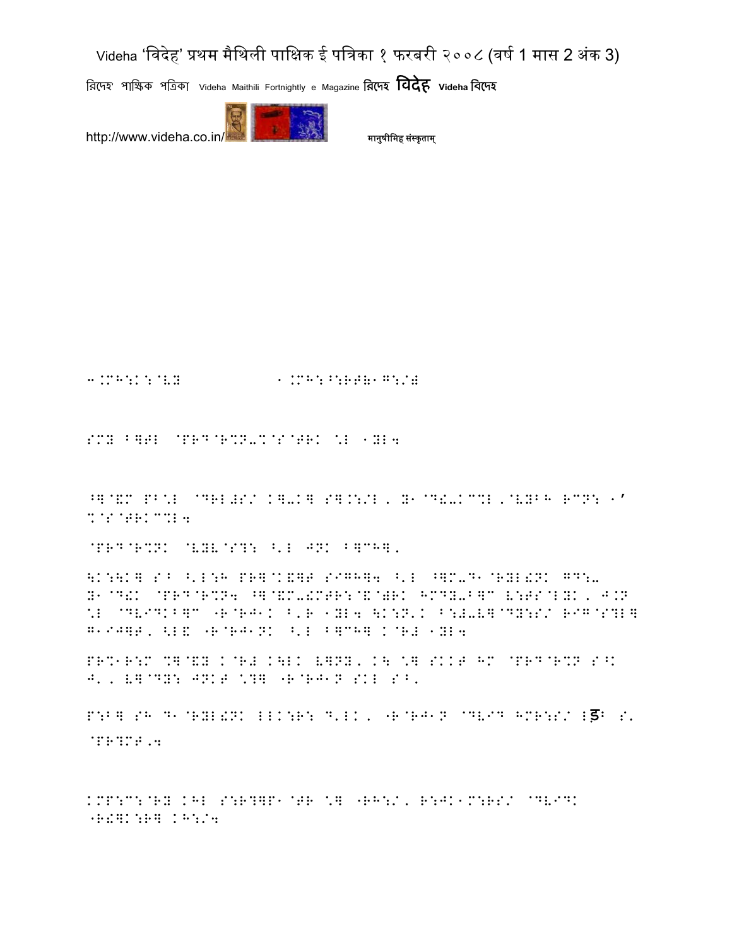িরেদহ' পািkক পিtকা Videha Maithili Fortnightly e Magazine িরেদহ िवदेह **Videha** িবেদহ

http://www.videha.co.in/ मानसीमिंह संस्कृताम्



3.MH:K:@VY 1.MH:^:RT(1G:/)

SMY B]TL @PRD@R%N-%@S@TRK \*L 1YL4

^]@&M PB\*L @DRL#S/ K]-K] S].:/L, Y1@D!-KC%L,@VYBH RCN: 1**'** %@S@TRKC%L4

@PRD@R%NK @VYV@S?: ^'L JNK B]CH],

\K:\K] S^ ^'L:H PR]@K&]T SIGH]4 ^'L ^]M-D1@RYL!NK GD:- Y1@D: And a company of the state of the state of the state of the state of the state of the state of the state<br>And the state of the state of the state of the state of the state of the state of the state of the state of th \*L @DVIDKB]C "R@RJ1K B'R 1YL4 \K:N'K B:#-V]@DY:S/ RIG@S?L] G12000 C1IL (BC) ROD (RICH) ROD (RICH)

PR%1R:M % % MAR:M % AREA KORA KOR KORA KORA KORA SHI MARKA MARKA SHI SKK J, REMER FRIE ARDEAR SKL SK.

P:B| PH B DHIRRY NIVER BILL AND BAR CHECK HONES IS S. @PR?MT,4

KOMP:C: RY KAMP:C: RY KHL S: REAL SIGNER & PROPE "R!]K:R] KH:/4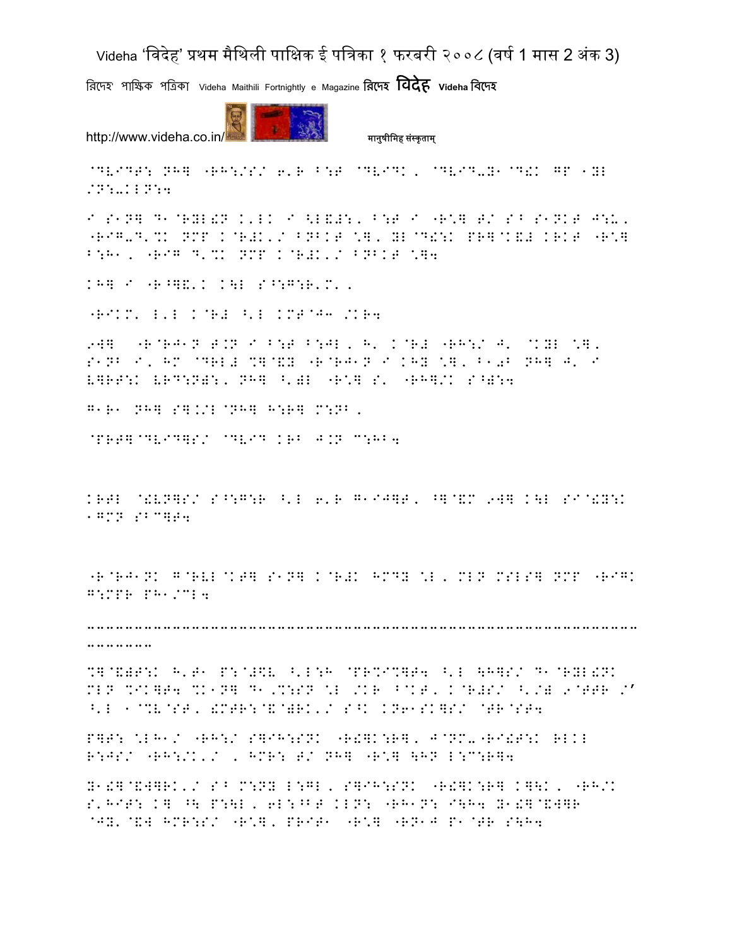িরেদহ' পািkক পিtকা Videha Maithili Fortnightly e Magazine িরেদহ िवदेह **Videha** িবেদহ

http://www.videha.co.in/ मानसी कार्योग मानसीमिह संस्कृताम्



@DVIDT: NH] "RH:/S/ 6'R B:T @DVIDK, @DVID-Y1@D!K GP 1YL /N:-KLN:4

I STAR DE DE SERIO DI STATO E RECORDO E SERIO E PORTE DE STARTE POLICI  $R$  -B-PAL MUSIC NO. THE KING-DECISION FRAME IS A KREW FOR THE TERM  $R$  and  $R$  are the set of the set of the  $R$ B:H1, APP M.T. BTP K NAD. K PRIB NA

KH] I "ROWNER I STANDARD I "

"REVIS L'EL KORA AL LIBORA CIRE

9W] "R@RJ1N T.N I B:T B:JL, H' K@R# "RH:/ J' @KYL \*],  $S$ 1910 I, HT @DRL# %2000 I, HM & ROL 10B NH, B10B NH] I, B RART: RT:K SON ROOM: NO SON REAL SON REAL STATE

B.R. SAR SHIN SAR AGAR SGR.

@PRT]@DVID]S/ @DVID KRB J.N C:HB4

KRTL @!VN]S/ S^:G:R ^'L 6'R G1IJ]T, ^]@&M 9W] K\L SI@!Y:K  $1499 \div 1949$ 

"RECHAND DI STARE OVER STERN OFFISIONER DE LOCAL DIE VERBEIDDE "RIGKE" WHIP PHILL

----------------------------------------------------------

-------

%]@&)T:K H'T1 P:@#\$V ^'L:H @PR%I%]T4 ^'L \H]S/ D1@RYL!NK MLN %IK]T4 %K1N] D1,%:SN \*L /KR ^@KT, K@R#S/ ^'/) 9@TTR /**'**  $^{\circ}$  T, 1  $^{\circ}$  (  $^{\prime}$  VML) (SiR),  $^{\prime}$  and states the States (SiR)  $^{\prime}$  and States (SiR)  $^{\prime}$  and States (SiR)  $^{\prime}$ 

PAPS SERVIC PROVINCES (PEACHER, PORCHPORNIC RESE R:H:/ HH:C:// , HTB: B: PHB (B:B AR) L:C'RBB:

 $H_1$  and the energy  $Y$  is the state of the sum of the term  $X$  and  $X$  is the sum of the sum of  $X$ S'HIT: KI SE DI RISTO ALI FI KUNI SE TI KUNI SE NI KUNI DI RHITA KUNI ILI @JY'@&W HMR:S/ "R\*], PRIT1 "R\*] "RN1J P1@TR S\H4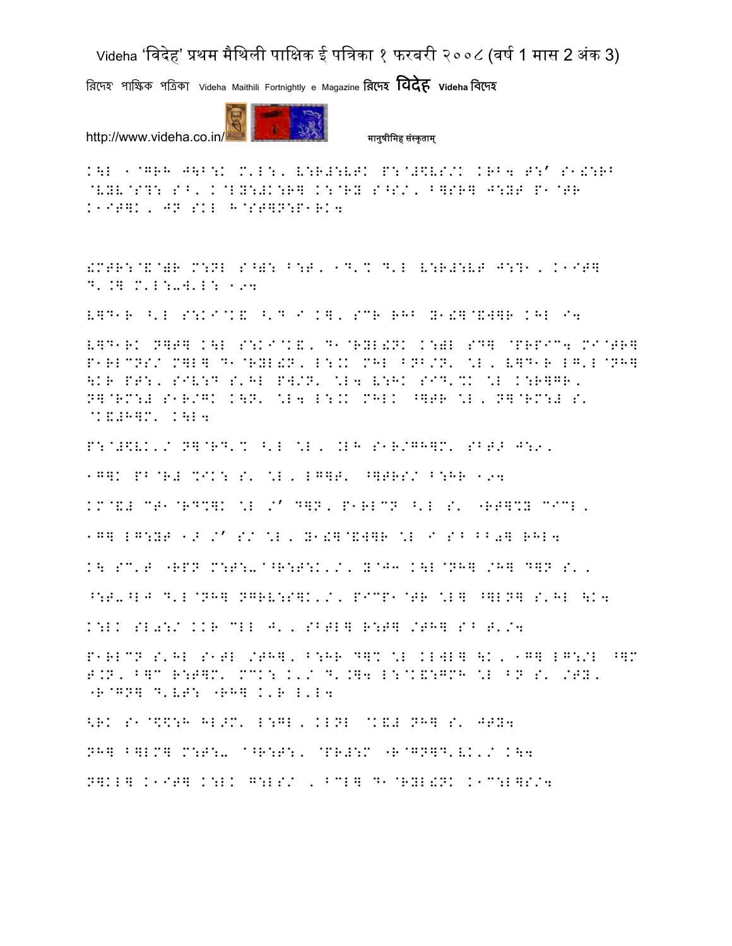িরেদহ' পািkক পিtকা Videha Maithili Fortnightly e Magazine িরেদহ िवदेह **Videha** িবেদহ



K\L 1@GRH J\B:K M'L:, V:R#:VTK P:@#\$VS/K KRB4 T:**'** S1!:RB @VYV@S?: S^, K@LY:#K:R] K:@RY S^S/, B]SR] J:YT P1@TR K11981, J. S. SKIL HOST

ROBER 'R MER OMER SOMER FREI 197, VOR. DIE KREINER SPREI IV VINGE D'. M'L: N. 1941

BURGH RESERVED AND A CONSTRUCTION OF A CONSTRUCTION OF A CONSTRUCTION OF A CONSTRUCTION OF A CONSTRUCTION OF A

 $\,$  B.H. The Signal State of Research Control of the State Control of the Party of the Party of the Party of the Par P: B1 "Sil STATE AT PHILIS, LINGT SHE BSPILE, NEW LAARSE BRIEFSHA  $K$  PT:  $K$  and  $K$  is the state of  $K$  in the single  $K$  single  $K$  is the single  $K$  single  $K$  and  $K$  is the single  $K$ N]@RM:# S1R/GK K\N' \*L4 L:.K MHLK ^]TR \*L, N]@RM:# S' MINEST CHIA

P:@#\$VK'/ N]@RD'% ^'L \*L, .LH S1R/GH]M' SBT> J:9, 1GB: PROBLEMATIC STREET BEAR (PRESS) KM@&# CT1@RD%]K \*L /**'** D]N, P1RLCN ^'L S' "RT]%Y CICL, 1G] LG:YT 1> /**'** S/ \*L, Y1!]@&W]R \*L I S^ BB0] RHL4 KA SC'T "ROOM "RPN MINISTER" ROOM "ROOM "ROOM "ROOM "ROOM "ROOM "ROOM " IN STALL  $\{T_1\}$  d'ans the contract of  $\{T_1\}$  . The contract of  $\{T_1\}$  of  $\{T_2\}$  is the contract of  $\{T_1\}$ K:LK SL20://5 TH A., SPHR PGHR CHPR SPR.CA P:BETR S.H. SYBE SHAR, PSHR THT 1E CENER AS , 199 EAST (HD T.N, B]C R:T]M' MCK: K'/ D'.]4 L:@K&:GMH \*L BN S' /TY, "ROGNER "REAL" D'ALITA  $R$  S10 S1000 S1000 S1000 S1000 S1000 S1000 S1000 S1000 S1000 S1000 S1000 S1000 S1000 S1000 S1000 S1000 S1000 S NHE FULTU CORD, ORDER CORTELLY APPRULATION OF NALLE CONTROLL AND CONTROLL OF THE CONTROLL OF THE CO.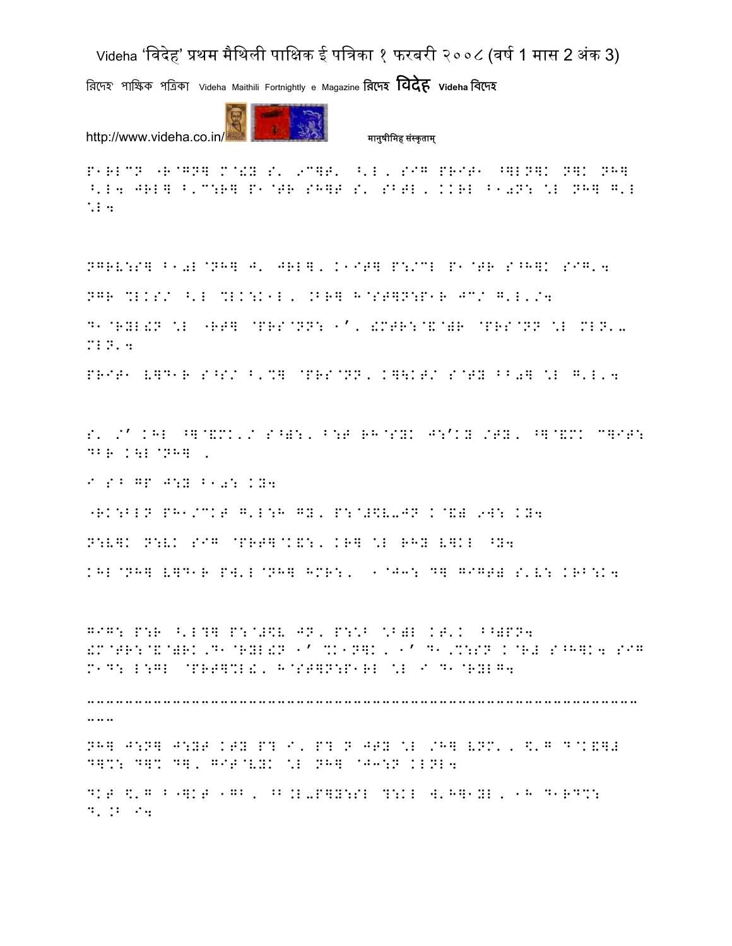িরেদহ' পািkক পিtকা Videha Maithili Fortnightly e Magazine িরেদহ िवदेह **Videha** িবেদহ

http://www.videha.co.in/ मानुषीमिह संस्कृताम्

P: B177 | GN "REGNITI MANIL" (1911) | C. SIG PRITI | HE REGNITI | LANG ^'L4 JRL] B'C:R] P1@TR SH]T S' SBTL, KKRL B10N: \*L NH] G'L  $\mathcal{L}$  :  $\mathcal{L}$ 

NGRV:S] B10L@NH] J' JRL], K1IT] P:/CL P1@TR S^H]K SIG'4 NGR %LKS/ ^'L %LK:K1L, .BR] H@ST]N:P1R JC/ G'L'/4 D1@RYL!N \*L "RT] @PRS@NN: 1**'**, !MTR:@&@)R @PRS@NN \*L MLN'-  $TPT, H$ PRITH SASY REPORT OF SANDY BOOKS AND STANDARD SECTIONS AND ALL GOOD BOOKS AND SATISFALL OF SANDY BOOKS AND ALL G

S' /**'** KHL ^]@&MK'/ S^):, B:T RH@SYK J:**'**KY /TY, ^]@&MK C]IT: DBR K\L@NH] ,

I SO GP HIS FOREST

"RK:BLN PH1/CKT G'L:H GY, P:@#\$V-JN K@&) 9W: KY4

N:VK N:VK SIG @KART # PRT # PRT # PRT # PRT # PRT # PRT # PRT # PRT # PRT # PRT # PRT # PRT # PRT # PRT # PRT

KHL@NHB\_NHTP:R\_NHE\_PWYL@NJANA PH\_PPPPN K.NY CHPSCH

BOB: PHP AINE PINN, BILTIN AND AND LEADER !M@TR:@&@)RK,D1@RYL!N 1**'** %K1N]K, 1**'** D1,%:SN K@R# S^H]K4 SIG M1D: L:GH @PREHOM: AMSERDING #L I DINAMARY

---------------------------------------------------------- --- NHA) HISAA JAGOE DIGA PIN KU, PIN A JAGO NE UNHA ADDUU YUNA MIN DAGA **DES PRIME, BARTES (1 PHP 18-12 (12:N K** DET \$'G B" FORT \$'G B", OF DISPUISE IN THE CALARY BE LOOK OF PITE  $\mathcal{B}_1$   $\mathcal{B}_2$   $\mathcal{B}_3$   $\mathcal{B}_4$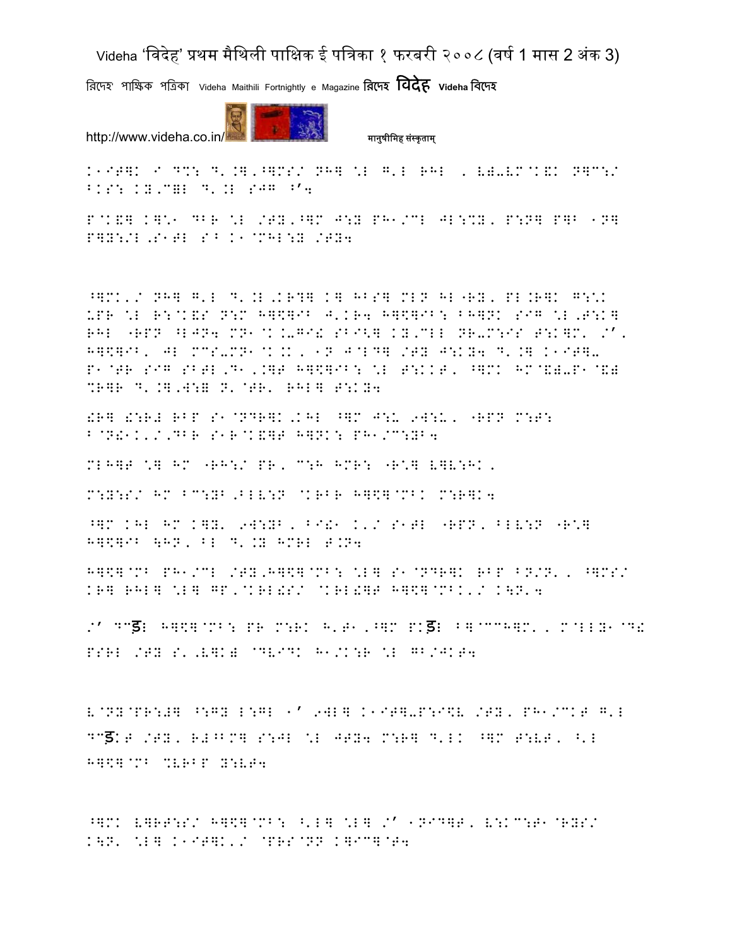িরেদহ' পািkক পিtকা Videha Maithili Fortnightly e Magazine িরেদহ िवदेह **Videha** িবেদহ

http://www.videha.co.in/ मानसी कार्योग मानसीमिह संस्कृताम्

K11. K I D O . DO . DO . DO . DO . DO . L GOLD , VOID , VOID , VOID , VOID , VOID , VOID , VOID , VOID , VOID , BKS: KY,C=L D'.L SJG ^**'**4

POCHB (SU) THE NE ZHI, MU ANI PHIZTE AFNICL PNPM PHILIPM PHONE RAIN PROVINCING SHIP

^]MK'/ NH] G'L D'.L,KR?] K] HBS] MLN HL"RY, PL.R]K G:\*K UPR 'LE RS'ISEE SYN ANGURT 'ALIPA ANGURT'S FANGI SYN 'LELANIN RHL "RPN ^LJN4 MN1@K.-GI! SBI<] KY,CLL NR-M:IS T:K]M' /**'**, HABBAR, AB' DTELDDA MOD LA DIA NETH OPE ARDER HADDE LA DE LA P1@TRE\_P2PP\_P1.RF SPIG SPECIES REPRIES TO SPIG SPIG HOME ROTERING TER %R]R D'.],W:= N'@TR' RHL] T:KY4

!R] !:R# RBP S1@NDR]K,KHL ^]M J:U 9W:U, "RPN M:T: B@NEXTLICKTOR STRACK STRACK TO THE CONSTRUCT

MLH]T \*] HM "RH:/ PR, C:H HMR: "R\*] V]V:HK,

MINING HAS PENDED FIND ON BEEN BENEING MARKED

^]M KHL HM K]Y' 9W:YB, BI!1 K'/ S1TL "RPN, BLV:N "R\*] HESEM RES. OF S. H. BURBL F.N4

HESE TO PHILM AND PHONE TO A SERIE SIMPLE REPORT OF BUILDING  $k$  be a response to the control of the control of the control  $\mathcal{L}_\mathrm{c}$  and  $\mathcal{L}_\mathrm{c}$ 

/**'** DCड़L H]\$]@MB: PR M:RK H'T1,^]M PKड़L B]@CCH]M', M@LLY1@D! PSRL /FS S, ASTA (SEPT) W.Y.SP (F GB/JKT4)

V@NY@PR:#] ^:GY L:GL 1**'** 9WL] K1IT]-P:I\$V /TY, PH1/CKT G'L  $D^{\alpha}$ s / Sil and  $\alpha$  and  $\alpha$  and  $\alpha$  and  $\alpha$  and  $\alpha$  are  $\alpha$   $\alpha$  and  $\alpha$   $\alpha$   $\beta$  and  $\alpha$ HASSET WAS SERVED AND ALL AND ALL AND ALL AND ALL AND ALL AND ALL AND ALL AND ALL AND ALL AND ALL AND ALL AND

^]MK V]RT:S/ H]\$]@MB: ^'L] \*L] /**'** 1NID]T, V:KC:T1@RYS/ KAR KARA KANG KALI TERSEBUTAN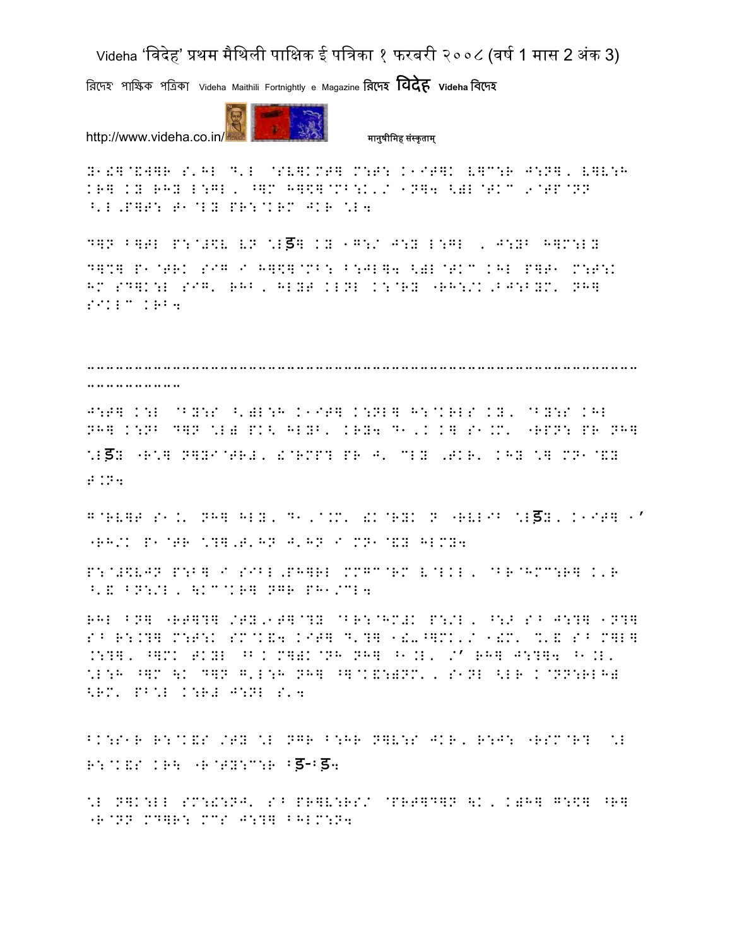িরেদহ' পািkক পিtকা Videha Maithili Fortnightly e Magazine িরেদহ िवदेह **Videha** িবেদহ

http://www.videha.co.in/ मानुषीमिह संस्कृताम्

B-GO CHE RI D'ANNIE PHE MINI AONE ANN LONG KRADI KORI KORI KY RHY LIGUARDI KOLI AND HIS KORI TAN' NY HATIYET ^'L,P]T: T1@LY PR:@KRM JKR \*L4

DRIP FRANCIS VN BILGUS VN 59 C.H. PRIVOLANI I SAROC (FRANCIS HISTORIA DATH PHORE SIGN A HATEOTEN PNHIAH RALIGET CHL PARK THREE HM SD]K:L SIG' RHB, HLYT KLNL K:@RY "RH:/K,BJ:BYM' NH] SIKLC KRB4

---------------------------------------------------------- ----------

J:T] K:L @BY:S ^')L:H K1IT] K:NL] H:@KRLS KY, @BY:S KHL NH] K:NB D]N \*L) PK< HLYB' KRY4 D1,. K] S1.M' "RPN: PR NH] \*Lड़Y "R\*] N]YI@TR#, !@RMP? PR J' CLY ,TKR' KHY \*] MN1@&Y T.N4

G@RV]T S1.' NH] HLY, D1,@.M' !K@RYK N "RVLIB \*Lड़Y, K1IT] 1**'**  $R$  . The state of the state of the state of the state  $R$ 

P:@#\$VJN P:B] I SIBL,PH]RL MMGC@RM V@LKL, @BR@HMC:R] K'R ^'& BN:/L, \KC@KR] NGR PH1/CL4

RHL BND "PREBER NED LEBURE" (FROM KNOLL, FSN LOSTER PIER PIER  $S^{\rm T}:$  A:.?!! M:M:M:M:M:A:C:A!! 9.91 D'?! 1: HI:A:A!!! 1: N:M' (1.8 S^ M] # .:?], ^]MK TKYL ^B. M])K@NH NH] ^1.L' /**'** RH] J:?]4 ^1.L' \*L:H ^]M \K D]N G'L:H NH] ^]@K&:)NM', S1NL <LR K@NN:RLH) **READY READY READY AND READY** 

BK:S1R R:@K&S /TY \*L NGR B:HR N]V:S JKR, R:J: "RSM@R? \*L  $R: C: E \subset C$  and  $R: C: E \subset C$  and  $R: C \subset E$  and  $R: C \subset E$ 

\*L N]K:LL SM:!:NJ' S^ PR]V:RS/ @PRT]D]N \K, K)H] G:\$] ^R] "R@NN MD]R: MCS J:?] BHLM:N4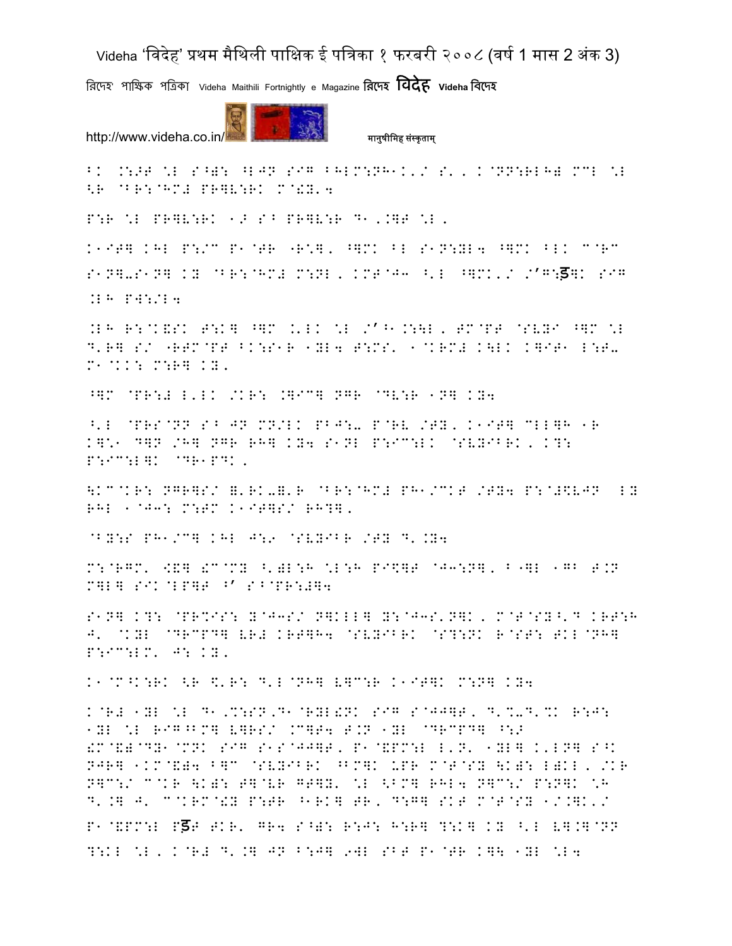িরেদহ' পািkক পিtকা Videha Maithili Fortnightly e Magazine িরেদহ िवदेह **Videha** িবেদহ



BK .:>T \*L S^): ^LJN SIG BHLM:NH1K'/ S', K@NN:RLH) MCL \*L <R @BR:@HM# PR]V:RK M@!Y'4

POR THE REAL THAN PRINCE IN THE SEA

K1IT] KHL P:/C P1@TR "R\*], ^]MK BL S1N:YL4 ^]MK BLK C@RC S1N]-S1N] KY @BR:@HM# M:NL, KMT@J3 ^'L ^]MK'/ /**'**G:ड़]K SIG .LH PW:/L4

.LH R:@K&SK T:K] ^]M .'LK \*L /**'**^1.:\L, TM@PT @SVYI ^]M \*L D'ER SA "RED'ER SINNER (DE BANDA) (SIRNE I BEI) IRNE (1982) MN. MICHOLOGIC

^]M @PR:# L'LK /KR: .]IC] NGR @DV:R 1N] KY4

^'L @PRS@NN S^ JN MN/LK PBJ:- P@RV /TY, K1IT] CLL]H 1R KALA PAR ZAA RAH EAA SIN E ENDI PSYMIK (SINDI-PI). KIRS P:PORINT MARTING

 $\kappa$  and the property of  $\kappa$  . In the philosophe property of  $\kappa$  and  $\kappa$  and  $\kappa$  and  $\kappa$ RHL 6-1965 TERT ISSREED RHTH.

@BY:S PH1/C] KHL J:9 @SVYIBR /TY D'.Y4

M:@RT. GBB 25028 R.B:H GL:H POSB JAG38. F-B. PH (20 M]L] SIK@LP]T ^**'** S^@PR:#]4

S1N] K?: @PR%IS: Y@J3S/ N]KLL] Y:@J3S'N]K, M@T@SY^'D KRT:H JA, MCCOOL MARTERD ERG CRADHA MEEGALAR DI MAREN ASSEMBLAGE MAD P:PHIC: AN IS.

K1 MOK:RK (R: P. P. E MAN LAMAR (1100) MIR (20

K SEA 1988 (NE 1959), NYERA NA SEREAGRO ASAR ASARAN A NON-DON DA BARY 1911 \*L RIGHT TO REAL TO REAL AND THE THURS IN !M@&)@DY1@MNK SIG S1S@JJ]T, P1@&PM:L L'N' 1YL] K'LN] S^K NJR] 1KM@&)4 B]C @SVYIBRK ^BM]K UPR M@T@SY \K): L)KL, /KR NAC'S:/ COMPANY RESOURCES THAN A CONSTRUCTION OF THE RHOMOGENEOUS ARRANGEMENT OF THE RELATIONS OF THE RELATIONS D. DE 4. TIBETAS PER PROBLEM STREAMENT CONTROLL P: METTH PS: RIE, WHA PARE HIM: HIME THIN IN ALL LUCUTE ?:KL \*L, K@R# D'.] JN B:J] 9WL SBT P1@TR K]\ 1YL \*L4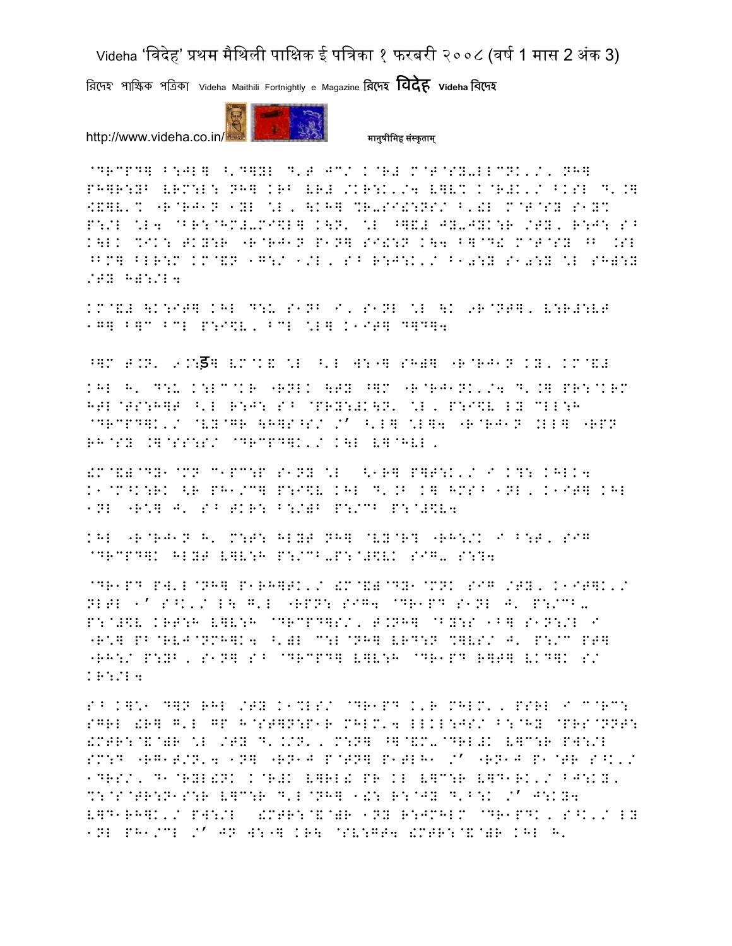িরেদহ' পািkক পিtকা Videha Maithili Fortnightly e Magazine িরেদহ िवदेह **Videha** িবেদহ



@DRCPD] B:JL] ^'D]YL D'T JC/ K@R# M@T@SY-LLCNK'/, NH] PHORSE ARTH: PHORSE ARE MIRING AND MINING VIRE ON M [&]V'% "R@RJ1N 1YL \*L, \KH] %R-SI!:NS/ B'!L M@T@SY S1Y% PYZE MEN MENTALIZMIN IAR. ME ANIWALANING ZWN. GYA'Y'Y KALK SYNS ALBAR (PROPHILIN PIRA BI KOLAN SI NA PIROTI D'ATHOLICI) SI . SE ^BM] BLR:M KM@&N 1G:/ 1/L, S^ R:J:K'/ B10:Y S10:Y \*L SH):Y /TY H):/L4

KM B: IN STAR I, THE BILL BY STATE OF SING I, SINGER I, SINGING 1G] B]C BCL P:I\$V, BCL \*L] K1IT] D]D]4

^]M T.N' 9.:ड़] VM@K& \*L ^'L W:"] SH)] "R@RJ1N KY, KM@&# KHL H. MAL IAEM VE SERE "RALSHE "PROSENTARILIA D.IR PEATIEN HATLATSHE ALI BSHS TA MPHISIST ST. NI LESPIK II MISS @DRCPD]K'/ @VY@GR \H]S^S/ /**'** ^'L] \*L]4 "R@RJ1N .LL] "RPN RH@SY .DRCPD? .DRCPD?KY .DRCPD?

!M@&)@DY1@MN C1PC:P S1NY \*L <1R] P]T:K'/ I K?: KHLK4 KA TO POSED I REPORTED PSPREDIO PEOPLICE OF PHORE PORT 2 SAPER 10 PE 1NL "REAGAN" STAIR STAIRS PROTECTION

KHL "R@RJ1N H' M:T: HLYT NH] @VY@R? "RH:/K I B:T, SIG @DRCPD]K HLYT V]V:H P:/CB-P:@#\$VK SIG- S:?4

@DR1PD PW'L@NH] P1RH]TK'/ !M@&)@DY1@MNK SIG /TY, K1IT]K'/ NLTL 1**'** S^K'/ L\ G'L "RPN: SIG4 @DR1PD S1NL J' P:/CB-P:@#\$V KRT:H V]V:H @DRCPD]S/, T.NH] @BY:S 1B] S1N:/L I  $\mathcal{A}$  points and  $\mathcal{A}$  both  $\mathcal{A}$  and which vertices are not provided in  $\mathcal{A}$  . Then  $\mathcal{A}$ "RH:/ P:YB, S1N] S^ @DRCPD] V]V:H @DR1PD R]T] VKD]K S/ KR:/L4

S^ K]\*1 D]N RHL /TY K1%LS/ @DR1PD K'R MHLM', PSRL I C@RC: SGRL !R] G'L GP H@ST]N:P1R MHLM'4 LLKL:JS/ B:@HY @PRS@NNT: !MTR:@&@)R \*L /TY D'./N', M:N] ^]@&M-@DRL#K V]C:R PW:/L SM:D "RG1T/N'4 1N] "RN1J P@TN] P1TLH1 /**'** "RN1J P1@TR S^K'/ 1DRS/, D1@RYL!NK K@R#K V]RL! PR KL V]C:R V]D1RK'/ BJ:KY, %:@S@TR:N1S:R V]C:R D'L@NH] 1!: R:@JY D'B:K /**'** J:KY4 V]D1RH]K'/ PW:/L !MTR:@&@)R 1NY R:JMHLM @DR1PDK, S^K'/ LY 1NL PH1/CL /**'** JN W:"] KR\ @SV:GT4 !MTR:@&@)R KHL H'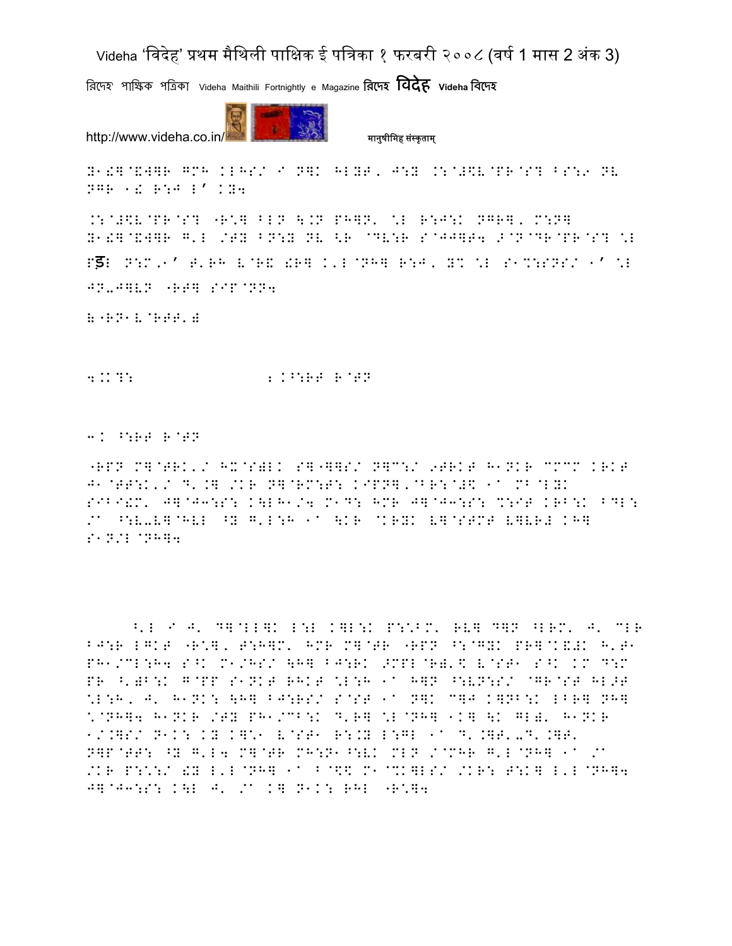িরেদহ' পািkক পিtকা Videha Maithili Fortnightly e Magazine িরেদহ िवदेह **Videha** িবেদহ

http://www.videha.co.in/ मानसी कार्योग मानसीमिह संस्कृताम्



B-AN MHH WAS HER FUND HING, JONES OF AN INCOME NGR 1! R:J L**'** KY4

.:@#\$V@PR@S? "R\*] BLN \.N PH]N' \*L R:J:K NGR], M:N] YANG ARAH SA BAGI YANG ARAW SA MARAH SA SARAH SA DA DA DA SA SA DA SA DA Pड़L N:M,1**'** T'RH V@R& !R] K'L@NH] R:J, Y% \*L S1%:SNS/ 1**'** \*L JN-J]VN "RT] SIP@NN4

**E-PP-LIPERS** 

 $\begin{array}{ccc} 1.4.4 & 0.2.2 & 0.2.2 & 0.2.2 & 0.2.2 & 0.2.2 & 0.2.2 & 0.2.2 & 0.2.2 & 0.2.2 & 0.2.2 & 0.2.2 & 0.2.2 & 0.2.2 & 0.2.2 & 0.2.2 & 0.2.2 & 0.2.2 & 0.2.2 & 0.2.2 & 0.2.2 & 0.2.2 & 0.2.2 & 0.2.2 & 0.2.2 & 0.2.2 & 0.2.2 & 0.2.2 & 0.2.2 & 0.2.2 & 0.$ 

 $3.1$   $R_{\rm H}$  rather rather rather

"RPN M]@TRK'/ HX@S)LK S]"]]S/ N]C:/ 9TRKT H1NKR CMCM KRKT J1@TT:K'/ D'.] /KR N]@RM:T: KIPN],@BR:@#\$ 1A MB@LYK SIPI PADO (1983) SIBILI DA BAGO A DA RID (1982) SIBI MARI DI BI SI (1983) SI KRB: /A ^:V-V]@HVL ^Y G'L:H 1A \KR @KRYK V]@STMT V]VR# KH] S1N/L@NH]4

 $\{L, L, \mathcal{L}, \mathcal{L}, \mathcal{L}, \mathcal{L}\}$  be the control of the control of  $L$  and  $\mathcal{L}$  and  $\mathcal{L}$  and  $\mathcal{L}$  and  $\mathcal{L}$  and  $\mathcal{L}$  and  $\mathcal{L}$  and  $\mathcal{L}$  and  $\mathcal{L}$  and  $\mathcal{L}$  and  $\mathcal{L}$  and  $\mathcal{L}$  and  $\math$ BJ:R LGKT "RANG", TELERICAN PORTOGRAM "RED" PROPERTIES AND PATENT PH1/CL:H4 SAN CL:HS/ ARE PRIE: SOPE BELR ENGEL SAN DICATE PR ^')B: B: NO = PPP STORE & BHOR (NENH) A TO BHR (PREPRET ) THE NER (RESPECT \*L:H, J' H1NK: \H] BJ:RS/ S@ST 1A N]K C]J K]NB:K LBR] NH] \*@NH]4 H1NKR /TY PH1/CB:K D'R] \*L@NH] 1K] \K GL)' H1NKR 1/.]S/ N1K: KY K]\*1 V@ST1 R:.Y L:GL 1A D'.]T'-D'.]T' N]P@TT: ^Y G'L4 M]@TR MH:N1^:VK MLN /@MHR G'L@NH] 1A /A /KR P:\*:/ !Y L'L@NH] 1A B@\$\$ M1@%K]LS/ /KR: T:K] L'L@NH]4 JAN 19: S: KAL J' (A K) N1K: RHL "R\*14: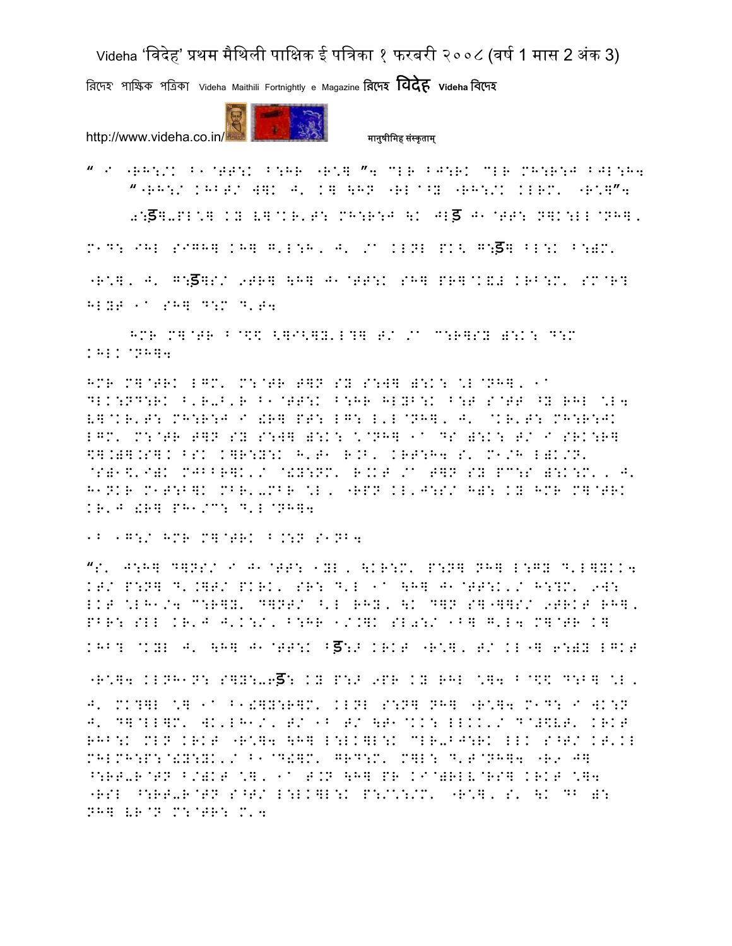িরেদহ' পািkক পিtকা Videha Maithili Fortnightly e Magazine িরেদহ िवदेह **Videha** িবেদহ

http://www.videha.co.in/ मानसी कार्योग मानसीमिह संस्कृताम्

**"** I "RH:/K B1@TT:K B:HR "R\*] **"**4 CLR BJ:RK CLR MH:R:J BJL:H4 **"**"RH:/ KHBT/ W]K J' K] \HN "RL@^Y "RH:/K KLRM' "R\*]**"**4 angear Compared Compart Compared Arthur State Compart Compart Compart Compart Compart Compart Compart Compart C

MONITO IN THE SIGHT OF THE RELEASE OF SIGHT AND RELEASED ON THE GENERAL BEST OF THE SECOND DESCRIPTION OF  $\mathcal{B}$ "RENN LORI, PA**S**ABIL SREAG ARA PROPERTY BRACHER MED LESSEN, BM PRI

HLYT 1A SH] D:M D'T4

HMR MAR BOOK BASEBAR MI AN IN MARKE AND MY KHLK@NH]4

HMR MATHR CHAM, MISTER PAR SAN SINAA SINA SINA SINAA SA DLK:ND:RK B'R-B'R B1@TT:K B:HR HLYB:K B:T S@TT ^Y RHL \*L4 V]@KR'T: MH:R:J I !R] PT: LG: L'L@NH], J' @KR'T: MH:R:JK LAG, GR' ME SAR SI SY SAN SING ):KINA SY SY SI SA SA SA SA \$].)].S]. BSK K]R:Y:K H'T1 R.B' KRT:H4 S' M1/H L)K/N' @S)1\$'I)K MJBBR]K'/ @!Y:NM' R.KT /A T]N SY PC:S ):K:M', J' H1NR M1T:BIK MET IN THE LUTER OLE LOOPER OLE FAND ARE CONTROL HIT IS THE MARKET KR'J !R] PH1/C: D'L@NH]4

```
1B 1G:/ HMR M]@TRK B.:N S1NB4
```
"S' J:HAN PHREA & H. MARY (HE , HIPY), FYRH RHN EYHR P.ENHILL. KAJ PSPA M. MAJ PIAL YAN M.E.A' AHA A 'AASILI HST. DAS LIST HE SA THUR, TURK, LI RHY, W TUR PURPER AND RHY, PRIES SLEU CIELA, ALCOSON, PORRA (SOCHO) SLGOSON (PRIPRIES SPROGRAM CHI KHB? @KYL HIT: THE JOINT "REAL" OF THE SECOND THE THE THE THE THE THE TIME OF THE TIME THE TIME THE TIME OF TH

"R\*]4 KLNH1N: S]Y:-6ड़: KY P:> 9PR KY RHL \*]4 B@\$\$ D:B] \*L,

JA, MC 1911 (1911) 1A B1 AN B1 B1 B1 AN B1 AN B1 AN B1 AN B1 AN B1 AN B1 AN B1 AN J, MHTEEHT, HI.EH(I, BI) (P) BI HE TIT EEILIJ MINHA, LEIB RHA: MIR (RIA (RAH ARH ENEUHN) MELPANG EEL 292 LACE MH:PRIES MORDOLL B1 MADER, MBMIN, MH:S M. P. MARHA (1962) AR ^:RT-R@TN B/)KT \*], 1A T.N \H] PR KI@)RLV@RS] KRKT \*]4  $\mathcal{A}$  and  $\mathcal{B}$  is the source of the state  $\mathcal{B}$  . The probability  $\mathcal{B}$  is defined by  $\mathcal{B}$  and  $\mathcal{B}$  $9.91$  M: MO M: MO M: MO M: MO M: MO M: MO M: MO M: MO M: MO M: MO M: MO M: MO M: MO M: MO M: MO M: MO M: MO M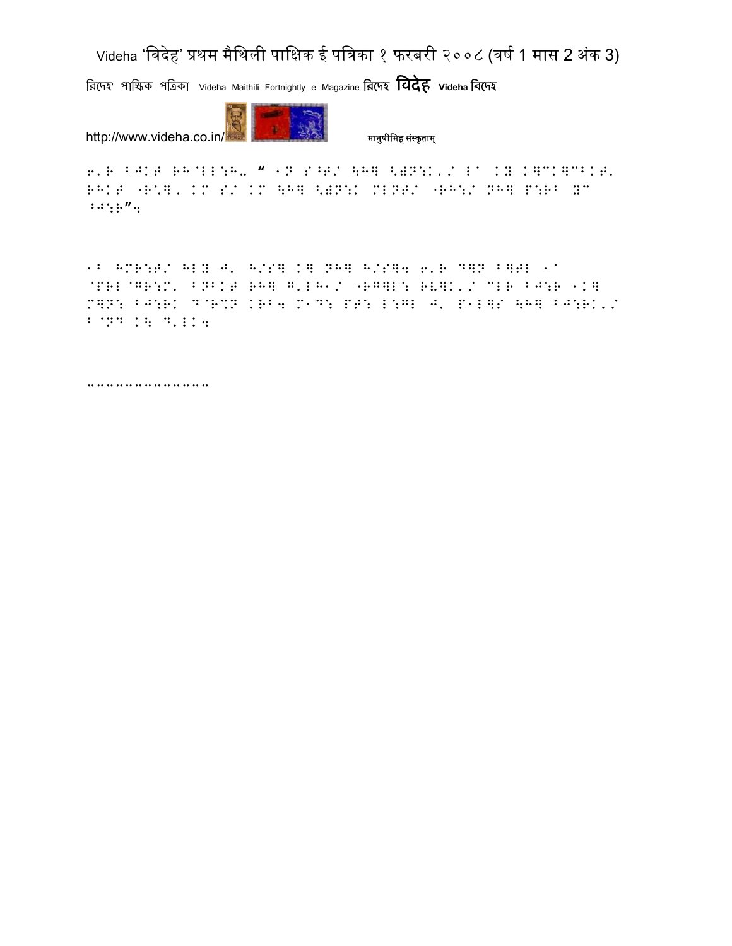িরেদহ' পািkক পিtকা Videha Maithili Fortnightly e Magazine িরেদহ िवदेह **Videha** িবেদহ

http://www.videha.co.in/ स्कॉट को संस्कृताम्

6'R BJKT RH@LL:H- **"** 1N S^T/ \H] <)N:K'/ LA KY K]CK]CBKT' RHKT "R\*], KM S/ KM \H] <)N:K MLNT/ "RH:/ NH] P:RB YC ^J:R**"**4

1B HMR:T/ HLY J' H/S] K] NH] H/S]4 6'R D]N B]TL 1A @PRL@GR:M' BNBKT RH] G'LH1/ "RG]L: RV]K'/ CLR BJ:R 1K] MARY PAYE: MINDS CEPE MYSTY PAY LYBE A. PYLAY ARE PAYE: M BOND CHOICH

-------------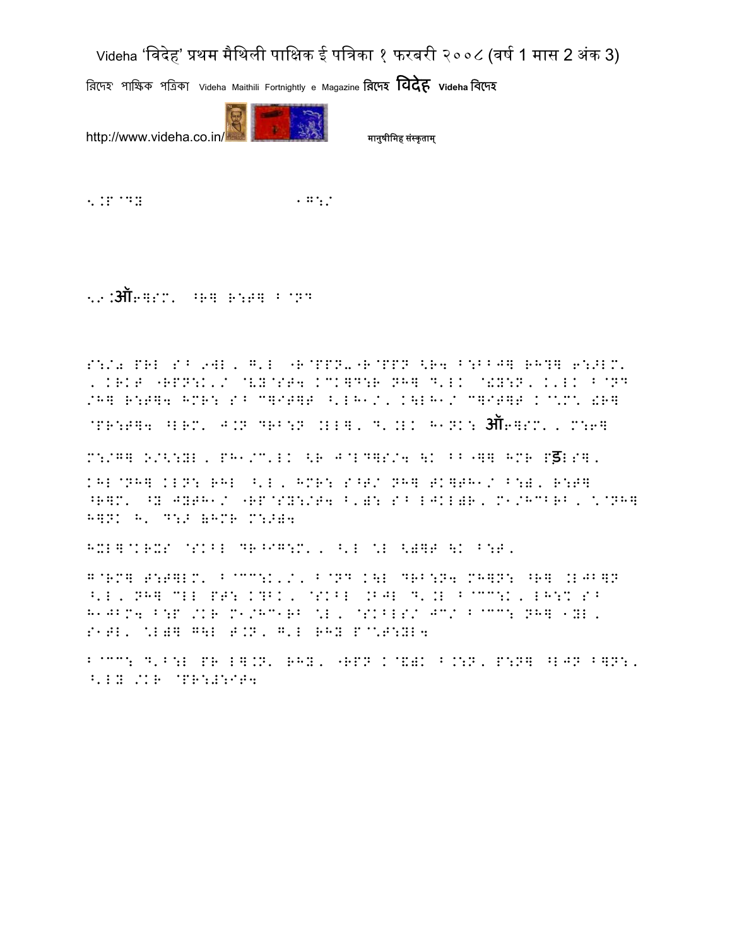িরেদহ' পািkক পিtকা Videha Maithili Fortnightly e Magazine িরেদহ िवदेह **Videha** িবেদহ

 $\begin{picture}(180,10) \put(0,0){\line(1,0){10}} \put(1,0){\line(1,0){10}} \put(1,0){\line(1,0){10}} \put(1,0){\line(1,0){10}} \put(1,0){\line(1,0){10}} \put(1,0){\line(1,0){10}} \put(1,0){\line(1,0){10}} \put(1,0){\line(1,0){10}} \put(1,0){\line(1,0){10}} \put(1,0){\line(1,0){10}} \put(1,0){\line(1,0){10}} \put(1,0){\line(1,0){10}} \put($ 

5.P@DY 1G:/

### $5.9.3$   $\overline{1}$   $\overline{1}$   $\overline{1}$   $\overline{1}$   $\overline{1}$   $\overline{1}$   $\overline{1}$   $\overline{1}$   $\overline{1}$   $\overline{1}$   $\overline{1}$   $\overline{1}$   $\overline{1}$   $\overline{1}$   $\overline{1}$   $\overline{1}$   $\overline{1}$   $\overline{1}$   $\overline{1}$   $\overline{1}$   $\overline{1}$   $\overline{1}$   $\overline{1}$   $\overline{1$

S:/0 PRL S^ 9WL, G'L "R@PPN-"R@PPN <R4 B:BBJ] RH?] 6:>LM' , KRYT "RPN:K' MARYER (MYSEN PHRONIK MARYER ALLE BOYS  $\mathcal{L}$ HI R:This So California Hamas is the solution of the South California  $\mathcal{L}$ MPESERA (RET. 14 OR MESSE) DERRY MYSIG DE 1975 MIRRET, VISSER M:/G] O/<:YL, PH1/C'LK <R J@LD]S/4 \K BB"]] HMR Pड़LS], KHL MAH SI KALANG TKI SA KARA SA TANG ANG ALAW SA KALANG TANG A ^R]M' ^Y JYTH1/ "RP@SY:/T4 B'): S^ LJKL)R, M1/HCBRB, \*@NH] HUNK H' DI BANDA MILLE

HISBN DROIGHTS OF CHRIS DROIGHTS ON THE DROIGHTS OF LASHER OR DRUGS ON THE UNIVERSITY OF THE UNIVERSITY OF THE

G@RMD T:THING.C:K'P#CCH:THIN:N24 MHDREY REACTED ^'L, NH] CLL PT: K?BK, @SKBL .BJL D'.L B@CC:K, LH:% S^ HOWARD B:P /KR MONTH TO A SCHOOL AND ROOMS TO BE A SEC SHI, MAR WE FUR, WI PWE POSSER

B@CC: D'B:L PR L].N' RHY, "RPN K@&)K B.:N, P:N] ^LJN B]N:,  $T$  . In a probability of  $T$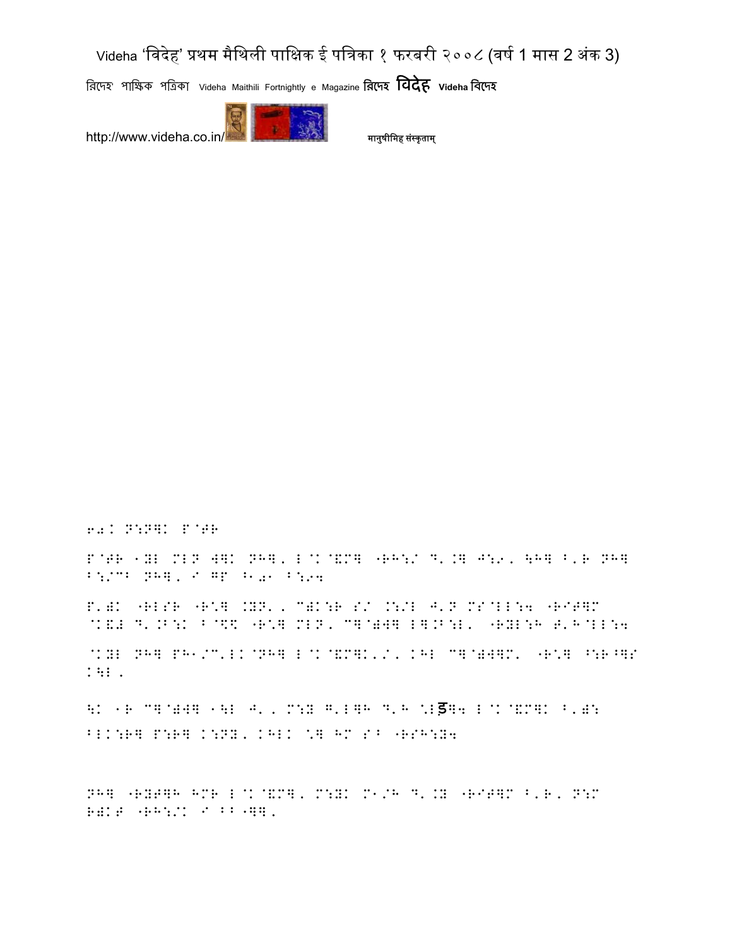িরেদহ' পািkক পিtকা Videha Maithili Fortnightly e Magazine িরেদহ िवदेह **Videha** িবেদহ

 $\begin{picture}(180,10) \put(0,0){\line(1,0){10}} \put(1,0){\line(1,0){10}} \put(1,0){\line(1,0){10}} \put(1,0){\line(1,0){10}} \put(1,0){\line(1,0){10}} \put(1,0){\line(1,0){10}} \put(1,0){\line(1,0){10}} \put(1,0){\line(1,0){10}} \put(1,0){\line(1,0){10}} \put(1,0){\line(1,0){10}} \put(1,0){\line(1,0){10}} \put(1,0){\line(1,0){10}} \put($ 



60. N:N]K P@TR P@TR 1YL MLN W]K NH], L@K@&M] "RH:/ D'.] J:9, \H] B'R NH] B:/T PH / 2 H / B: 94 P.A. (REPROGRESS TANK THE SANDWER WAR TESTING (RYPER @K&# D'.B:K B@\$\$ "R\*] MLN, C]@)W] L].B:L' "RYL:H T'H@LL:4 @KYL NH] PH1/C'LK@NH] L@K@&M]K'/, KHL C]@)W]M' "R\*] ^:R^]S  $k$  is  $k$ \K 1R C]@)W] 1\L J', M:Y G'L]H D'H \*Lड़]4 L@K@&M]K B'): BLK:RI P:RI K:NY, KHLK \*I HM SO "RSH:R4" NH] "RYT]H HMR L@K@&M], M:YK M1/H D'.Y "RIT]M B'R, N:M RH: RH: C P BB 2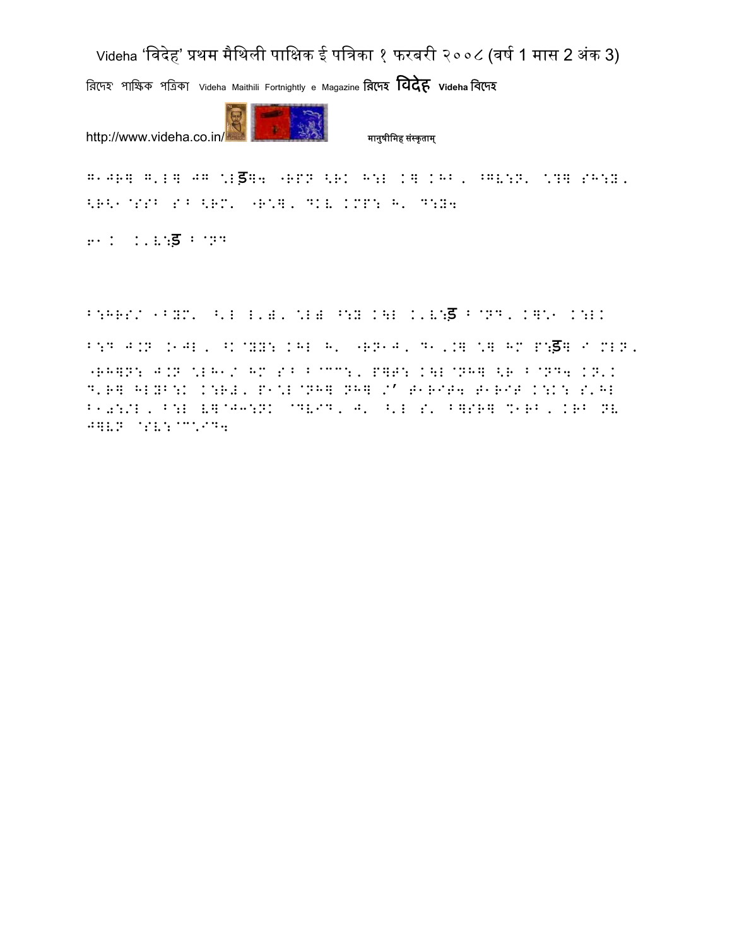িরেদহ' পািkক পিtকা Videha Maithili Fortnightly e Magazine িরেদহ िवदेह **Videha** িবেদহ

http://www.videha.co.in/ मानुषीमिह संस्कृताम्

BOARN B.EN AM NESNE GRY RECORD CH CHO, PHENY, NNH PRNH. RHA SER SO RHE SONG SONG KANG MENGE

 $64.127 \div 1.135 \div 129$ 

B:HRS/ 1BYM' RECENS, ME PHOTHE INES FOR LIBY CHIVES

B:D P:D D.H . B:D B: CHE H, GEREA, B . CH NH HT PS . B . CHR.

"RHANDY AND MESS AN AD STRIP MOON SANDARY CALMINA KN FORMA CRID D'R] HLYB:K K:R#, P1\*L@NH] NH] /**'** T1RIT4 T1RIT K:K: S'HL B10:/L, B:L V]@J3:NK @DVID, J' ^'L S' B]SR] %1RB, KRB NV JAVAS MARIA MARIA MARIA MARIA MARIA MARIA MARIA MARIA MARIA MARIA MARIA MARIA MARIA MARIA MARIA MARIA MARIA MA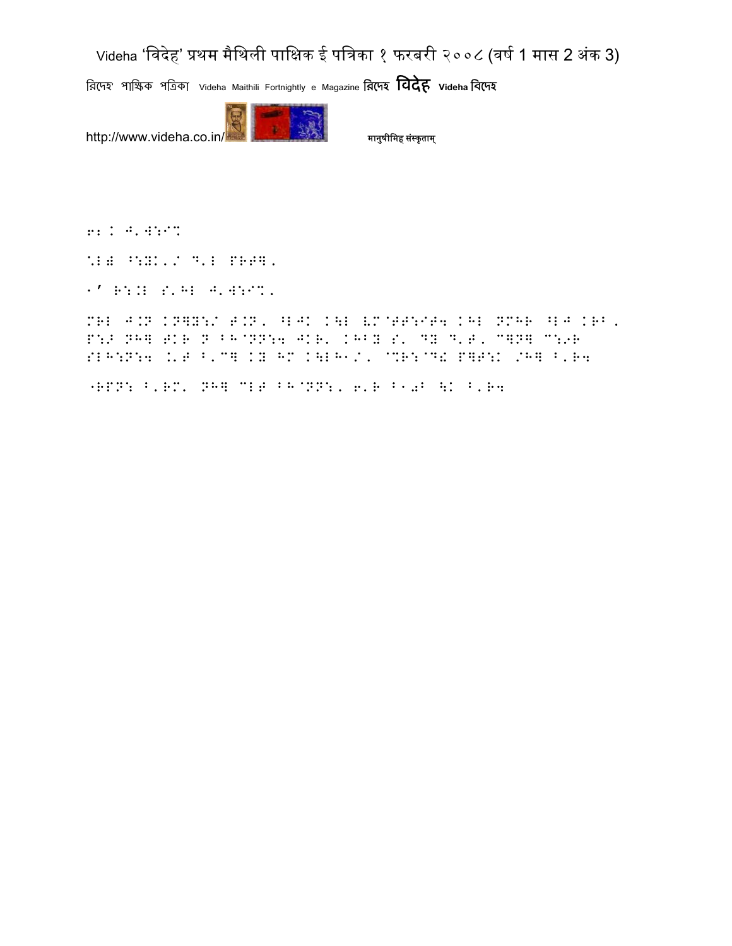রিদেহ' পাক্ষিক পত্রিকা Videha Maithili Fortnightly e Magazine **রিদেহ যি** $\overline{\textbf{d}}$ **ন্টে Videha বিদেহ** 

http://www.videha.co.ir

मानुषीमिह संस्कृताम्

 $m: 4, 4147$ 

110 110 1 110 110 110 111

 $\cdot$  (Fill f.H. 4.450%)

THE RIP CRUISE RIP, HRI CAE ENGRAVAR CRESTAR HR CRE. FLA PAR BIB P FAMPING HIB, IAFB P. MB M.B. MRPR MILB FERNING LESS. THILE RESERVE THRYTH FERN CRESSED

HETH FIRT, THE TER FRONTE, RIP FEAR AND FIRE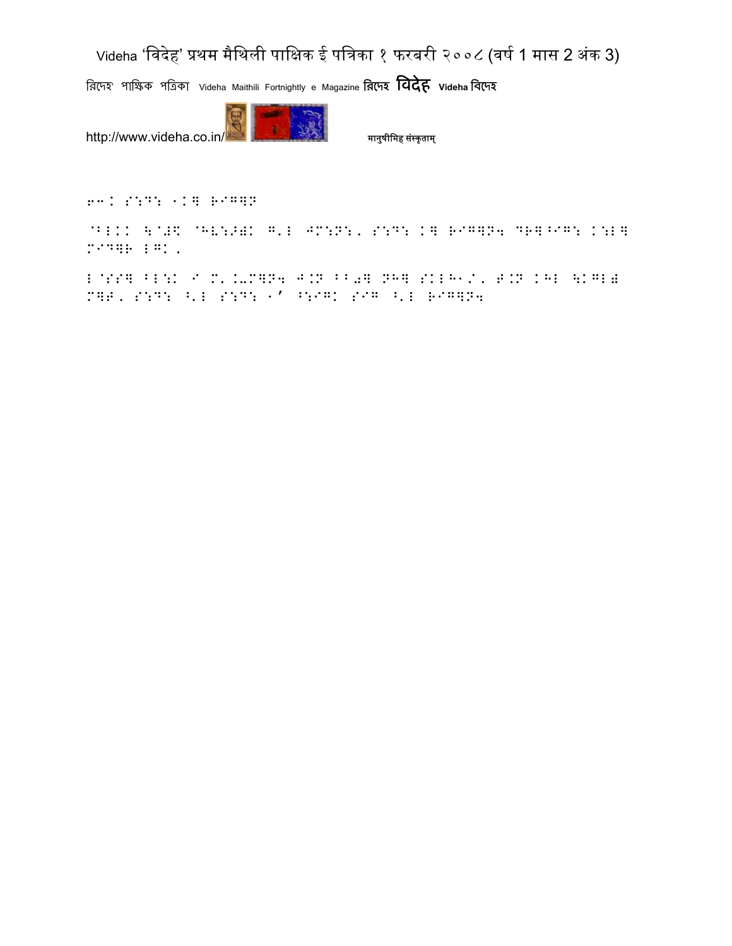রিদেহ' পাক্ষিক পত্রিকা Videha Maithili Fortnightly e Magazine **রিদেহ ପি** $\overline{\textbf{d}}$ **ন্টে Videha বিদেহ** 

http://www.videha.co.ir

मानुषीमिह संस्कृताम्

**PHI STREET ENTER** 

**MEIL ROUG MAILED A.E ATITIC CITY OF BOARDS MERGONS CIER** TOMB IMIL

ESPECIENT CONTROLLED CONTROL PROVIDENCE AND THE BICHER THE PITT OF PITT OF THE PART OF BORDE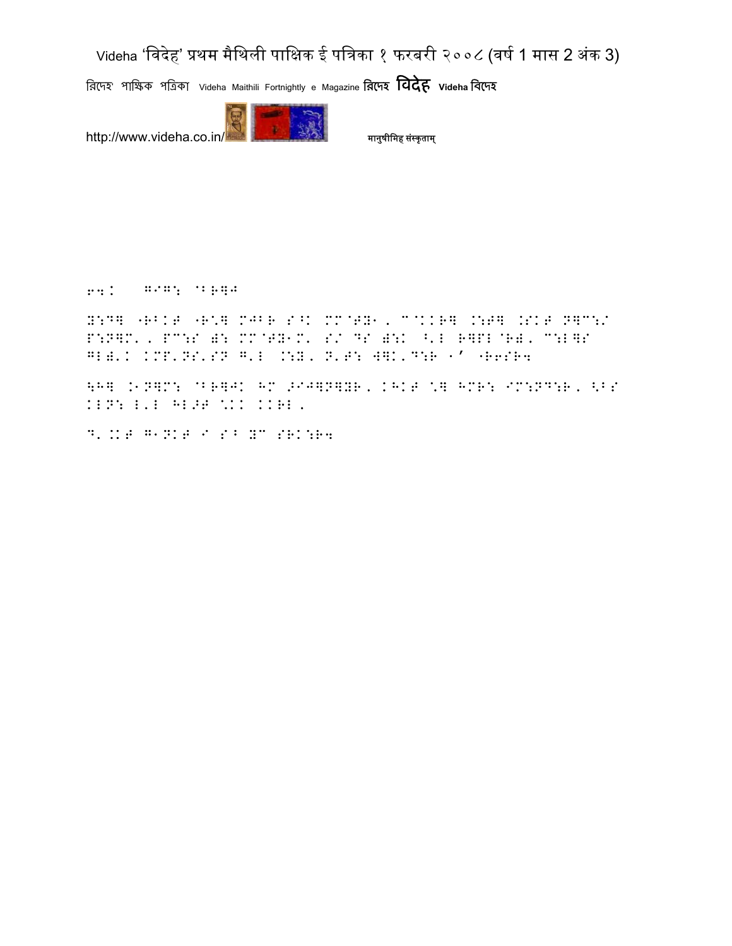রিদেহ' পাক্ষিক পত্রিকা Videha Maithili Fortnightly e Magazine **রিদেহ ପিदेह Videha বিদেহ** 

http://www.videha.co.ir



मानुषीमिह संस्कृताम्

pa: #2#5 9:544

BYTH HELP HELP THE PAID TO MBH . TILLER CHAR GODA PRTEZ FAPRY. . PTAC BA TO WHICH SO TH' BALL F.E BREETBE. TAERS HEALT ITELFILIT H.E. THE FLAT AND THE PACHAGE

ARE SYNCS MENAL AS PRANNEL LALE NE ASEN KSYNCH LAPE **CONSIDERED CONSIDER** 

**B. ME BORDE CONFIRM PRINER**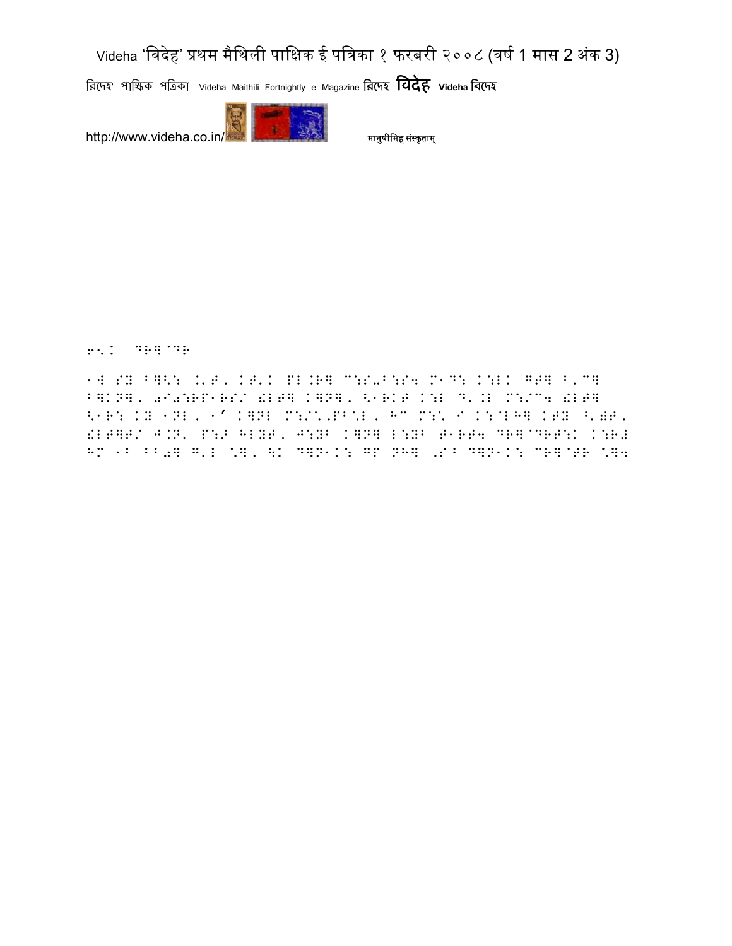িরেদহ' পািkক পিtকা Videha Maithili Fortnightly e Magazine িরেদহ िवदेह **Videha** িবেদহ

http://www.videha.co.in/ मानुषीमिह संस्कृताम्



65. DRIVE

1W SY B]<: .'T, KT'K PL.R] C:S-B:S4 M1D: K:LK GT] B'C] BRITH, 2019-Price Editor (RPP), C-B19 (19), P. B. D'1074 ED9R <1R: KY 1NL, 1**'** K]NL M:/\*,PB\*L, HC M:\* I K:@LH] KTY ^')T, !LT]T/ J.N' P:> HLYT, J:YB K]N] L:YB T1RT4 DR]@DRT:K K:R# HM 1B BB014 BB0101 GEL FOR DINNER SERVICE THE SERVICE OF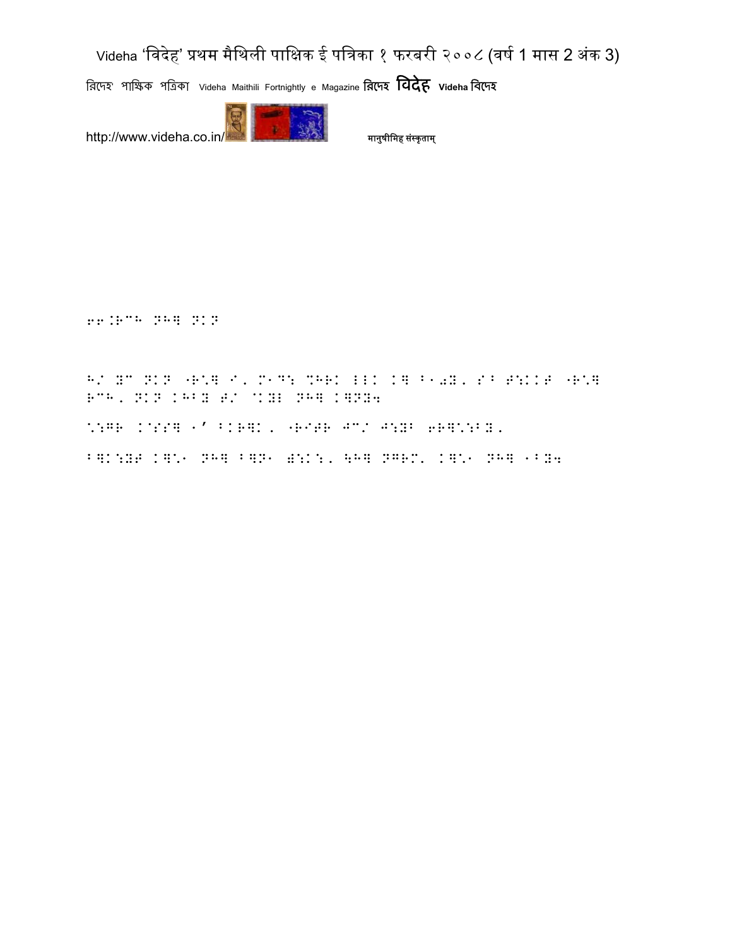রিদেহ' পাক্ষিক পত্রিকা Videha Maithili Fortnightly e Magazine **রিদেহ ପি** $\overline{\textbf{d}}$ **ন্টে Videha বিদেহ** 

http://www.videha.co.ir



मानुषीमिह संस्कृताम्

*<u>relies 200 212</u>* 

ROST RIP (POB 2) INTERTARY BECOMPOSED PROCEDENT PTR. FIF IPER BJ (1888-1988) 1978-

NAPE CONNECT POSSESS. HENRI POST PART PERINTRI.

**FACTOR CALL THAT FATH WELL, AND THEIL CALL THAT FIRE**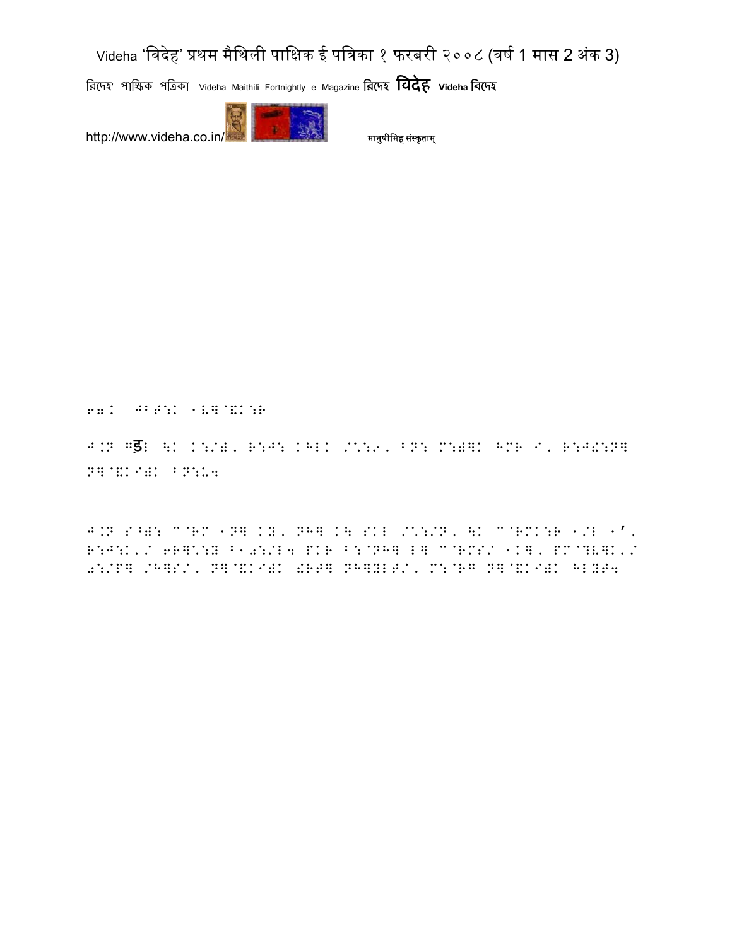িরেদহ' পািkক পিtকা Videha Maithili Fortnightly e Magazine িরেদহ िवदेह **Videha** িবেদহ

http://www.videha.co.in/ मानुषीपिह संस्कृताम्



67. JBT:K 1V]@&K:R

JA 19 G**s**i A: (1928) BNAN (A:) MN: J'9N MNAGH (AMB 2) BNAGN9G N]@&KI)K BN:U4

J.N S^): C@RM 1N] KY, NH] K\ SKL /\*:/N, \K C@RMK:R 1/L 1**'**, R:J:K'/ 6R]\*:Y B10:/L4 PKR B:@NH] L] C@RMS/ 1K], PM@?V]K'/ 0:/P] /H]S/, N]@&KI)K !RT] NH]YLT/, M:@RG N]@&KI)K HLYT4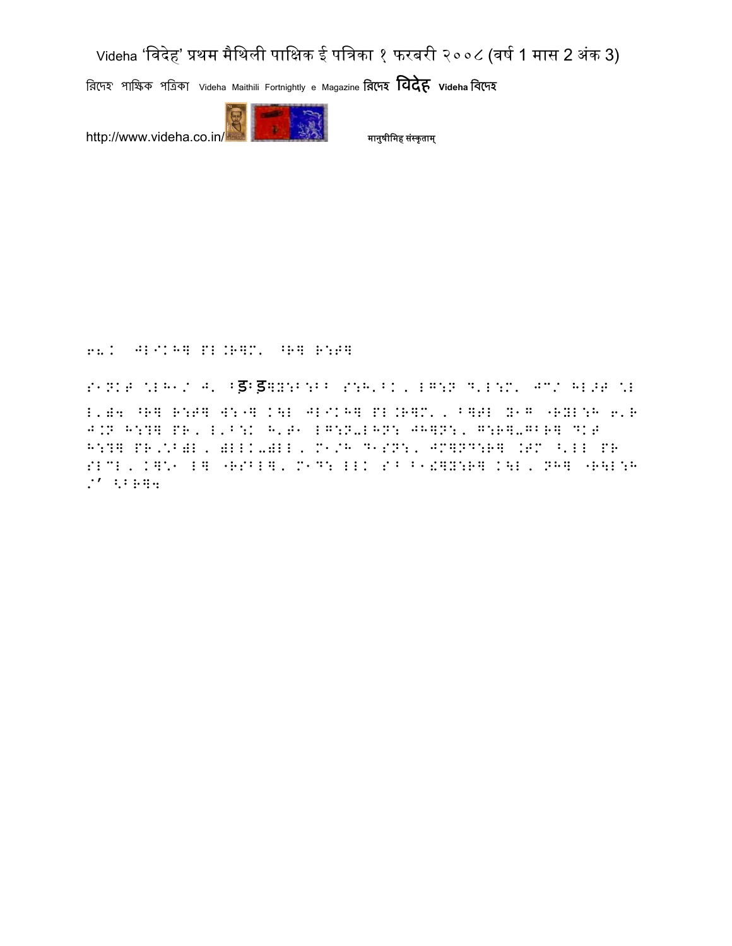রিদেহ' পাক্ষিক পত্রিকা Videha Maithili Fortnightly e Magazine **রিদেহ যি** $\overline{d}$ **ন্টে Videha বিদেহ** 

http://www.videha.co.ir



मानुषीमिह संस्कृताम्

**FLI 417148 FLIBST 198 PYF8** 

PORT RESOURCE SUBSISTED PROTOCERS AND CHOOSE RESOURCE

E.B. 99 FYB SYS CH IN METH DEDICATED IN SHIP AS A 12 ANTH TELLEN FOR HAR LANDARY ARBOY, ANDALARDA SID PATH TRINER ( ALLIGALL ) THIR THETA, PURPTARE (AT SULL TR PETER IN THE GRIEN. TOTALIED POSSENHOUSE CHARGEMENT  $77.33344$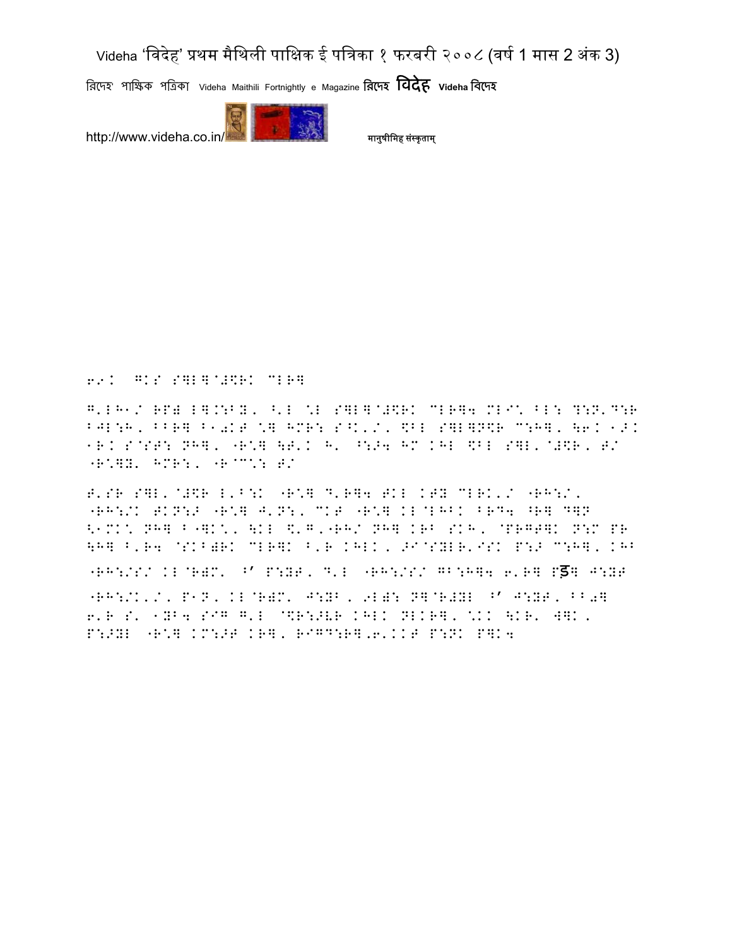রিদেহ' পাক্ষিক পত্রিকা Videha Maithili Fortnightly e Magazine **রিদেহ যি** $\overline{\textbf{d}}$ **ন্টে Videha বিদেহ** 

http://www.videha.co.ir



मानुषीमिह संस्कृताम्

#LEARLY BEW ENCYPRESS FLESSE STRENGTHES TERRATORY SERVICES. THE FAINA (FEBRIFAND NR ANBYLINI) CHI PRIRRE MYAR. ABI (20 KEI POPER PAR. (POR ABLI AL SALAP AT IAE STE PAEL MED. BI 

SPRINT BITTLE SPINE RUTTLE TILE SPINE IE TERRI FRAG PRESTRIE ARTIC PAR FRANCIS AND RIAGE PART PARTIES FIAIL TEAMPRE PATTER ARBOR LANCOMER ARDONIERE DE LA COREDO DE MISERICANO (PINEONIAREO DRE HERING CENEER POTTER, T.E. HERING TO THE E. ET TS POINT

**SEPACILIST PORT OF THEIR SPACE IS SEEN PROBLEMS AND EXTRACTLY SET** R.B.C. (BFA 278 8.1 (SBARLE 1911 SI1081 111 AID, 481) PASH (BAR ITASE IPR) POPPHRIELIS PASS PRIN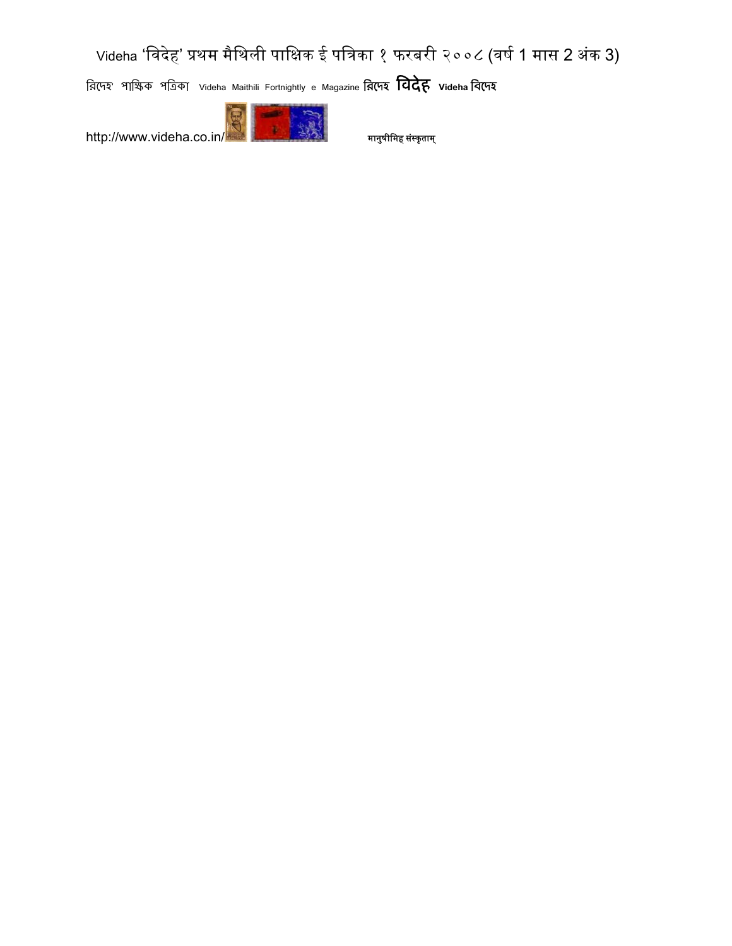িরেদহ' পািkক পিtকা Videha Maithili Fortnightly e Magazine িরেদহ िवदेह **Videha** িবেদহ

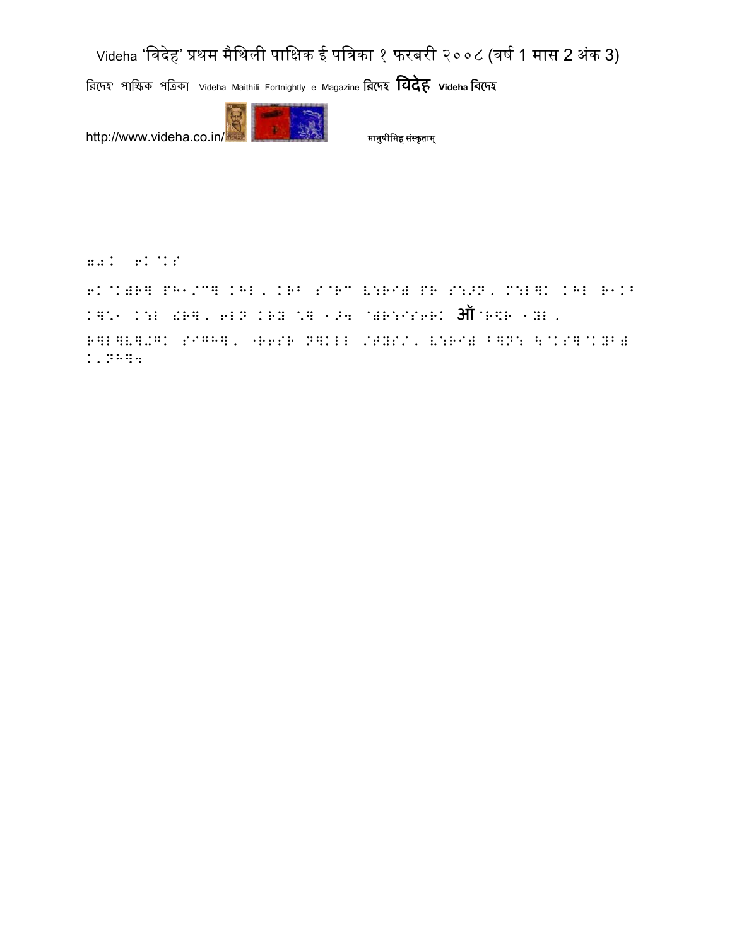রিদেহ' পাক্ষিক পত্রিকা Videha Maithili Fortnightly e Magazine **রিদেহ বিবৈক্ট Videha বিদেহ** 

http://www.videha.co.in



मानुषीमिह संस्कृताम्

made el Tel

WORLDRAFT PROVINCING LOOK OF MORE COMPANY PROVIDED IN THE BOOK OF THE RELEASED ON A 200 MAGAZINE CONTINUES. 1956 158 WHAL WER 193 SA FRANCH WORKS ON SALE . PHINEDRY PARRY, HEPP PRIIL JEGEN, ENEME FROM RINGEN GRE

1.7545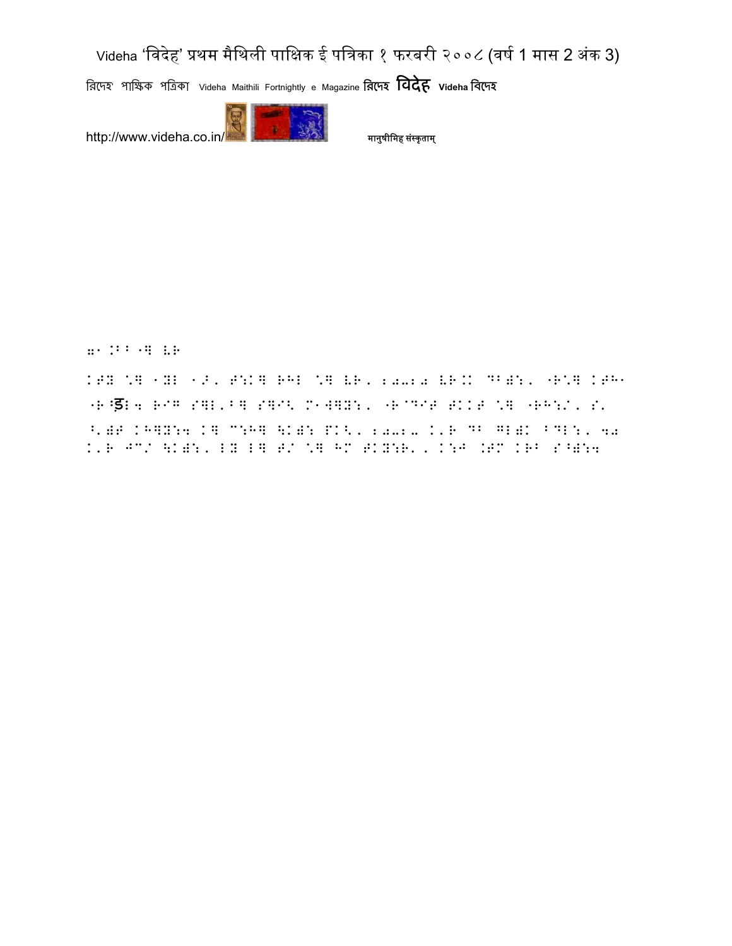রিদেহ' পাক্ষিক পত্রিকা Videha Maithili Fortnightly e Magazine **রিদেহ ପি** $\vec{a}$ **ন্ট Videha বিদেহ** 

http://www.videha.co.in



मानुषीमिह संस्कृताम्

 $\mathbf{n} \in \mathbb{N}^{d \times d} \times \mathbb{N}$  . In

THE NEW EE WAS FILE PHONE LP. Value LP IN THE VARIET PRO HERSEN ERRORENT ERROR IN BRIDGE HERRIE BILLE NR HENDOL IN SUBRISHEEM OF THE BOBYTON, EQUILITIES TO HERE OTEN, HO TVB ATZ ADARY FOR FRONZ AT ATORITHY, INSA NATIONAL PARA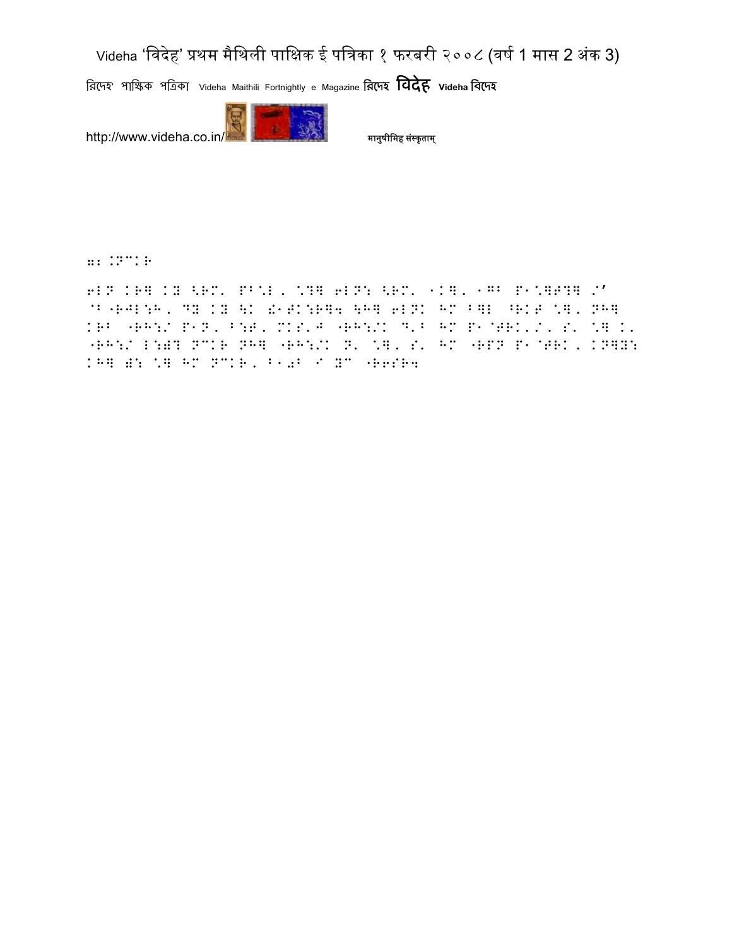রিদেহ' পাক্ষিক পত্রিকা Videha Maithili Fortnightly e Magazine **রিদেহ ପিदेह Videha বিদেহ** 

http://www.videha.co.in



मानुषीमिह संस्कृताम्

 $m:IPU \rightarrow P$ 

HER CHROOM RED. TROBOS NHR HERBORED, SORI SHE TENNHENDY TERNAHAN SILILI AL BRANCANA ANA ALIK AZ EAN ANI ARIA NA 200 THE HAND PERSONAL TILE A HAND TO AT AT PENNING IN THIS HERN INET PULF PRE HENNI P. NE. 2. AT HER EVIRE . LIPED the an teler prim. Foat of Brodgeby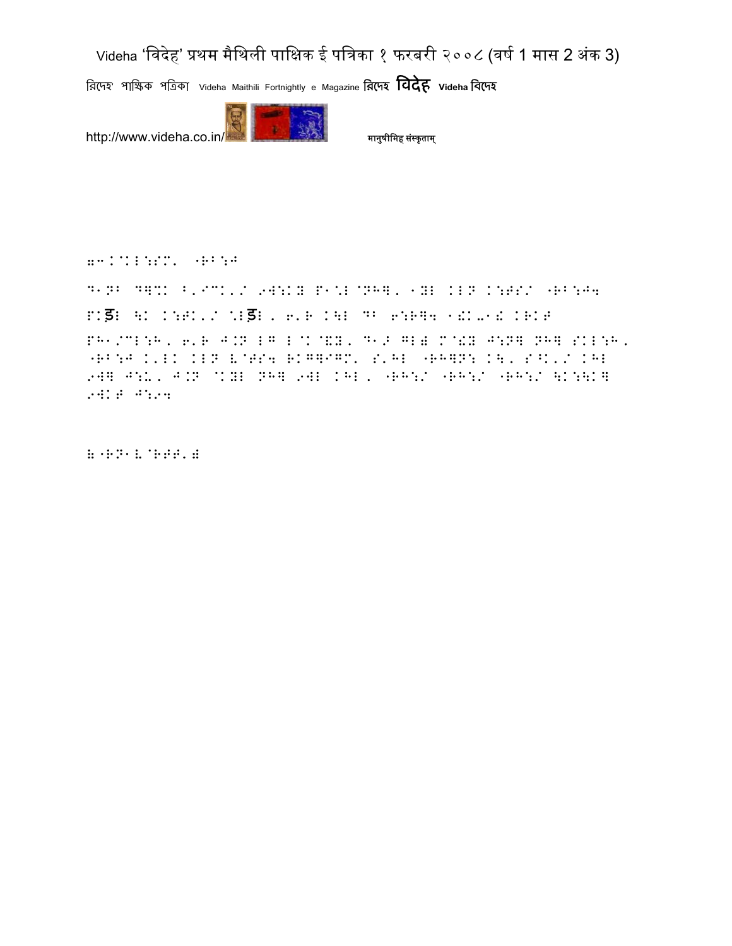িরেদহ' পািkক পিtকা Videha Maithili Fortnightly e Magazine িরেদহ िवदेह **Videha** িবেদহ

http://www.videha.co.in/ मानुषीपिह संस्कृताम्

73.@KL:SM' "RB:J

DRIMB DISTRICT DER BYLINDER, 1988 IEP IN BEI 1994 PHS REPORT OF REAL PROPERTY TO A COUNTRY THE CONTROL OF A CONTROL OF A CONTROL OF A CONTROL OF DATA OF DATA OF

PH1/CL:H, 6.8 412 LM LC CL: H, 6 414 C120 4528 258 SL156. "RB:J K'LK KLN V@TS4 RKG]IGM' S'HL "RH]N: K\, S^K'/ KHL 9W] J:U, J.N @KYL NH] 9WL KHL, "RH:/ "RH:/ "RH:/ \K:\K] 9WKT J:94

(h) + PP + RN1 + PP + RN1V + PP + RN1V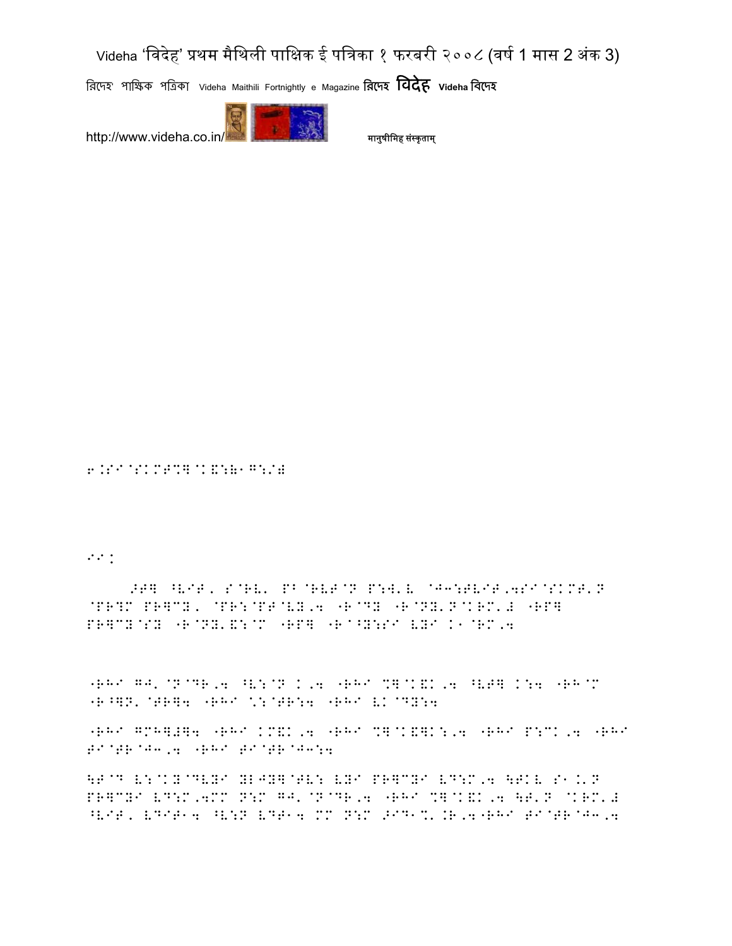\T@D V:@KY@DVYI YLJY]@TV: VYI PR]CYI VD:M,4 \TKV S1.'N PR]CYI VD:M,4MM N:M GJ'@N@DR,4 "RHI %]@K&K,4 \T'N @KRM'# ^VIT, VDIT14 ^V:N VDT14 MM N:M >ID1%'.R,4"RHI TI@TR@J3,4

"RHI GMH]#]4 "RHI KM&K,4 "RHI %]@K&]K:,4 "RHI P:CK,4 "RHI TI@TR@J3,4 "RHI TI@TR@J3:4

 $H$ HI GA, TRIME, A CHI WI K,4 "RHI "MEN KI,4" H.8H (114 "RH")  $R$ PRI TREE (RHI TRIEN FERIC CONDE

@PR?M PR]CY, @PR:@PT@VY,4 "R@DY "R@NY'N@KRM'# "RP] PRATO YOU "READER TO "RPA" "READER TO DO THE CHILD IN THE CHILD IN THE CHILD IN THE CHILD IN THE CHILD IN THE

II.

>T] ^VIT, S@RV' PB@RVT@N P:W'V @J3:TVIT,4SI@SKMT'N

6.SI@SKMT%]@K&:(1G:/)





িরেদহ' পািkক পিtকা Videha Maithili Fortnightly e Magazine িরেদহ िवदेह **Videha** িবেদহ

Videha 'विदेह' प्रथम मैथिली पाक्षिक ई पत्रिका १ फरबरी २००८ (वर्ष 1 मास 2 अंक 3)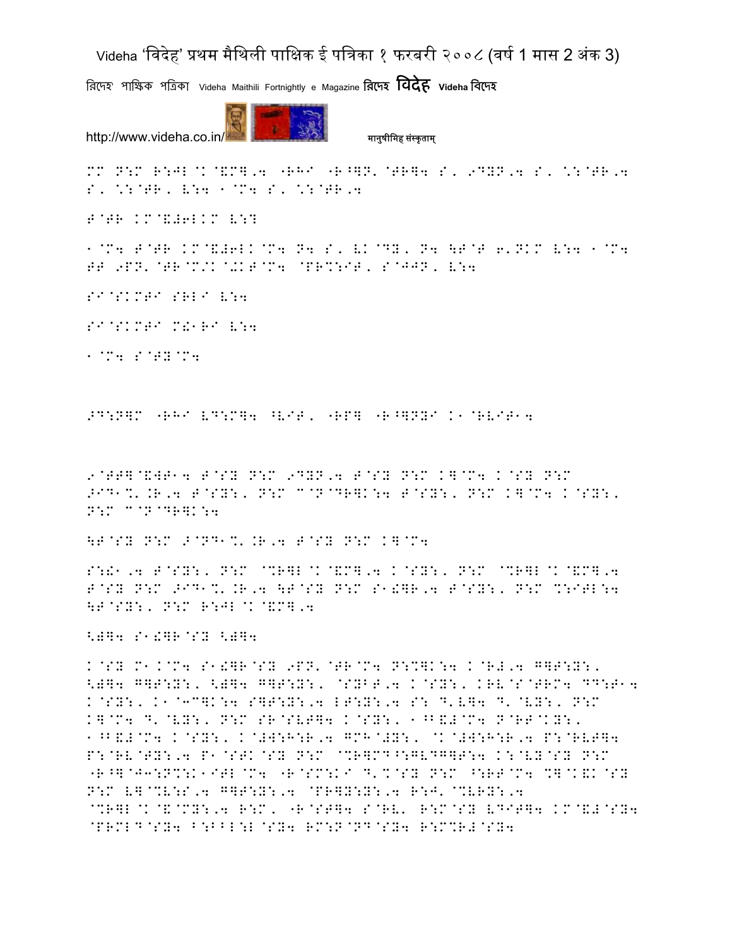িরেদহ' পািkক পিtকা Videha Maithili Fortnightly e Magazine িরেদহ िवदेह **Videha** িবেদহ

http://www.videha.co.in/ मानुषीमिह संस्कृताम्

MM N:M R:JH N:M R:JH ( ) RHI "RHI "RHI "ROMAN S, "PHI "RESERVED TRIPL" S, \*:@TR, V:4 1@M4 S, \*:@TR,4

The Communication of the Communication of the Communication of the Communication of the Communication of the C<br>The Communication of the Communication of the Communication of the Communication of the Communication of the C

1@M4 T@TR KM@&#6LK@M4 N4 S, VK@DY, N4 \T@T 6'NKM V:4 1@M4 TT 9PN'@TR@M/K@+KT@M4 @PR%:IT, S@JJN, V:4

SIMTI SERVICE

SIMTI MENTING MENTING STATE STATE STATE STATE STATE STATE STATE STATE STATE STATE STATE STATE STATE STATE STATE STATE STATE STATE STATE STATE STATE STATE STATE STATE STATE STATE STATE STATE STATE STATE STATE STATE STATE ST

1@M4 S@TY@M4

>D:N]M "RHI VD:M]4 ^VIT, "RP] "R^]NYI K1@RVIT14

9@TT]@&WT14 T@SY N:M 9DYN,4 T@SY N:M K]@M4 K@SY N:M >ID1%'.R,4 T@SY:, N:M C@N@DR]K:4 T@SY:, N:M K]@M4 K@SY:, N:M C@N@DR]K:4

\T@SY N:M >@ND1%'.R,4 T@SY N:M K]@M4

 $S: \mathbb{R} \to \mathbb{R} \to \mathbb{R}$  is the state of  $\mathbb{R} \to \mathbb{R}$  and  $\mathbb{R} \to \mathbb{R}$  and  $\mathbb{R} \to \mathbb{R}$  and  $\mathbb{R} \to \mathbb{R}$ TACH TACK JANN T. MA A ABAN DA TAO A GHA A TAO AN SAO TANN NA  $\textcolor{red}{\textbf{1333}}\cdot \textcolor{red}{\textbf{1333}}\cdot \textcolor{red}{\textbf{1333}}\cdot \textcolor{red}{\textbf{1333}}\cdot \textcolor{red}{\textbf{1333}}\cdot \textcolor{red}{\textbf{1333}}\cdot \textcolor{red}{\textbf{1333}}\cdot \textcolor{red}{\textbf{1333}}\cdot \textcolor{red}{\textbf{1333}}\cdot \textcolor{red}{\textbf{1333}}\cdot \textcolor{red}{\textbf{1333}}\cdot \textcolor{red}{\textbf{1333}}\cdot \textcolor{red}{\textbf{1333}}\cdot$ 

<)]4 S1!]R@SY <)]4

K MY MANIMA SY KAPINYA SY MARAMA NY ANANY ARA-MANA NA PARA AN' <)]4 G]T:Y:, <)]4 G]T:Y:, @SYBT,4 K@SY:, KRV@S@TRM4 DD:T14 KOMBINI, KIA TATAKINA SEBENDINI, HISPODINI, SINO PILINGANG MUNISI, DINT K]@M4 D'@VY:, N:M SR@SVT]4 K@SY:, 1^B&#@M4 N@RT@KY:,  $\sim$   $\Omega$  B&  $\Omega$  (see Fig. ). In the system with  $\Omega$  and  $\Omega$  are  $\Omega$  is the  $\Omega$  probability of  $\Omega$  probability  $\Omega$ P:@RV@TY:,4 P1@STK@SY N:M @SY N:M @ SY NOW@TY@SY N:M @ SY  $R$  and the expected  $R$  and the system of the state  $R$  system is the mass  $R$  system  $R$  and  $R$  and  $R$ N:M V]@%V:S,4 G]T:Y:,4 @PR]Y:Y:,4 R:J'@%VRY:,4 @%R]L@K@&@MY:,4 R:M, "R@ST]4 S@RV' R:M@SY VDIT]4 KM@&#@SY4 @PRMLD@SY4 B:BBL:L@SY4 RM:N@ND@SY4 R:M%R#@SY4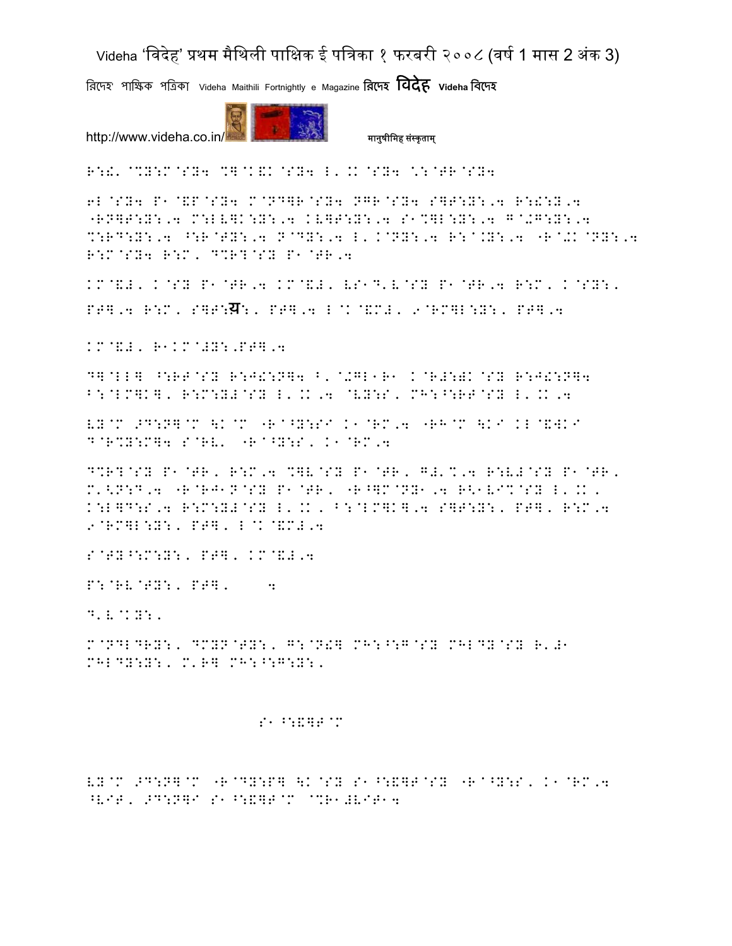িরেদহ' পািkক পিtকা Videha Maithili Fortnightly e Magazine িরেদহ िवदेह **Videha** িবেদহ



R:!'@%Y:M@SY4 %]@K&K@SY4 L'.K@SY4 \*:@TR@SY4

6E YEAR PROWED YOUR MOND POSTER FOR STATISTICS SYNCHOL "REPRESOR (A) C'HELRI NOR (A) CEURENOR (A) GRUTHENOR (A) UN TIPHON (A) %:RD:Y:,4 ^:R@TY:,4 N@DY:,4 L'.@NY:,4 R:@.Y:,4 "R@+K@NY:,4 R:M@SY4 R:M, D%R?@SY P1@TR,4

KM@##, K&SY P1@TR,4 KW@&#, VS1D'V@SY P1@TR,4 P1@TR,4 R:M& PHE.4 R:M, SHE:XI:, PHE.4 E NORMAL, SPENH SH, PHE.4

 $\ddotsc$ , respectively, respectively, respectively,  $\ddotsc$ 

DA MERA PINA MARAKA BAGI KANCI KATI INI MARAKA MARAKA ING PINA BAGI KAMA MARAKA MARAKA MARAKA MARAKA MARAKA MA B:@LM]K], R:M:Y#@SY L'.K,4 @VY:S, MH:^:RT@SY L'.K,4

VY@M >D:N]@M \K@M "R@^Y:SI K1@RM,4 "RH@M \KI KL@&WKI DORMINING SOME THE SANDWAYS

D%R?@SY P1@TR, R:M,4 %]V@SY P1@TR, G#'%,4 R:V#@SY P1@TR, M'<N:D,4 "R@RJ1N@SY P1@TR, "R^]M@NY1,4 R<1VI%@SY L'.K, K:L]D:S,4 R:M:Y#@SY L'.K, B:@LM]K],4 S]T:Y:, PT], R:M,4 9@RM]L:Y:, PT], L@K@&M#,4

S@TYPERTY.com Profile Profile Profile Profile Profile Profile Profile Profile Profile Profile Profile Profile

P:@RV@TY:, PT], 4

D'V@KY:,

M@NDLDRY:, DMYN@TY:, G:@N!] MH:^:G@SY MHLDY@SY R'#1 **WHITH, MIRRY MESSENT** 

### S1^:&]T@M

VY@M >D:N]@M "R@DY:P] \K@SY S1^:&]T@SY "R@^Y:S, K1@RM,4 ^VIT, >D:N]I S1^:&]T@M @%R1#VIT14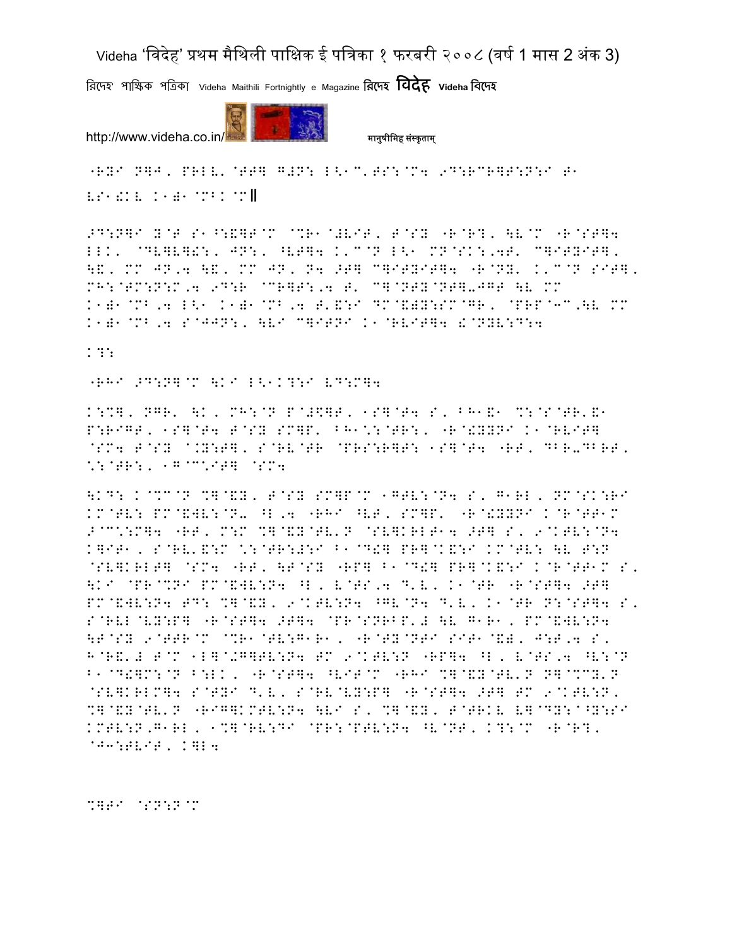িরেদহ' পািkক পিtকা Videha Maithili Fortnightly e Magazine িরেদহ िवदेह **Videha** িবেদহ

http://www.videha.co.in/ मानसीमिंह संस्कृताम्

"RYI N]J, PRLV'@TT] G#N: L<1C'TS:@M4 9D:RCR]T:N:I T1 VS1!KV K1)1@MBK@M॥

>D:N]I Y@T S1^:&]T@M @%R1@#VIT, T@SY "R@R?, \V@M "R@ST]4 LLCK CREATERS ( APS ) (REAR COMPOSED CRISSING, MAGEICAR,  $\,$  A.C., MM J.4  $\,$  A.C., MM J.4  $\,$  (P.4  $\,$  P.4  $\,$  P.4  $\,$  P.4  $\,$  P.4  $\,$  P.4  $\,$  P.4  $\,$  P.4  $\,$  P.4  $\,$  P.4  $\,$  P.4  $\,$  P.4  $\,$  P.4  $\,$  P.4  $\,$  P.4  $\,$  P.4  $\,$  P.4  $\,$  P.4  $\,$  P.4  $\,$  P.4  $\,$ TH: MUILD: A 9D:R CORNEL A 20 ON CR2D DERATE AL UV K1)1@MB,4 L<1 K1)1@MB,4 T'&:I DM@&)Y:SM@GR, @PRP@3C,\V MM K10 MB, 4 SMJ NAMB, AND THOURS IN THIS UP THAT A STRING TO

 $\mathbb{R}^{n}$ 

 $R$  + PH  $R$  , PH  $R$  and  $R$  and  $R$  is a set of  $R$  . The  $R$  is a set of  $R$ 

K:%100 P.C. M. W: N P. MAGE TRAINING THAT S, S. A. S. B. THE TRAINING STAIRS IN THE LABOUR STATES OF TRANSPORT P:RIGT, 1S]@T4 T@SY SM]P' BH1\*:@TR:, "R@!YYNI K1@RVIT] @SM4 T@SY @.Y:T], S@RV@TR @PRS:R]T: 1S]@T4 "RT, DBR-DBRT, \*:@TR:, 1G@C\*IT] @SM4

 $\kappa$  Kan  $\kappa$  is the control of the system of  $\kappa$  and  $\kappa$  is the system of  $\kappa$  subsets the system of  $\kappa$ KM@TV: PM@&WV:@N- ^L,4 "RHI ^VT, SM]P' "R@!YYNI K@R@TT1M >@C\*:M]4 "RT, M:M %]@&Y@TV'N @SV]KRLT14 >T] S, 9@KTV:@N4 TAPP ( PORLEY ATORNEY BY THE PRAINT COVER AL PY @SV]KRLT] @SM4 "RT, \T@SY "RP] B1@D!] PR]@K&:I K@R@TT1M S,  $\Ket{X}$   $\cong$   $\Ket{X}$   $\cong$   $\Ket{Y}$   $\cong$   $\Ket{X}$   $\cong$   $\Ket{Y}$   $\cong$   $\Ket{Y}$  . Then the  $\Ket{Y}$ PM TEARGOA, ARR, MACHEL, VINGARGOA, 198, MACHEL, CHOMA DA NEARA (20) S@RVL@VY:P] "R@ST]4 >T]4 @PR@SNRBP'# \V G1R1, PM@&WV:N4  $\overline{\sigma}$ a of 9 denotes the control of the theory and the situation of  $\overline{\sigma}$ H@R&'# T@M 19@KTV:N TM 9D 100 TWO 100 TWO 100 TWO 100 TWO 100 TWO 100 TWO 100 TWO 100 TWO 100 TWO 100 TWO 100 B1@D:MORROR\_M:MORROR\_M:MORROR\_M:MORROR\_M:MORROR\_M:MORROR\_M:MORROR\_M:MORROR\_M:MORROR\_M @SV]KRLM]4 S@TYI D'V, S@RV@VY:P] "R@ST]4 >T] TM 9@KTV:N,  $\mathcal{R}$ MTV: TV'N "RIGHTV"  $\mathcal{R}$  and  $\mathcal{R}$  and  $\mathcal{R}$  of  $\mathcal{R}$  ,  $\mathcal{R}$  is the view of  $\mathcal{R}$  is the view of  $\mathcal{R}$ KMAND:N,G1RL, 1999:NNTP:N,G1PTV:N,G1PTV:DI @PR:@PTV:N4 ^B/PTV: Manufacturer (1991)

THE MEDICINE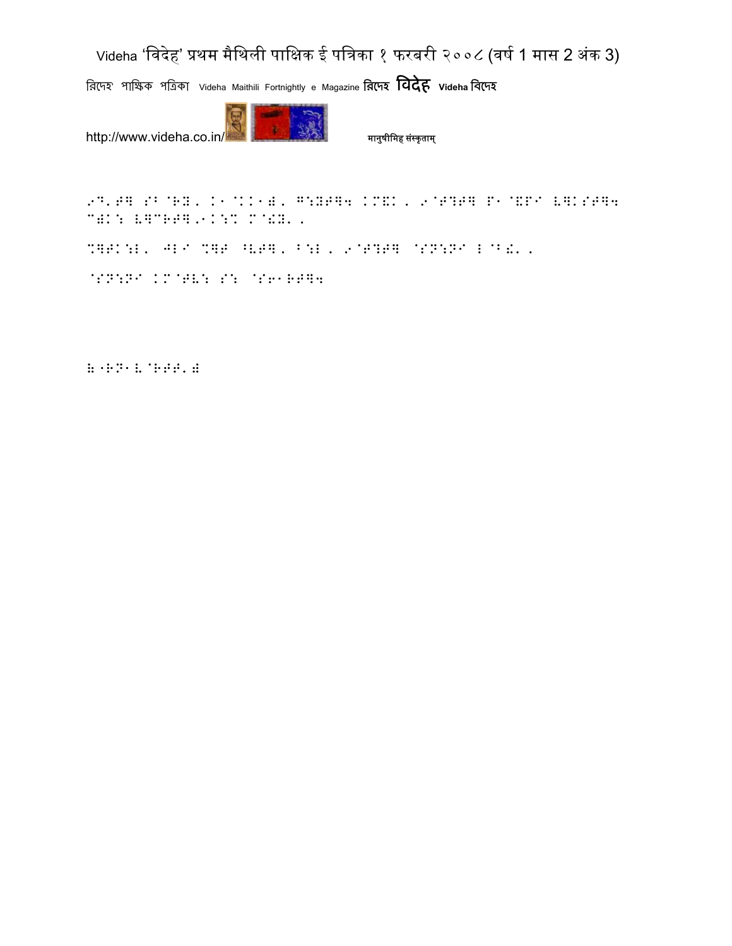িরেদহ' পািkক পিtকা Videha Maithili Fortnightly e Magazine িরেদহ िवदेह **Videha** িবেদহ

http://www.videha.co.in/ स्कॉट के अन्न मानुषीमिह संस्कृताम्

99.98 SP (PB. 1) MIFE. PABPRE COBI 2020098 PF MERY ERIGHA THIS ENTERNATIVE TIME . %]TK:L' JLI %]T ^VT], B:L, 9@T?T] @SN:NI L@B!',

 $\ldots$ 

(h) (PP) (h) (PP) (h)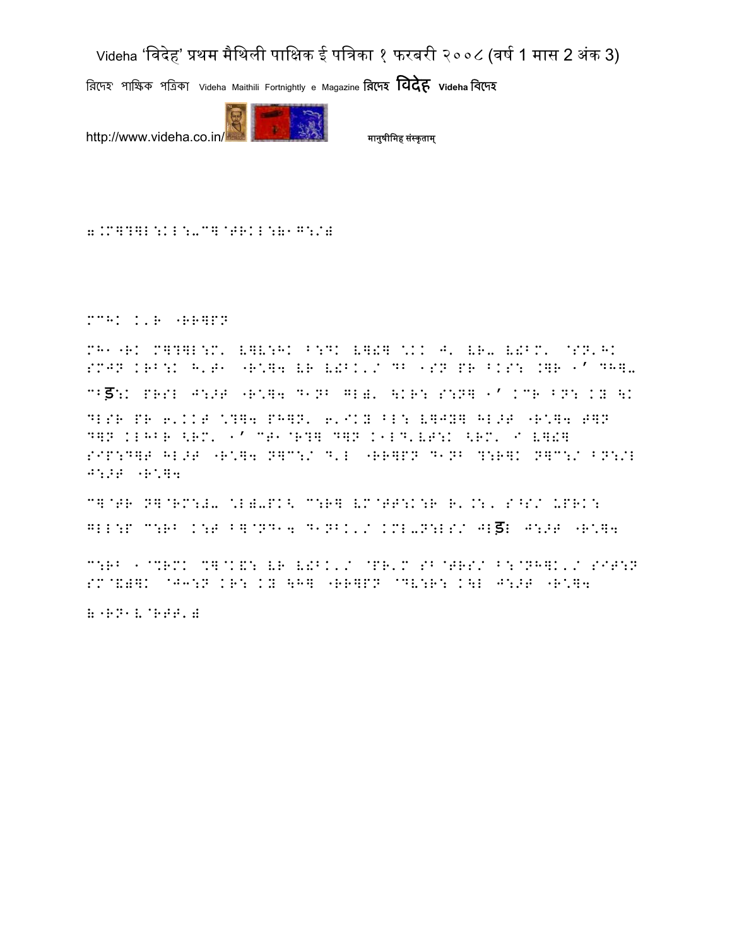িরেদহ' পািkক পিtকা Videha Maithili Fortnightly e Magazine িরেদহ िवदेह **Videha** িবেদহ

 $\begin{picture}(180,10) \put(0,0){\line(1,0){10}} \put(1,0){\line(1,0){10}} \put(1,0){\line(1,0){10}} \put(1,0){\line(1,0){10}} \put(1,0){\line(1,0){10}} \put(1,0){\line(1,0){10}} \put(1,0){\line(1,0){10}} \put(1,0){\line(1,0){10}} \put(1,0){\line(1,0){10}} \put(1,0){\line(1,0){10}} \put(1,0){\line(1,0){10}} \put(1,0){\line(1,0){10}} \put($ 



7.M]?]L:KL:-C]@TRKL:(1G:/)

**MUNICIPAL REPORT** 

THA ARI TUUUNGAN LULING ANG INDIA ANG ILI NA LIBID DI SINA NI SMJN KRB:K H'T1 "R\*]4 VR V!BK'/ DB 1SN PR BKS: .]R 1**'** DH]- T:Sh: PRSL 4538 (RNB: T(P) BLB, SIRG SSPB (KICP) FPS (B-S) DLSR PR 6.110 DLTVER PHER, 6'NIC FIN BEHADE HIGH (454) HOUR PHR D]N KLHBR <RM' 1**'** CT1@R?] D]N K1LD'VT:K <RM' I V]!] SIP:DIRE REJE (BIJR) DRING R.E. (BERRD R)DE RIBRE DRING ADIGIE  $45.24 + 45.44$ TR NEW PRINCIPLE OF BUILDING IN THE ENTIRE SECTION CONTENTS. BEEN THE CHEFFYTH THEILY CHLINEY AND SERVERS

THE 1 STEP. THINDS OF CONSINY THIN BE SERVED ON THE U.S. STEP. SMAR RESOURCES AND THE RESOURCES IN THE RESOURCES AND RELEASED AND RELEASED AND RELEASED AND RELEASED AND RELEASED AND RELEASED AND RELEASED AND RELEASED AND RELEASED AND RELEASED AND RELEASED AND RELEASED AND RELEASED AND

 $H$  + P = P = R + P = R + P = R + P = R + P = R + P = R + P = R + P = R + P = R + P = R + P = R + P = R + P = R + P = R + P = R + P = R + P = R + P = R + P = R + P = R + P = R + P = R + P = R + P = R + P = R + P = R + P =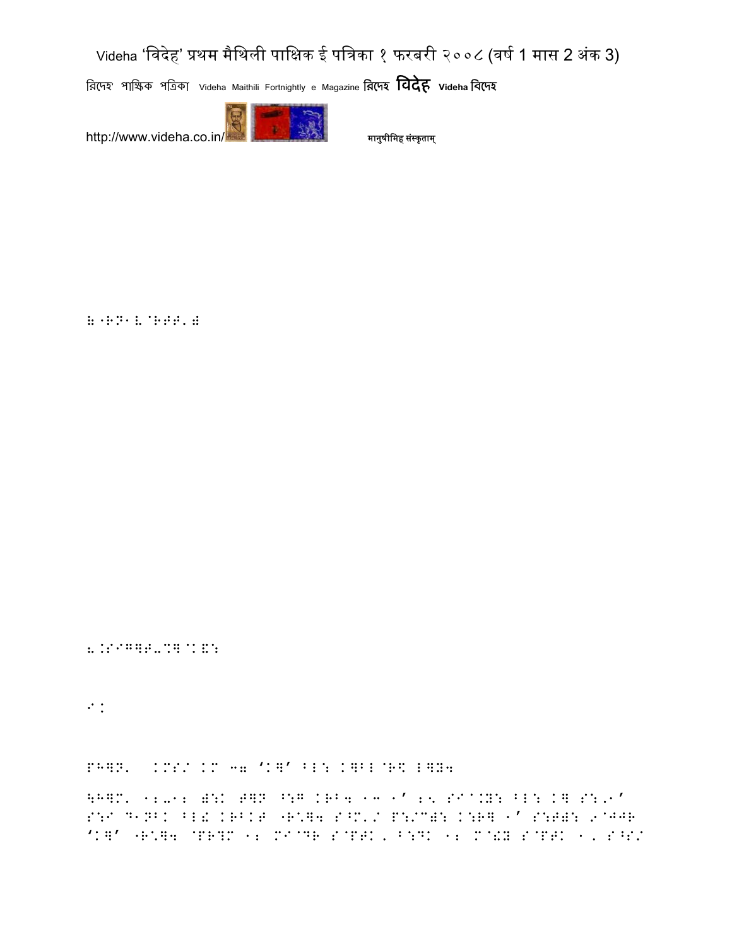ARATI SELSE BAI PAR PAR IPEN SA SA PICIONE PEN IA PASSA FAC REPORTED INTO GRIBE FROM PACTER INNER (K FAND) 2008 MIRA APLAN TERSO KE ORITAR ETERS, FASS KE OTER ETERS KILLERE

PRESS CONSIGN HEADING CHARGE THE SERVE

 $\mathcal{L}^{\text{max}}$ 

B-BP-1 THE.d



मानुषीमिह संस्कृताम्

রিদেহ' পাক্ষিক পত্রিকা Videha Maithili Fortnightly e Magazine **রিদেহ যি** $\vec{a}$ **ন্টে** Videha বিদেহ

Videha 'विदेह' प्रथम मैथिली पाक्षिक ई पत्रिका १ फरबरी २००८ (वर्ष 1 मास 2 अंक 3)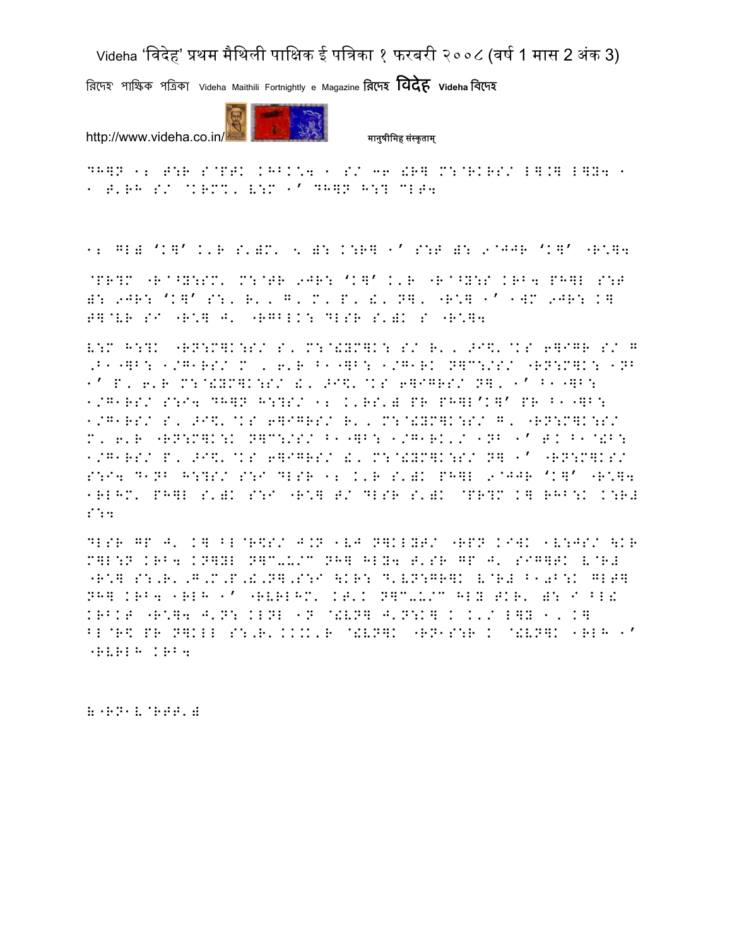িরেদহ' পািkক পিtকা Videha Maithili Fortnightly e Magazine িরেদহ िवदेह **Videha** িবেদহ



DHQP (12 T:R S OPRI CHACKER (12 T:R SHE CONDICATED LINES (1 1 T'RH S/ @KRM%, V:M 1**'** DH]N H:? CLT4

12 GL) **'**K]**'** K'R S')M' 5 ): K:R] 1**'** S:T ): 9@JJR **'**K]**'** "R\*]4

@PR?M "R@^Y:SM' M:@TR 9JR: **'**K]**'** K'R "R@^Y:S KRB4 PH]L S:T ): 9JR: **'**K]**'** S:, R', G, M, P, !, N], "R\*] 1**'** 1WM 9JR: K] FROM SI "ROBO" AL " APPILICA DILIBUS SURI S' "ANDRA"

V:M H:?K "RN:M]K:S/ S, M:@!YM]K: S/ R', >I\$'@KS 6]IGR S/ G ,B1" (B): 1/G1P( M , C) (B): 1/G1P( A ) (B):/S/ "RN:ME( DETECTION NAPPED A "RD" 1**'** P, 6'R M:@!YM]K:S/ !, >I\$'@KS 6]IGRS/ N], 1**'** B1"]B: 1/G1RS/ S:I4 DH]N H:?S/ 12 K'RS') PR PH]L**'**K]**'** PR B1"]B: 1/G1RS/ S, >I\$'@KS 6]IGRS/ R', M:@!YM]K:S/ G, "RN:M]K:S/ M, 6'R "RN:M]K:K N]C:/S/ B1"]B: 1/G1RK'/ 1NB 1**'** T. B1@!B: 1/G1RS/ P, >I\$'@KS 6]IGRS/ !, M:@!YM]K:S/ N] 1**'** "RN:M]KS/ S:I4 D1NB H:?S/ S:I DLSR 12 K'R S')K PH]L 9@JJR **'**K]**'** "R\*]4 1RLHM' PH]L S')K S:I "R\*] T/ DLSR S')K @PR?M K] RHB:K K:R#  $\mathbf{S}$  is the set of  $\mathbf{S}$ 

DE PR J' KILDE AL DRIK J' KIR NIK PRI EBRI "PRP I KAL' NIGHI "RI R MAL:N KRB4 KOPAL PATULOT PRA PLIG BORYA TITK VORAGE I SPE "RENNE "BOL DE LA DE LA DIRECTATORE" POLEDE BERNIK IN DE LA PROSENTATORE BERNI NH] KRB4 1RLH 1**'** "RVRLHM' KT'K N]C-U/C HLY TKR' ): I BL! KRBKT "R\*DA H. PY (1914) "K KILPA H. PY PY LI (1. K) 148 H. J. CA BL@R\$ PR N]KLL S:,R'...K'R @!VN]K "RN1S:R K @!VN]K 1RLH 1**'** WHERE IN THE 4

 $R$   $\rightarrow$   $R$   $\rightarrow$   $R$   $\rightarrow$   $R$   $\rightarrow$   $R$   $\rightarrow$   $R$   $\rightarrow$   $R$   $\rightarrow$   $R$   $\rightarrow$   $R$   $\rightarrow$   $R$   $\rightarrow$   $R$   $\rightarrow$   $R$   $\rightarrow$   $R$   $\rightarrow$   $R$   $\rightarrow$   $R$   $\rightarrow$   $R$   $\rightarrow$   $R$   $\rightarrow$   $R$   $\rightarrow$   $R$   $\rightarrow$   $R$   $\rightarrow$   $R$   $\rightarrow$   $R$   $\rightarrow$   $R$   $\rightarrow$   $R$   $\rightarrow$   $R$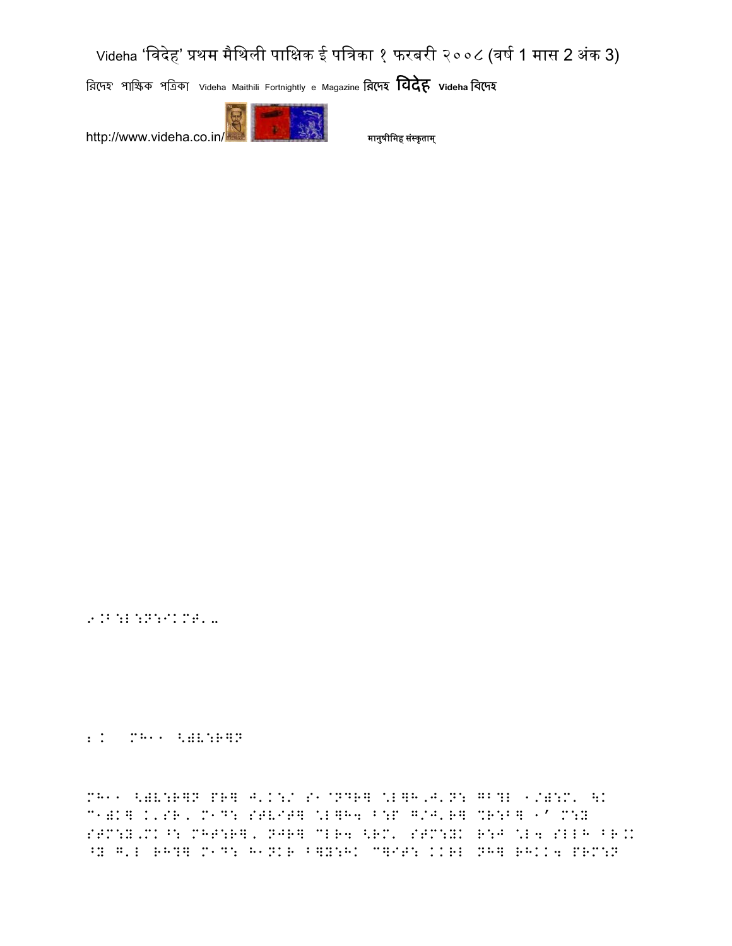িরেদহ' পািkক পিtকা Videha Maithili Fortnightly e Magazine িরেদহ िवदेह **Videha** িবেদহ

http://www.videha.co.in/ सार्वती के स्कूलाम् मानुषीमिह संस्कृताम्



9.B:L:N:IKMT'-

 $2.1$  MH<sub>1</sub> (2001)  $2.1$   $2.1$   $2.1$   $2.1$   $2.1$   $2.1$   $2.1$   $2.1$   $2.1$   $2.1$   $2.1$   $2.1$   $2.1$   $2.1$   $2.1$   $2.1$   $2.1$   $2.1$   $2.1$   $2.1$   $2.1$   $2.1$   $2.1$   $2.1$   $2.1$   $2.1$   $2.1$   $2.1$   $2.1$   $2.1$   $2.1$   $2.1$   $2.1$   $2.1$ 

TH11 RADGER FER 4.15. STIPH GERMAN FOR HIS 17857. HI C1)K] K'SR, M1D: STVIT] \*L]H4 B:P G/J'R] %R:B] 1**'** M:Y STAND: Y, MHT:RI, NJR MIRA SEN, STMIN PYT MIA SILP BR.K ^Y G'L RH?] M1D: H1NKR B]Y:HK C]IT: KKRL NH] RHKK4 PRM:N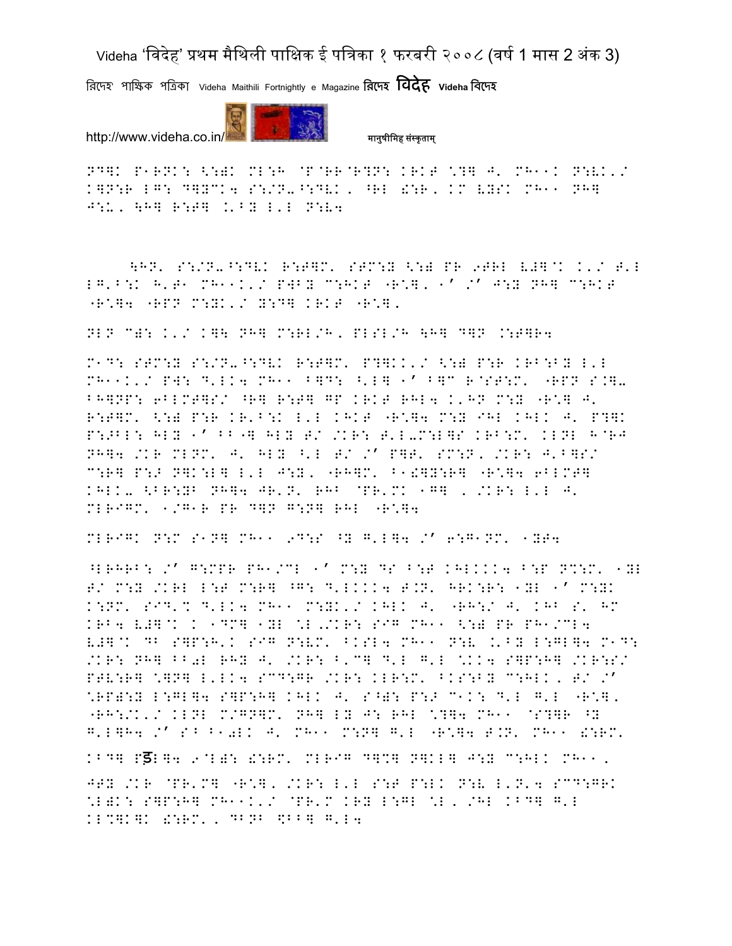িরেদহ' পািkক পিtকা Videha Maithili Fortnightly e Magazine িরেদহ िवदेह **Videha** িবেদহ



ND]K P1RNK: <:)K ML:H @P@RR@R?N: KRKT \*?] J' MH11K N:VK'/ KADSE EARS AADRIK EISJON, PEAK, VOKE EISE, KOO KOEN, OPHIF OPHA J:U, ANN R:MN ...B .. PH.

 $\#$ 95, Prizel Predict Starber, Predict Ria (Prosental Laborit, 2012) P. B LG'B:K H'T1 MH11K'/ PWBY C:HKT "R\*], 1**'** /**'** J:Y NH] C:HKT "R\*]4 "RPN M:YK'/ Y:D] KRKT "R\*],

NLN C): K'/ K]\ NH] M:RL/H, PLSL/H \H] D]N .:T]R4

M10D: STARSE STAVEL REDER PREPRI PORTIOLI AND PRESIDENT BY LIL MH11 KONTRA MERING MH11 BARA MERING PERSONA MENGENTAK PERSONAL PERSONAL PERSONAL P BHART GREATHEN PHR BERR RHL1 BN BHEG N. PA C'ED (BN B) RGBRI, RGB PGB CB,PGD E.E.CROB: ARGRE IGB YR CARE THO A. PGRO P:>BL: HLY 1**'** BB"] HLY T/ /KR: T'L-M:L]S KRB:M' KLNL H@RJ NH]4 /KR MLNM' J' HLY ^'L T/ /**'** P]T' SM:N, /KR: J'B]S/ C:REAL BIRD PACIENT ELLE (ARABIL) (REARD), "PY BALARAM BIRDER (REALD) BALARAM KHEKA- REBREY PRHEYAR, PARTY MERIDI (1994), INDERFEI, ETAL MIRIGM IN THE BELOW COME OF THE RHOURS OF THE UNIVERSE

MLRIGK N:M S1N] MH11 9D:S ^Y G'L]4 /**'** 6:G1NM' 1YT4

^LRHRB: /**'** G:MPR PH1/CL 1**'** M:Y DS B:T KHLKKK4 B:P N%:M' 1YL T/ M:Y /KRL L:T M:R] ^G: D'LKKK4 T.N' HRK:R: 1YL 1**'** M:YK K:NM' SID'% D'LK4 MH11 M:YK'/ KHLK J' "RH:/ J' KHB S' HM KRB4 K281 V V K 1DM F11 19 V SIG SIG MH11 (SIG MH11 PR PH1/CL4)  $\pm$  28  $\pm$  0000  $\pm$  00000  $\pm$  2000  $\pm$  2000  $\pm$  2000  $\pm$  2000  $\pm$  2000  $\pm$  2000  $\pm$  2000  $\pm$  2000  $\pm$  2000  $\pm$  2000  $\pm$  2000  $\pm$  2000  $\pm$  2000  $\pm$  2000  $\pm$  2000  $\pm$  2000  $\pm$  2000  $\pm$  2000  $\pm$  2000  $\pm$ /KR: NH] BB0L RHY J' /KR: B'C] D'L G'L \*KK4 S]P:H] /KR:S/ PTV:R] \*]N] L'LK4 SCD:GR /KR: KLR:M' BKS:BY C:HLK, T/ /**'**  $\Delta$ P:B'AG): E'NHLAG, YAPYAA (1941): P. P:HIN (PN), MKIN (2001): P. E. P. E. (PN), P. "RH:/K'/ KLNL M/GN]M' NH] LY J: RHL \*?]4 MH11 @S?]R ^Y B.EARN *I*' S' B' M' MINT MH' TH' THIN ALL "RIANGED AND TH' AND T

KBDA PS: RAID: 'E AN IZNED, I DE ESPONDA DA PARTE PONE D'INER L'IDAS SI.

JTY /KR @PR'M] "R\*], /KR: L'L S:T P:LK N:V L'N'4 SCD:GRK \*L)K: S]P:H] MH11K'/ @PR'M KRY L:GL \*L, /HL KBD] G'L KRAMIN STERN BESTER BESTE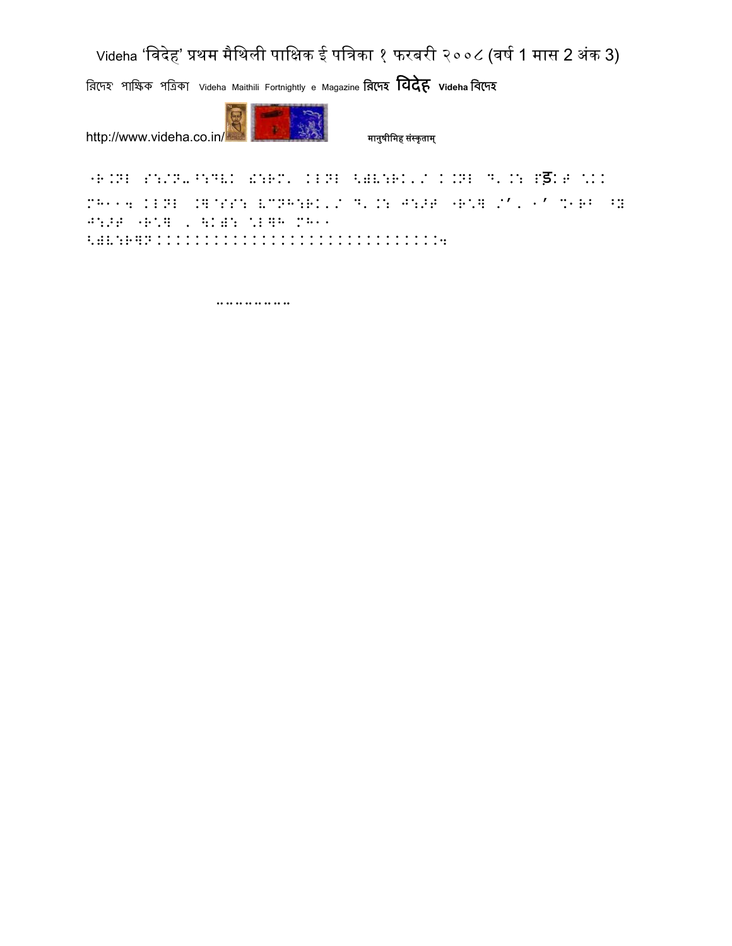রিদেহ' পাক্ষিক পত্রিকা Videha Maithili Fortnightly e Magazine **রিদেহ ପি** $\overline{\textbf{d}}$ **ন্টে Videha বিদেহ** 

http://www.videha.co.in/



मानुषीमिह संस्कृताम्

HEITE STEPLINTED STEP. IETE RAETED ZO DIE TUIT BORD ALD TROOP INTO THIS PERSON EMPROPED IN THIS POINT ORDER IN THE CONTRACTOR PARE HOB . BIBY NEW TWO 

. . . . . . . . . .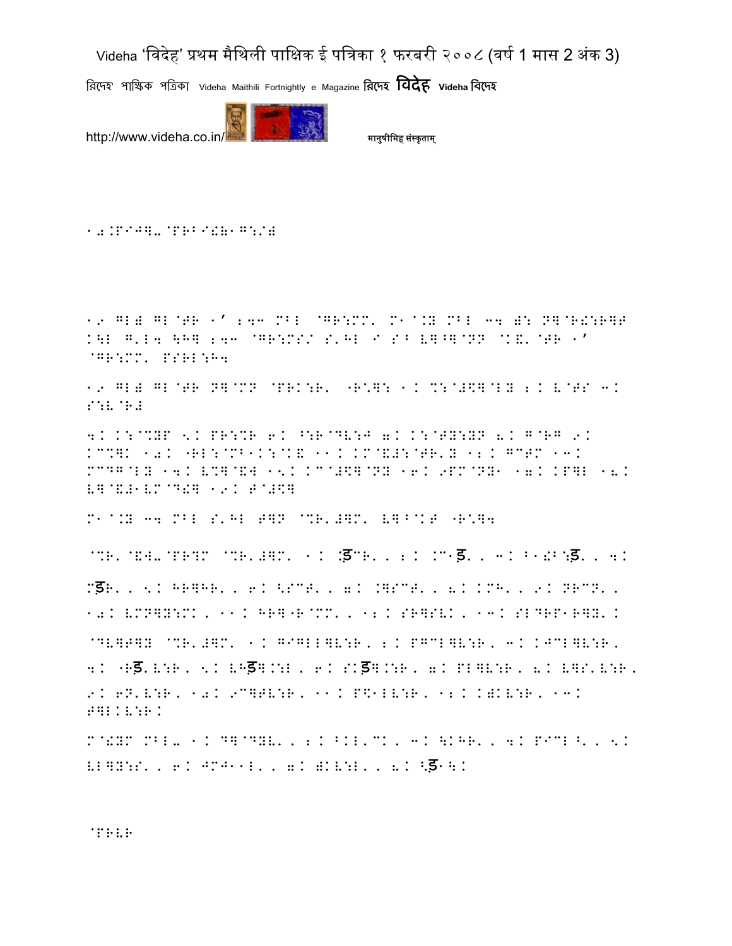িরেদহ' পািkক পিtকা Videha Maithili Fortnightly e Magazine িরেদহ िवदेह **Videha** িবেদহ

http://www.videha.co.in/ मानसीमिंह संस्कृताम्

10.PIJ]-@PRBI!(1G:/)

19 GL) GL@TR 1**'** 243 MBL @GR:MM' M1@.Y MBL 34 ): N]@R!:R]T K\L G'L4 \H] 243 @GR:MS/ S'HL I S^ V]^]@NN @K&'@TR 1**'** @GR:MM' PSRL:H4

19 GL) GL@TR N]@MN @PRK:R' "R\*]: 1. %:@#\$]@LY 2. V@TS 3. Shipping (1991)

4. K:@%YP 5. PR:%R 6. ^:R@DV:J 7. K:@TY:YN 8. G@RG 9. KCH 10. THE REAL PROPERTY IS A 10. THE LARGED AT LANGUARY 12. AND INCOME MCDG@LY 14. V&W 15. V&W 14. V&W 16. MONTH 17. KPM 17. PARTY 17. KPA 17. KPM 17. KPA 17. KPA 17. KPA 17. KPA 17 V]@&#1VM@D!] 19. T@#\$]

M1@.Y 34 MBL S'HL T]N @%R'#]M' V]^@KT "R\*]4

MORE MERL MERRY MORELERY, IN C. S. STELL LETTING, 2. 4. 2. PHOROSES, 2. 4.1 MSR, 2. S. HRAHR, 2. R. SCHRO 2. B. CARTA, 2. SCOTT, 2. SCTRTA, 2. 10. VMN]Y:MK, 11. HR]"R@MM', 12. SR]SVK, 13. SLDRP1R]Y'. @DV]T]Y @%R'#]M' 1. GIGLL]V:R, 2. PGCL]V:R, 3. KJCL]V:R, 4. "RS.LGR. K. RSSCHL. P. MSCHL. 8. PLEEN A. LIEM. 9. 6N'V:R, 10. 9C]TV:R, 11. P\$1LV:R, 12. K)KV:R, 13. PHILES

MORE MENT AT THOUR, IN BELIEVE, AN HIGH, IN BUTTER, AN RESERVICE FOR STATISTIC REPORTS IN THE STATE SERVICE SERVICE SERVICE SERVICE SERVICE SERVICE SERVICE SERVICE S

@PRVR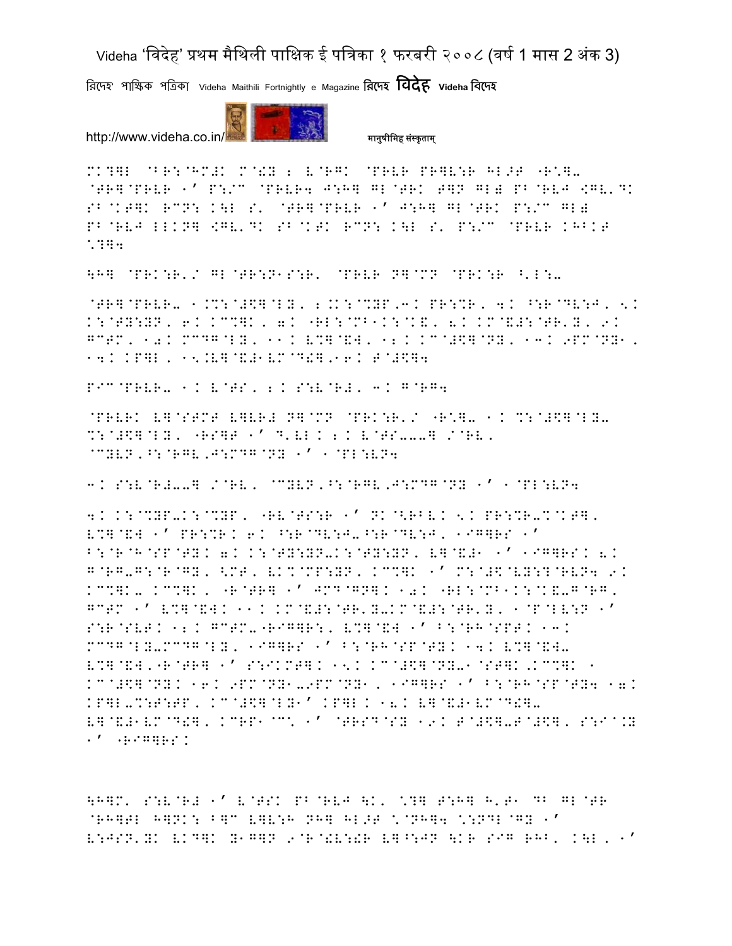িরেদহ' পািkক পিtকা Videha Maithili Fortnightly e Magazine িরেদহ िवदेह **Videha** িবেদহ



MANIEL MARSHAM KAREL BRED MARK PRIN PRIN PRIN PRIN @TR]@PRVR 1**'** P:/C @PRVR4 J:H] GL@TRK T]N GL) PB@RVJ [GV'DK SB@KT]K RCN: K\L S' @TR]@PRVR 1**'** J:H] GL@TRK P:/C GL) PR@RRVIDEORS.COM SPORT REPORT OF SALES AND STREET AND THE STATE STATE  $\mathcal{S}$ \*?]4

 $\,$  APR (MIRI) NEW YEARY PRYR NIE WORLD DRIM DE MEDIAL ALEGA

@TR]@PRVR- 1.%:@#\$]@LY, 2.K:@%YP,3. PR:%R, 4. ^:R@DV:J, 5. K: MARINE K: YN, 6. KOMA: YN, 7. MARINE KERKER AN DE SAN MED KERKER AN DE SAN MED KERKER AN DE SAN MED KERKER GCTM, 10. MCDG@LY, 11. MCDG@LY, 11. MCDG@LY, 13. PMP. 12. PMP. 14. KP]L, 15.V]@&#1VM@D!],16. T@#\$]4

POCAPRA PICA PICA 1. STANDA, STANDARD

@PRVRK V]@STMT V]VR# N]@MN @PRK:R'/ "R\*]- 1. %:@#\$]@LY- %:@#\$]@LY, "RS]T 1**'** D'VL. 2. V@TS---] /@RV, @CYVN,^:@RGV,J:MDG@NY 1**'** 1@PL:VN4

3. S:V@R#--] /@RV, @CYVN,^:@RGV,J:MDG@NY 1**'** 1@PL:VN4

4. K:@%YP-K:@%YP, "RV@TS:R 1**'** NK@<RBV. 5. PR:%R-%@KT],  $V$   $\mathbf{E}$   $\mathbf{T}$   $\mathbf{H}$   $\mathbf{H}$   $\mathbf{H}$   $\mathbf{H}$   $\mathbf{H}$   $\mathbf{H}$   $\mathbf{H}$   $\mathbf{H}$   $\mathbf{H}$   $\mathbf{H}$   $\mathbf{H}$   $\mathbf{H}$   $\mathbf{H}$   $\mathbf{H}$   $\mathbf{H}$   $\mathbf{H}$   $\mathbf{H}$   $\mathbf{H}$   $\mathbf{H}$   $\mathbf{H}$   $\mathbf{H}$   $\mathbf{H}$   $\math$ B:@R@H@SP@TY. 7. K:@TY:YN-K:@TY:YN, V]@&#1 1**'** 1IG]RS. 8. G@RG-G:@R@GY, <MT, VK%@MP:YN, KC%]K 1**'** M:@#\$@VY:?@RVN4 9. KCMIKAL KOMITEN ING TRAPA (19. PATRIPADA 10. 10. "PASA TITLE TO KAALA" TAALI GCTM 1**'** V%]@&W. 11. KM@&#:@TR'Y-KM@&#:@TR'Y, 1@P@LV:N 1**'** S:R@SVT. 12. GCTM-"RIG]R:, V%]@&W 1**'** B:@RH@SPT. 13. MCDG@LY-MCDG@LY, 1IG]RS 1**'** B:@RH@SP@TY. 14. V%]@&W- $W$   $W$   $W$   $W$   $\mathbb{R}$   $\mathbb{R}$   $\mathbb{R}$   $\mathbb{R}$   $\mathbb{R}$   $\mathbb{R}$   $\mathbb{R}$   $\mathbb{R}$   $\mathbb{R}$   $\mathbb{R}$   $\mathbb{R}$   $\mathbb{R}$   $\mathbb{R}$   $\mathbb{R}$   $\mathbb{R}$   $\mathbb{R}$   $\mathbb{R}$   $\mathbb{R}$   $\mathbb{R}$   $\mathbb{R}$   $\mathbb{R}$   $\mathbb{R}$   $\mathbb{R}$ KC@#\$]@NY. 16. 9PM@NY1-9PM@NY1, 1IG]RS 1**'** B:@RH@SP@TY4 17. KPAL-WISPSP, KOMMER HOP KOLPALI PLAN KAPIBLE MARIN V]@&#1VM@D!], KCRP1@C\* 1**'** @TRSD@SY 19. T@#\$]-T@#\$], S:I@.Y 1**'** "RIG]RS.

\H]M' S:V@R# 1**'** V@TSK PB@RVJ \K' \*?] T:H] H'T1 DB GL@TR @RH]TL H]NK: B]C V]V:H NH] HL>T \*@NH]4 \*:NDL@GY 1**'** V:JSN'YK VKD]K Y1G]N 9@R@!V:!R V]^:JN \KR SIG RHB' K\L, 1**'**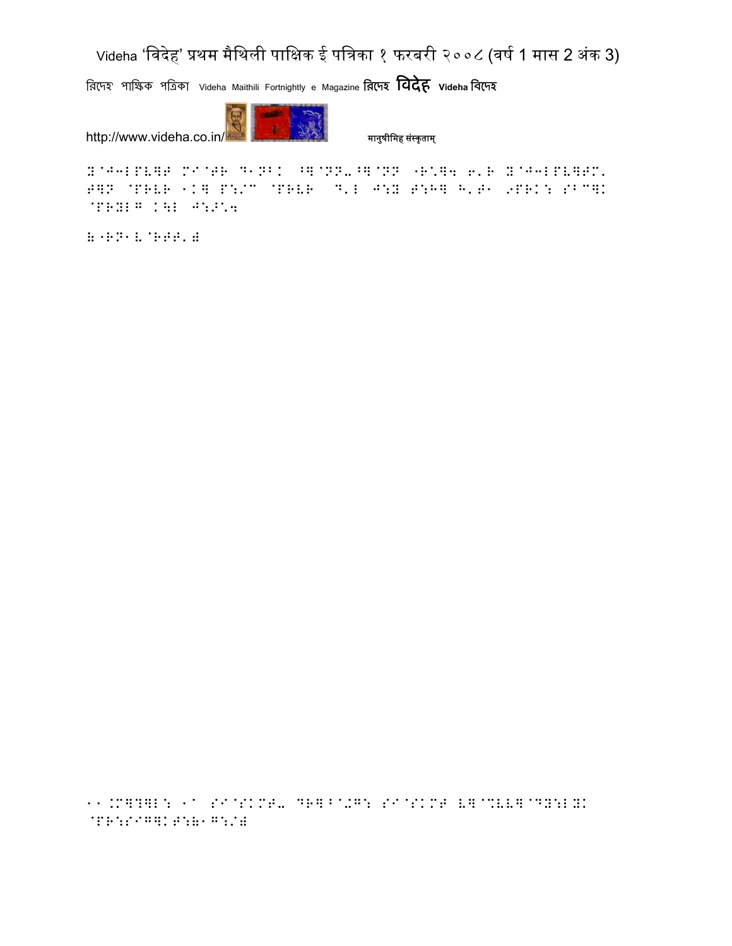িরেদহ' পািkক পিtকা Videha Maithili Fortnightly e Magazine িরেদহ िवदेह **Videha** িবেদহ

http://www.videha.co.in/ सार्वास्कर करती के मानुषीमिह संस्कृताम्



BOWHIBH TROH WHI MITR DITECT HON HOW HIM THING THE CORRECT PS OF CORRECT STATES AND RESPONSE SERVER OF THE @PRYLG K\L J:>\*4

h (PP) h (PPP) d

11.M]?]L: 1A SI@SKMT- DR]^@+G: SI@SKMT V]@%VV]@DY:LYK @PR:SIG]KT:(1G:/)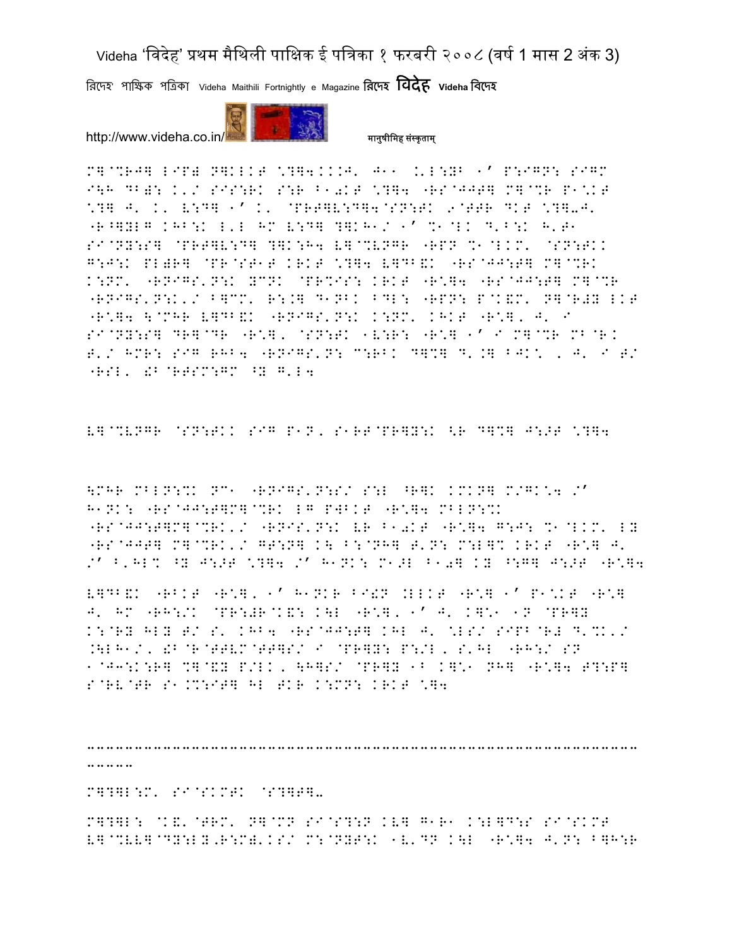িরেদহ' পািkক পিtকা Videha Maithili Fortnightly e Magazine িরেদহ िवदेह **Videha** িবেদহ



M]@%RJ] LIP) N]KLKT \*?]4...J' J11 .'L:YB 1**'** P:IGN: SIGM I\H DB): K'/ SIS:RK S:R B10KT \*?]4 "RS@JJT] M]@%R P1\*KT \*?] J' K' V:D] 1**'** K' @PRT]V:D]4@SN:TK 9@TTR DKT \*?]-J' "R^]YLG KHB:K L'L HM V:D] ?]KH1/ 1**'** %1@LK D'B:K H'T1 SIM DRIGER (PRPERGER) REDGES SE DRIGHE (PRP) DI PEDID. "PRPGED B:J:K PLANS (PR(CH)R (R)R (SPR & SPP R) (R)(SP)=RS@PR@STR(CR) K:NOR' "RANIGS" (PR) "RONIGS' "RESPONSE "REGIONE" "REGIONE "RESPONSE "REPORTLIGS' BETON "BACH" PROFIL PALA "PEDA" E CEDI. "PEDBUE BOB "ARNAH" ROMAH (BASKED) "ARMSTEN MAL" (SAMU) (CA) B) "ARNAH", J' IN, J' IN SI@NY:S] DR]@DR "R\*], @SN:TK 1V:R: "R\*] 1**'** I M]@%R MB@R. T'/ HMR: SIG RHB4 "RNIGS'N: C:RBK D]%] D'.] BJK\* , J' I T/ "RSL' # BHTSM: H W.I.

 $\,$  B.H. The probability of the SNC and the Party of the Property of the United

 $\mathrm{MSE}$  , which may be a sequence of  $\mathrm{MSE}$  , so  $\mathrm{MSE}$  ,  $\mathrm{MSE}$  ,  $\mathrm{MSE}$  ,  $\mathrm{MSE}$  ,  $\mathrm{MSE}$ H(R): "RS@JARY#TH(R) P#T#TF "RTH" THT "RECOMMENDENTES .C" "REPORT BEST "RELEVANCE" PENDAN NE NOT DOCTOR BE  $R$ RS MARK THING, A BRITE IN BITH R.TH TINE IN: AND PROVE /**'** B'HL% ^Y J:>T \*?]4 /**'** H1NK: M1>L B10] KY ^:G] J:>T "R\*]4

 $E$ BBK "RIKT "R\*), 11 F1NB (11) 11 F1NKR BI 11NKR "R\*DP" (11) P1\* KT "R\* (11) P1\* T1HN "R\* (11) P1\* T1HN "R\* (1 J' HM "RH:/K @PR:#R@K&: K\L "R\*], 1**'** J' K]\*1 1N @PR]Y K: MARY HER WAS SAFED ON THE MARKET OF THE SINGLE SINGLE SINGLE SINGLE SINGLE SINGLE SINGLE SINGLE SINGLE SINGL .\LH1/, !B@R@TTVM@TT]S/ I @PR]Y: P:/L, S'HL "RH:/ SN 1@J3:K:R] %]@&Y P/LK, \H]S/ @PR]Y 1B K]\*1 NH] "R\*]4 T?:P] SORRING STREET HE SILK KING KEEP THE

----------------------------------------------------------

-----

M]?]L:M' SI@SKMTK @S?]T]-

MARIN SIL: MAN, PRINT POINT CLA AGH (11891) CHAN POINT  $\,$  B.H. MODEL TO THE LIGHT ON THE LYSTER CONTINUES. THE LIGHT OF A LIGHT CONTINUES.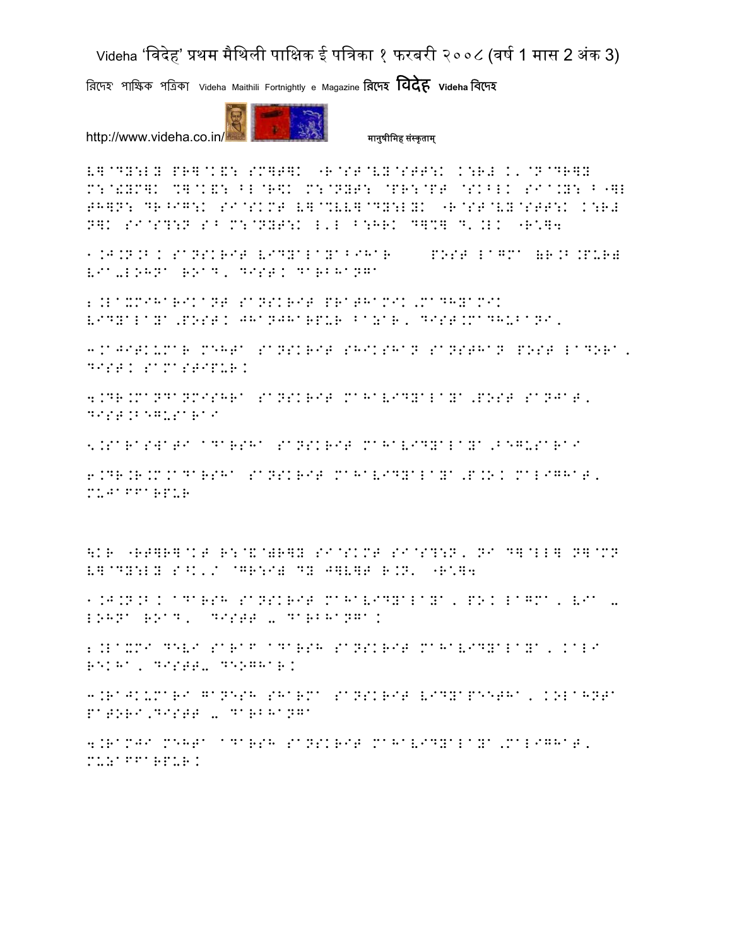http://www.videha.co.in/ मानुषीमिह संस्कृताम्

িরেদহ' পািkক পিtকা Videha Maithili Fortnightly e Magazine িরেদহ िवदेह **Videha** িবেদহ

V]@DY:LY PR]@K&: SM]T]K "R@ST@VY@STT:K K:R# K'@N@DR]Y M: MOOTH: MINK SIGN SIGNED MINK OF DEPARTMENT ON THE WORLD SIGNED SIGNED AT  $\theta$ 

THAN THE PORT OF SIMIC OF LA STELLA SAME OF SIMIC CHECK IN STEP POOLS TO SHE NAL K SIMBO KA DI MARK LIL BIARK DAMA DI LE BIAR

1.J.N.B. SANSKRIT VIDYALAYA BIHAR POST LAGMA (R.B.PUR) VIA-LOHNA ROAD, DIST. DARBHANGA

2.LAXMIHARIKANT SANSKRIT PRATHAMIK,MADHYAMIK

VIDYALAYA,POST. JHANJHARPUR BAZAR, DIST.MADHUBANI,

3.AJITKUMAR MEHTA SANSKRIT SHIKSHAN SANSTHAN POST LADORA, DIST. SAMASTIPUR.

4.DR.MANDANMISHRA SANSKRIT MAHAVIDYALAYA,POST SANJAT, DIST.BEGUSARAI

5.SARASWATI ADARSHA SANSKRIT MAHAVIDYALAYA,BEGUSARAI

6.DR.R.M.ADARSHA SANSKRIT MAHAVIDYALAYA,P.O. MALIGHAT, MUSIC PROPERTY

 $K\bar R$  . Robert Righam Simulation Simulation Simulation Simulation Simulation Simulation Simulation Simulation Simulation Simulation Simulation Simulation Simulation Simulation Simulation Simulation Simulation Simulation

BA VARIA SOKI/ OPENGA PA PARAP ETA (PRIAP)

1.J.N.B. ADARSH SANSKRIT MAHAVIDYALAYA, PO. LAGMA, VIA -

2.LAXMI DEVI SARAF ADARSH SANSKRIT MAHAVIDYALAYA, KALI

3.RAJKUMARI GANESH SHARMA SANSKRIT VIDYAPEETHA, KOLAHNTA

4.RAMJI MEHTA ADARSH SANSKRIT MAHAVIDYALAYA,MALIGHAT,

LOHNA ROAD, DISTT - DARBHANGA.

RECHA, DISTRICTION

PATORIS - DARBHANGANGAN DISTRI

MUZAFFARPUR.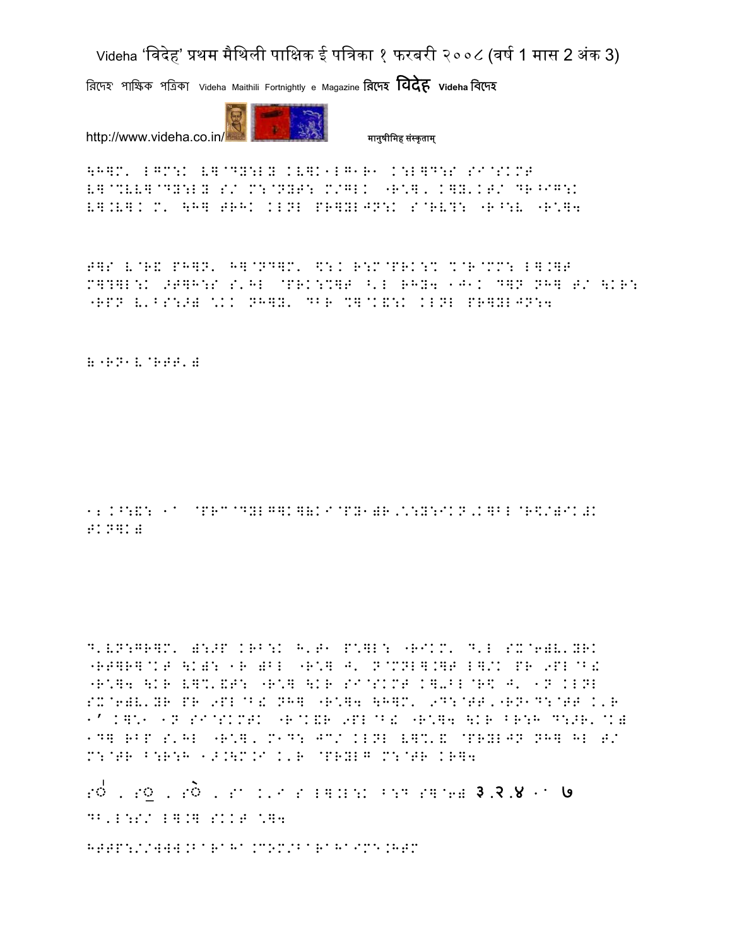িরেদহ' পািkক পিtকা Videha Maithili Fortnightly e Magazine িরেদহ िवदेह **Videha** িবেদহ

http://www.videha.co.in/ मानसीमिंह संस्कृताम्



\H]M' LGM:K V]@DY:LY KV]K1LG1R1 K:L]D:S SI@SKMT V]@%VV]@DY:LY S/ M:@NYT: M/GLK "R\*], K]Y'KT/ DR^IG:K V].V]. M' \H] TRHK KLNL PR]YLJN:K S@RV?: "R^:V "R\*]4

FOR REPORT HE TO REAL PROPERTY TO STAND HIM IS TO REPORT MARIN: SHANY K.H. MARINGA 1,1 RHO4 141 MAR 240 21 K.HY "RPN B. PENSA NI DOPARE" "PER "NA NEN' DE DE "PRAIA PRNA

**("RN1V"**, "RN1V")

12.^:&: 1A @PRC@DYLG]K](KI@PY1)R,\*:Y:IKN,K]BL@R\$/)IK#K **BOSHI** 

D'VA:GRIMENT, SANAR (ERIN): P. A. C. "RIKH'S" (PANICO) D'L'ESCONDEIX GRI "RT]R]@KT \K): 1R )BL "R\*] J' N@MNL].]T L]/K PR 9PL@B! "R\*]4 \KR V]%'&T: "R\*] \KR SI@SKMT K]-BL@R\$ J' 1N KLNL SX@6)V'YR PR 9PL@B! NH] "R\*]4 \H]M' 9D:@TT,"RN1D:@TT K'R 1**'** K]\*1 1N SI@SKMTK "R@K&R 9PL@B! "R\*]4 \KR BR:H D:>R'@K) 1D] RBP S'HL "R\*], M1D: JC/ KLNL V]%'& @PRYLJN NH] HL T/ M: TR B:R:H 13. B:R:H 10. B:R:H B:R:H (1994)

 $\mathbb{R}^\bullet$  ,  $\mathbb{R}^\bullet$  ,  $\mathbb{R}^\bullet$  ,  $\mathbb{R}^\bullet$  ,  $\mathbb{R}^\bullet$  ,  $\mathbb{R}^\bullet$  ,  $\mathbb{R}^\bullet$  ,  $\mathbb{R}^\bullet$  ,  $\mathbb{R}^\bullet$  ,  $\mathbb{R}^\bullet$  ,  $\mathbb{R}^\bullet$  ,  $\mathbb{R}^\bullet$  ,  $\mathbb{R}^\bullet$  ,  $\mathbb{R}^\bullet$  ,  $\mathbb{R}^\bullet$  ,  $\mathbb{R}^\bullet$  ,  $\mathbb{R}^\bullet$  , BROWN THE SEARCH THE

HTTP://WWW.BARAHA.COM/BARAHAIME.HTM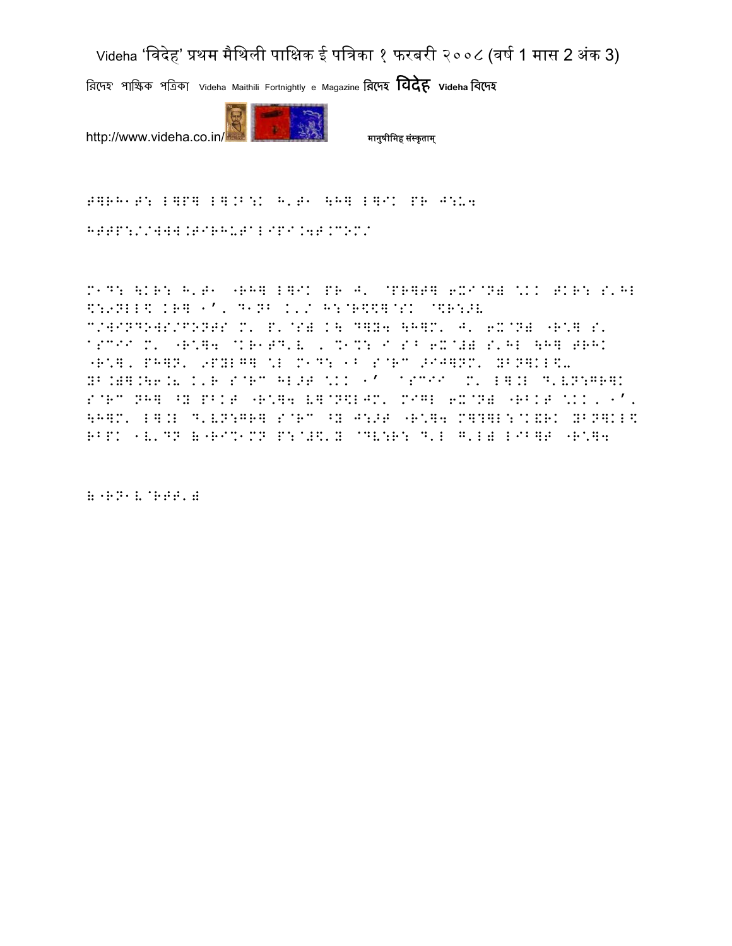িরেদহ' পািkক পিtকা Videha Maithili Fortnightly e Magazine িরেদহ िवदेह **Videha** িবেদহ

 $\begin{picture}(180,10) \put(0,0){\line(1,0){10}} \put(1,0){\line(1,0){10}} \put(1,0){\line(1,0){10}} \put(1,0){\line(1,0){10}} \put(1,0){\line(1,0){10}} \put(1,0){\line(1,0){10}} \put(1,0){\line(1,0){10}} \put(1,0){\line(1,0){10}} \put(1,0){\line(1,0){10}} \put(1,0){\line(1,0){10}} \put(1,0){\line(1,0){10}} \put(1,0){\line(1,0){10}} \put($ 

THE PION REPORT OF A PROPERTY CONTROLLED

HTTP://WWW.TIRHUTALIPI.4T.COM/

M1D: \KR: H'T1 "RH] L]IK PR J' @PR]T] 6XI@N) \*KK TKR: S'HL \$:9NLL\$ KR] 1**'**, D1NB K'/ H:@R\$\$]@SK @\$R:>V C/WINDOWS/FONTS M' P'@S) K\ D]Y4 \H]M' J' 6X@N) "R\*] S' ASCII M' "R\*]4 @KR1TD'V , %1%: I S^ 6X@#) S'HL \H] TRHK "RENN STRAD, GEBERA NE SPYRA PROST PAR GRAPDE, BEDALERY YB.)].\6.8 K'R S@RC HL>T \*KK 1**'** ASCII M' L].L D'VN:GR]K S@RC NH] ^Y PBKT "R\*]4 V]@N\$LJM' MIGL 6X@N) "RBKT \*KK, 1**'**, \H]M' L].L D'VN:GR] S@RC ^Y J:>T "R\*]4 M]?]L:@K&RK YBN]KL\$ RBPK 1VAL PR ACHEVY PY PY MALL CONDACT PLACE AND A LOCAL THROUGH

("RN1V@RTT')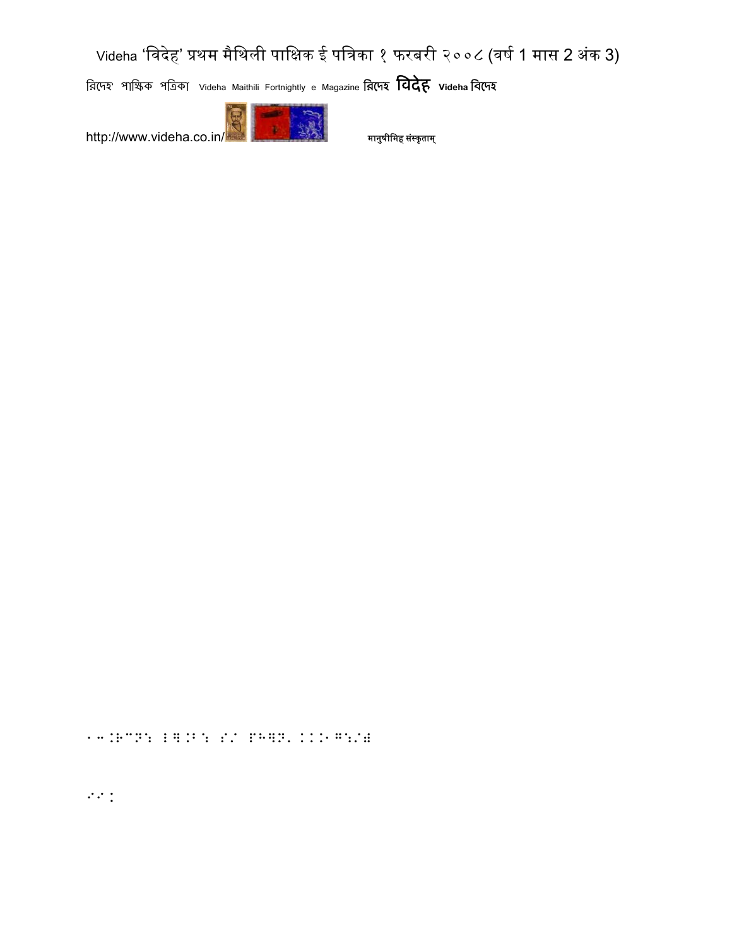রিদেহ' পাক্ষিক পত্রিকা Videha Maithili Fortnightly e Magazine **রিদেহ যি** $\overline{\textbf{d}}$ **ন্টে Videha বিদেহ** 

http://www.videha.co.in/



मानुषीमिह संस्कृताम्

\*\*\*\*\*\*\*\*\*\*\*\*\*\*\*\*\*\*\*\*\*\*\*\*\*\*\*\*\*\*\*\*

 $\mathcal{O}(\mathcal{O}_n^{\frac{1}{2}})$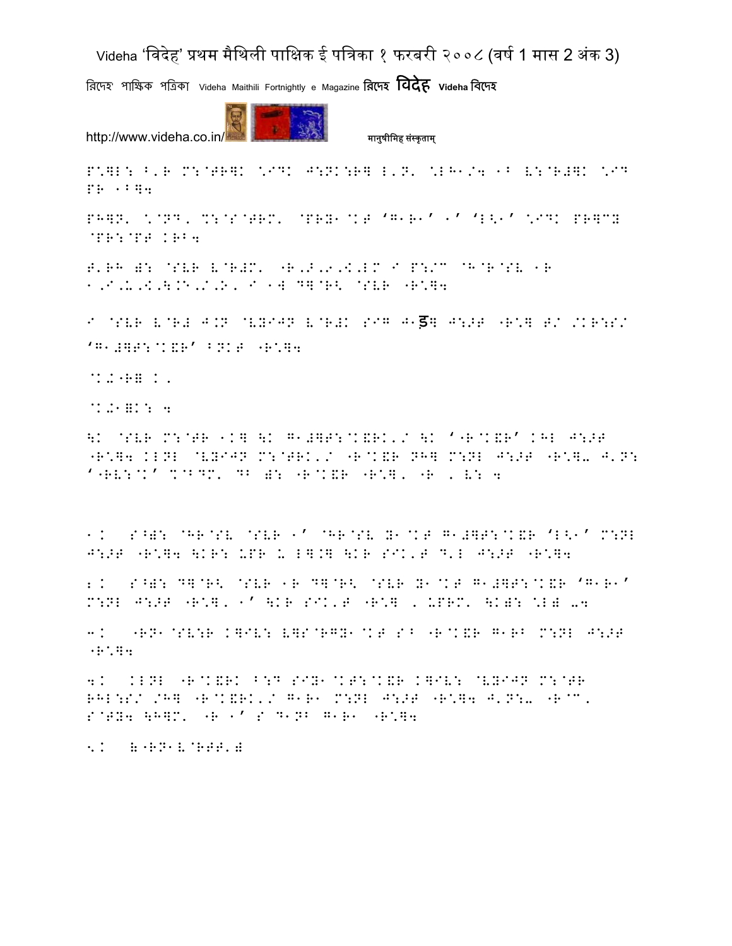রিদেহ' পাক্ষিক পত্রিকা Videha Maithili Fortnightly e Magazine **রিদেহ যি** $\vec{a}$ **ন্টে** Videha বিদেহ

http://www.videha.co.ir

मानुषीमिह संस्कृताम्

POBLE CONTROLLING MODULE E.P. NEWSBY (CONTROLLING)  $T_{21}$   $T_{31}$   $T_{42}$ 

PRES COPPLOYENTHEY, TEED YEAR-ARA AN MELAN CAPIOPHETH **MONTH INTE** 

alar an inde dinazio relucciona zonanzione ne ne nel **PACKAGE STATE CONTROLS STATE** 

K MAR ENRIGHT NIRKAT ENRIG PAR AFSA AVEN GRUNDEVIDEN. **NH. 2825 MEET FRIEL (BASE)** 

Wilthell I.

**MARITY** 

AD CONNECTATION SOMETIMO MAGNIFICATION CONTROL NAPOSTER CONTRACTORY 医中央用途 法主席主义 化氨基乙基苯 的复数使用的过去式和过去分词使用的复数形式使用使用的 医子宫神经 医心房性的 **NHERMATHT, HOEYDE HOEYD HAN ART** 

KI PANG MENGETAHAN MENGETAH ANGKAN MENYING ANDER PROMHE ALBAN OFBOT EM DE MORTEN COLLETA E ANDER PROMHE

全体的 化氧硅酸 医生物病的 化氧化物 医氯甲基乙酰胺 经投票 电视频波 电子波电路 化电影 医甲氧化物 DADE ANDE (BNB), KK BIB BYLJE (BNB), 1888D. BIBN NEB 18

A DO CARPA SENINA DEPNIN NEBONARIA SON PACO DE LA PROPINSA PARA P  $+14.444$ 

ARENEZ ZRB (ARTIBELLZ BYA) DNB (ANDE) ARDE (ALBNA) (ARTIL PORT RATE AND CONTROL ROLL AND

**All ESPECTRE.E**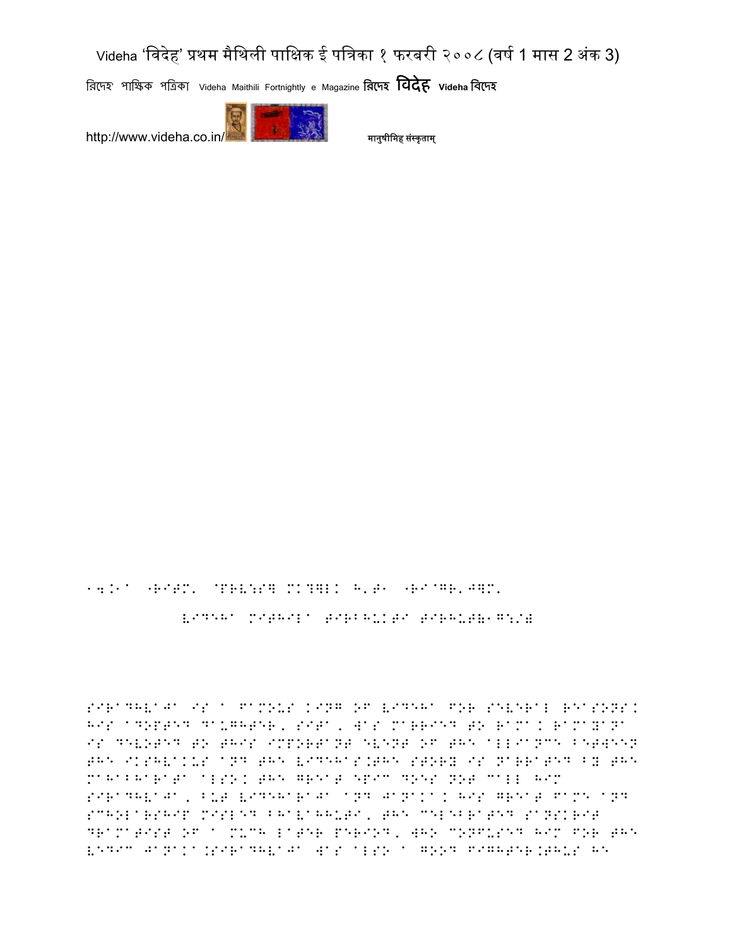SIRADHVAJA IS A FAMOUS KING OF VIDEHA FOR SEVERAL REASONS. HIS ADOPTED DAUGHTER, SITA, WAS MARRIED TO RAMA. RAMAYANA IS TELEPHT FO FRIE ISTORES TO THIS IN THE ALL INFORMATION AREAS THE IKSHVAKUS AND THE VIDEHAS.THE STORY IS NARRATED BY THE MAHABHARATA ALSO. THE GREAT EPIC DOES NOT CALL HIM SIRADHVAJA, BUT VIDEHARAJA AND JANAKA. HIS GREAT FAME AND SCHOLARSHIP MISLED BHAVAHHUTI, THE CELEBRATED SANSKRIT DRAMATIST OF A MUCH LATER PERIOD, WHO CONFUSED HIM FOR THE VEDIC JANAKA.SIRADHVAJA WAS ALSO A GOOD FIGHTER.THUS HE

VIDEHA MITHILA TIRBHUKTI TIRHUT(1G:/)

14.1A "RITM' @PRV:S] MK?]LK H'T1 "RI@GR'J]M'

http://www.videha.co.in/ મહિને માનવી માનવી માનવીમિદ संस्कृताम्



িরেদহ' পািkক পিtকা Videha Maithili Fortnightly e Magazine িরেদহ िवदेह **Videha** িবেদহ

Videha 'विदेह' प्रथम मैथिली पाक्षिक ई पत्रिका १ फरबरी २००८ (वर्ष 1 मास 2 अंक 3)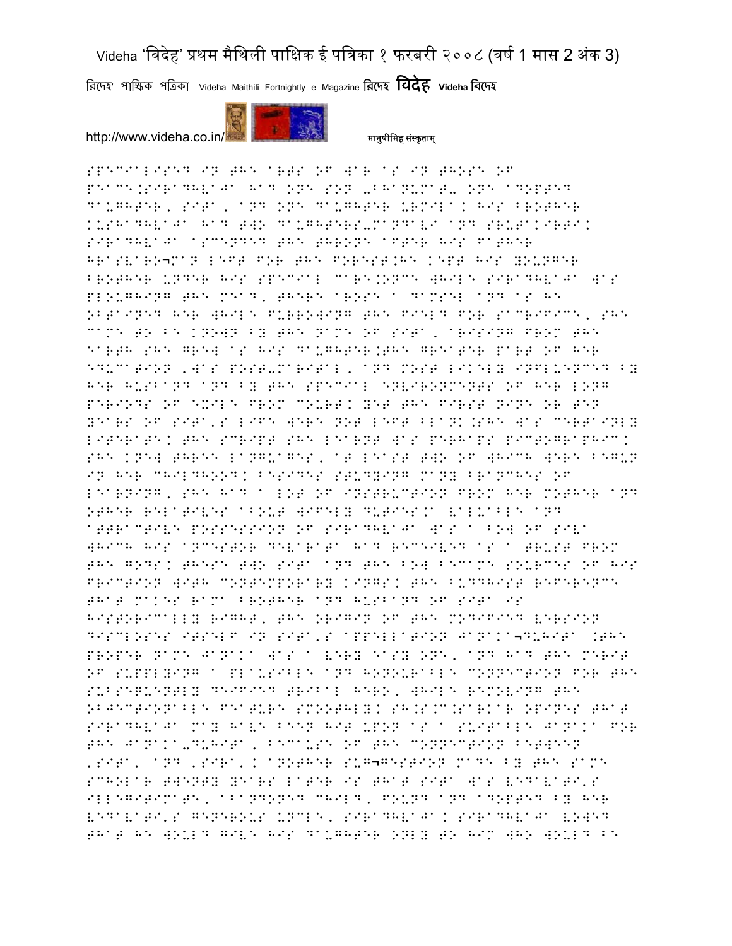SPECIALISED IN THE ARTS OF WAR AS IN THOSE OF PEACE.SIRADHVAJA HAD ONE SON -BHANUMAT- ONE ADOPTED DAUGHTER, SITA, AND ONE DAUGHTER URMILA. HIS BROTHER KUSHADHVAJA HAD TWO DAUGHTERS-MANDAVI AND SRUTAKIRTI. SIRADHVAJA ASCENDED THE THRONE AFTER HIS FATHER HRASVARO**¬**MAN LEFT FOR THE FOREST.HE KEPT HIS YOUNGER BROTHER UNDER HIS SPECIAL CARE.ONCE WHILE SIRADHVAJA WAS PLOUGHING THE MEAD, THERE AROSE A DAMSEL AND AS HE OBTAINED HER WHILE FURROWING THE FIELD FOR SACRIFICE, SHE CAME TO BE KNOWN BY THE NAME OF SITA, ARISING FROM THE EARTH SHE GREW AS HIS DAUGHTER.THE GREATER PART OF HER EDUCATION 'WAS POST-MARITAL, AND MOST LIKELY INFLUENCED BY HER HUSBAND AND BY THE SPECIAL ENVIRONMENTS OF HER LONG PERIODS OF EXILE FROM COURT. YET THE FIRST NINE OR TEN YEARS OF SITA'S LIFE WERE NOT LEFT BLANK.SHE WAS CERTAINLY LITERATE. THE SCRIPT SHE LEARNT WAS PERHAPS PICTOGRAPHIC. SHE CORE AHEER INOGULAGES, AT LEAST TAT LANGUAGES, AT LEAST TWO OF WHICH IN HER CHILDHOOD. BESIDES STUDYING MANY BRANCHES OF LEARNING, SHE HAD A LOT OF INSTRUCTION FROM HER MOTHER AND OTHER RELATIVES ABOUT WIFELY DUTIES.A VALUABLE AND ATTRACTIVE POSSESSION OF SIRADHVAJA WAS A BOW OF SIVA WHICH HIS ANCESTOR DEVARATA HAD RECEIVED AS A TRUST FROM THE GODS. THESE TWO SITA AND THE BOW BECAME SOURCES OF HIS FRICTION WITH CONTENTRATION CITED CONTENT BUDGHIST REFERENCE THAT MAKES RAMA BROTHER AND HUSBAND OF SITA IS HISTORICALLY RIGHT, THE ORIGIN OF THE MODIFIED VERSION DISCLOSES ITSELF IN SITA'S APPELLATION JANAKA**¬**DUHITA .THE PROPOR NAME JANAKA WAS A VERY EASY ONE, AND HAD THE MERITIAN WAS A VERY MALE ON  $\mathbb{R}^n$ OF SUPPLYING A PLAUSIBLE AND HONOURABLE CONNECTION FOR THE SUBSEQUENTLY DEIFIED TRIBAL HERO, WHILE REMOVING THE OBJECTIONABLE FEATURE SMOOTHLY. SH.S.C.SARKAR OPINES THAT SIRADHVAJA MAY HAVE BEEN HIT UPON AS A SUITABLE JANAKA FOR THE JANAKA-DUHITA, BECAUSE OF THE CONNECTION BETWEEN 'SITA' AND 'SIRA'. ANOTHER SUG**¬**GESTION MADE BY THE SAME SCHOLAR TWENTY YEARS LATER IS THAT SITA WAS VEDAVATI'S ILLEGITIMATE, ABANDONED CHILD, FOUND AND ADOPTED BY HER VEDAVATI'S GENEROUS UNCLE, SIRADHVAJA. SIRADHVAJA VOWED THAT HE WOULD GIVE HIS DAUGHTER ONLY TO HIM WHO WOULD BE

http://www.videha.co.in/ મહિને માનવિધિ માનવિધિ માનવિધિ સંસ્कृताम्



িরেদহ' পািkক পিtকা Videha Maithili Fortnightly e Magazine িরেদহ िवदेह **Videha** িবেদহ

Videha 'विदेह' प्रथम मैथिली पाक्षिक ई पत्रिका १ फरबरी २००८ (वर्ष 1 मास 2 अंक 3)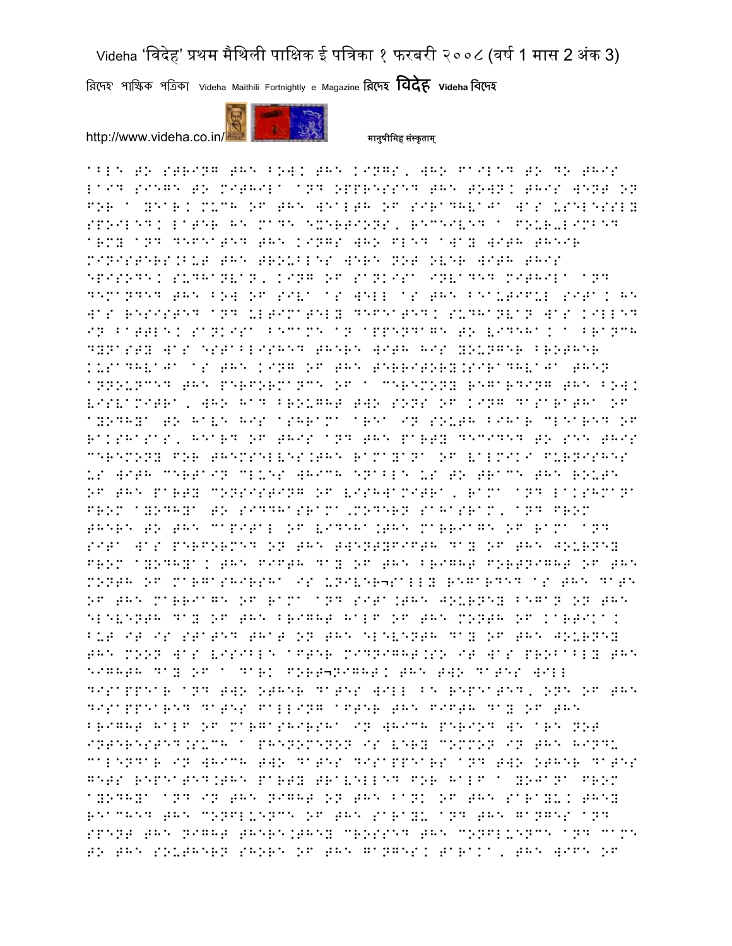িরেদহ' পািkক পিtকা Videha Maithili Fortnightly e Magazine িরেদহ िवदेह **Videha** িবেদহ

http://www.videha.co.in/ મહિને માનવિધિ માનવિધિ માનવિધિ સંસ્कृताम्



ABLE TO STRING THE BOW. THE KINGS, WHO FAILED TO DO THIS LAID SIEGE TO MITHILA AND OPPRESSED THE TOWN. THIS WENT ON FOR A YEAR. MUCH OF THE WEALTH OF SIRADHVAJA WAS USELESSLY SPOILED. LATER HE MADE EXERTIONS, RECEIVED A FOUR-LIMBED ARMY AND DEFEATED THE KINGS WHO FLED AWAY WITH THEIR MINISTERS OUR TROUBLES WERE NOT OVER WITH THIS PRIM EPISODE. SUDHANVAN, KING OF SANKISA INVADED MITHILA AND DEMANDED THE BOW OF SIVA AS WELL AS THE BEAUTIFUL SITA. HE WAS RESISTED AND ULTIMATELY DEFEATED. SUDHANVAN WAS KILLED IN BATTLE. SANKISA BECAME AN APPENDAGE TO VIDEHA. A BRANCH DYNASTY WAS ESTABLISHED THERE WITH HIS YOUNGER BROTHER KUSADHUSAN AS THE KING OF THE TERRITORY. SIRADHVAJA THEN TERRITORY. ANNOUNCED THE PERFORMANCE OF A CEREMONY REGARDING THE BOW. VISVAMITRA, WHO HAD BROUGHT TWO SONS OF KING DASARATHA OF AYODHYA TO HAVE HIS ASHRAMA AREA IN SOUTH BIHAR CLEARED OF RAKSHASAS, HEARD OF THIS AND THE PARTY DECIDED TO SEE THIS CEREMONY FOR THEMSELVES.THE RAMAYANA OF VALMIKI FURNISHES US WITH CERTAIN CLUES WHICH ENABLE US TO TRACE THE ROUTE OF THE PARTY CONSISTING OF VISHWAMITRA, RAMA AND LAKSHMANA FROM AYODHYA TO SIDDHASRAMA,MODERN SAHASRAM, AND FROM THERE TO THE CAPITAL OF VIDEHA.THE MARRIAGE OF RAMA AND SITA WAS PERFORMED ON THE TWENTYFIFTH DAY OF THE JOURNEY FROM AYODHYA. THE FIFTH DAY OF THE BRIGHT FORTNIGHT OF THE MONTH OF MARGASHIRSHA IS UNIVER**¬**SALLY REGARDED AS THE DATE OF THE MARRIAGE OF RAMA AND SITA.THE JOURNEY BEGAN ON THE ELEVENTH DAY OF THE BRIGHT HALF OF THE MONTH OF KARTIKA. BUT IS STATED TO IT IS STATED TO THE STATED OF THE STATED OF THE JOURNEY OF THE JOURNEY OF THE JOURNEY OF THE JOURNEY OF THE JOURNEY OF THE STATED OF THE STATED OF THE STATED OF THE STATED OF THE STATED OF THE STATED OF TH THE MOON WAS VISIBLE AFTER MIDNIGHT.SO IT WAS PROBABLY THE EIGHTH DAY OF A DARK FORT**¬**NIGHT. THE TWO DATES WILL DISAPPEAR AND TWO OTHER DATES WILL BE REPEATED, ONE OF THE DISAPPEARED DATES FALLING AFTER THE FIFTH DAY OF THE BRIGHT HALF OF MARGASHIRSHA IN WHICH PARASHIGHT AND PART INTERESTED.SUCH A PHENOMENON IS VERY COMMON IN THE HINDU CALENDAR IN WHICH TWO DATES DISAPPEARS AND TWO OTHER DATES GETS REPEATED.THE PARTY TRAVELLED FOR HALF A YOJANA FROM AYODHYA AND IN THE NIGHT ON THE BANK OF THE SARAYU. THEY REACHED THE CONFLUENCE OF THE SARAYU AND THE GANGES AND SPENT THE NIGHT THERE.THEY CROSSED THE CONFLUENCE AND CAME TO THE SOUTHERN SHORE OF THE GANGES. TARAKA, THE WIFE OF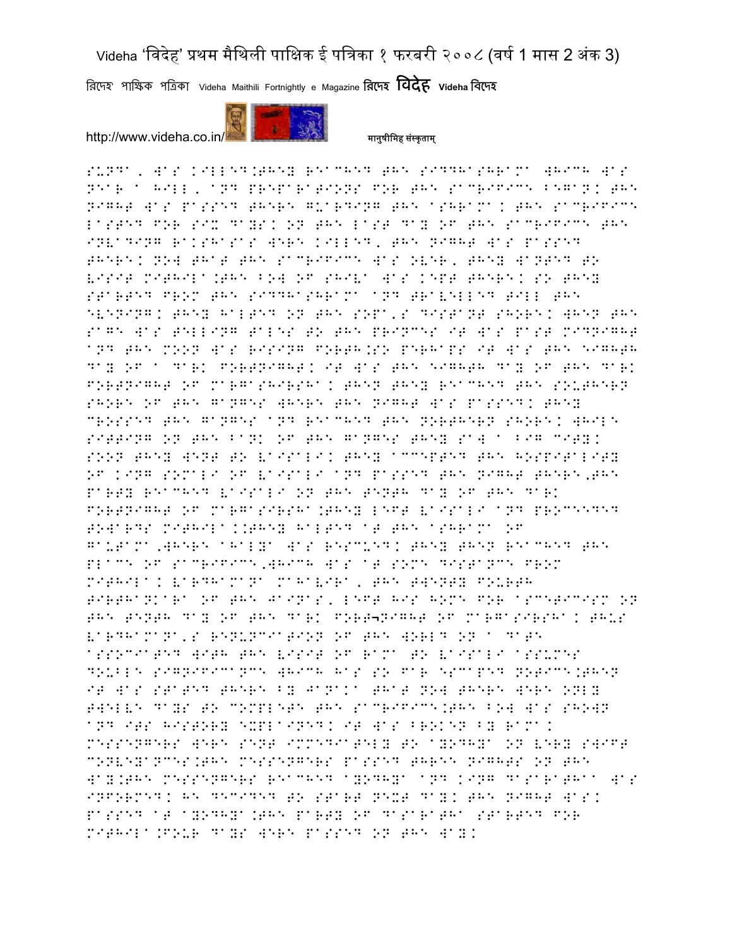িরেদহ' পািkক পিtকা Videha Maithili Fortnightly e Magazine িরেদহ िवदेह **Videha** িবেদহ

http://www.videha.co.in/ મહિને માનવિધિ માનવિધિ માનવિધિ સંસ્कृताम्



SUNDA, WAS KILLED.THEY REACHED THE SIDDHASHRAMA WHICH WAS NEAR A HILL, AND PREPARATIONS FOR THE SACRIFICE BEGAN. THE NIGHT WAS PASSED THERE GUARDING THE ASHRAMA. THE SACRIFICE LASTED FOR SIX DAYS. ON THE LAST DAY OF THE SACRIFICE THE INVADING RAKSHASAS WERE KILLED, THE NIGHT WAS PASSED THERE. NOW THAT THE SACRIFICE WAS OVER, THEY WANTED TO VISIT MITHILA.THE BOW OF SHIVA WAS KEPT THERE. SO THEY STARTED FROM THE SIDDHASHEAD AND TRAVELLED TILL THE SIDDING TILL THE SIDDING TILL THE SIDDING TRAVEL EVENING. THEY HALTED ON THE SOPA'S DISTANT SHORE. WHEN THE SAGE WAS TELLING TALES TO THE PRINCES IT WAS PAST MIDNIGHT AND THE MOON WAS RISING FORTH.SO PERHAPS IT WAS THE EIGHTH DAY OF A DARK FORTNIGHT. IT WAS THE EIGHTH DAY OF THE DARK FORTHIGHT OF MARGAGED OF THE SOUTHERNESS THE SOUTHERNESS SOUTHERNESS. SHORE OF THE GANGES WHERE THE NIGHT WAS PASSED. THEY CROSSED THE GANGES AND REACHED THE NORTHERN SHORE. WHILE SITTING ON THE BANK OF THE GANGES THEY SAW A BIG CITY SOON THEY WENT TO SOON TO VALUE TO VALUE TO VALUE THEY ACCEPTED THE HOSPITALITY OF KING SOMALI OF VAISALI AND PASSED THE NIGHT THERE,THE PARTY REACHED VAISALI ON THE TENTH DAY OF THE DARK FORTNIGHT OF MARGASIRSHA.THEY LEFT VAISALI AND PROCEEDED TOWARDS MITHILA..THEY HALTED AT THE ASHRAMA OF GAUTAMA,WHERE AHALYA WAS RESCUED. THEY THEN REACHED THE PLACE OF SACRIFICE,WHICH WAS AT SOME DISTANCE FROM MITHILA. VARDHAMANA MAHAVIRA, THE TWENTY FOURTH TIRTHANKARA OF THE JAINAS, LEFT HIS HOME FOR ASCETICISM ON THE TENTH DAY OF THE DARK FORT**¬**NIGHT OF MARGASIRSHA. THUS VARDHAMANA'S RENUNCIATION OF THE WORLD ON A DATE ASSOCIATED WITH THE VISIT OF RAMA TO VAISALI ASSUMES DOUBLE SIGNIFICANCE WHICH HAS SO FAR ESCAPED NOTICE.THEN IT WAS STATED THERE BY JANAKA THAT NOW THERE WERE ONLY TWELVE DAYS TO COMPLETE THE SACRIFICE.THE BOW WAS SHOWN AND ITS HISTORY EXPLAINED. IT WAS BROKEN BY RAMA. MESSENGERS WERE SENT IMMEDIATELY TO AYODHYA ON VERY SWIFT CONVEYANCES.THE MESSENGERS PASSED THREE NIGHTS ON THE WAY.THE MESSENGERS REACHED AYODHYA AND KING DASARATHAA WAS INFORMED. HE DECIDED TO START NEXT DAY. THE NIGHT WAS. PASSED AT AYODHYA.THE PARTY OF DASARATHA STARTED FOR MITHILA.FOUR DAYS WERE PASSED ON THE WAY.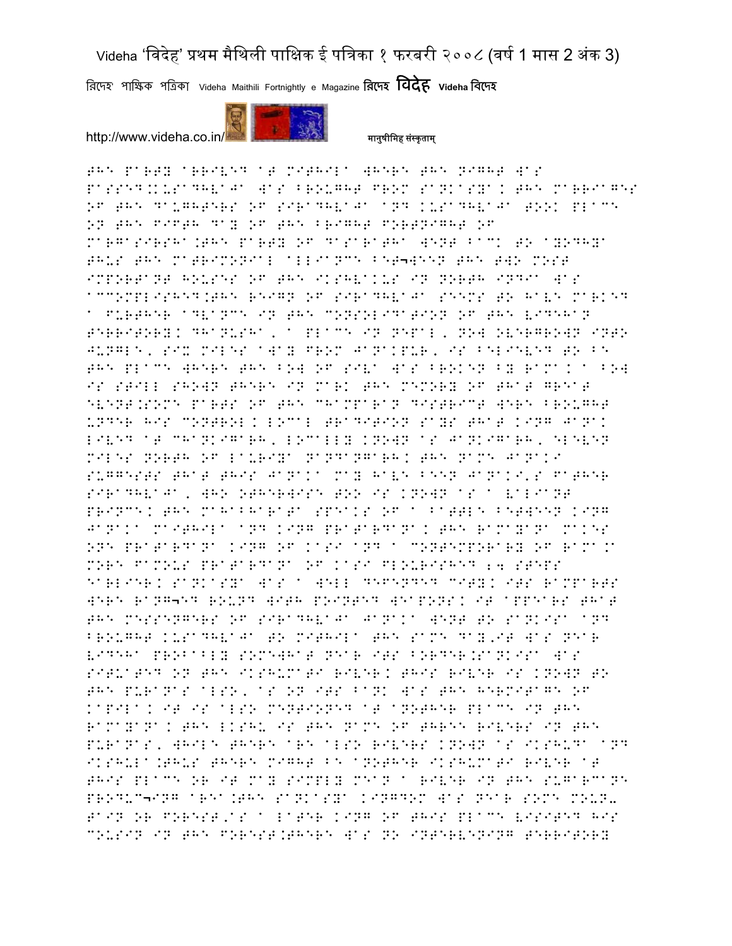Videha 'विदेह' प्रथम मैथिली पाक्षिक ई पत्रिका १ फरबरी २००८ (वर्ष 1 मास 2 अंक 3) িরেদহ' পািkক পিtকা Videha Maithili Fortnightly e Magazine িরেদহ िवदेह **Videha** িবেদহ

http://www.videha.co.in/ મહિને માનવિધાની માનવીમિદ संस्कृताम्

THE PARTY ARRIVED AT MITHILA WHERE THE NIGHT WAS PASSED.KUSADHVAJA WAS BROUGHT FROM SANKASYA. THE MARRIAGES OF THE DAUGHTERS OF SIRADHVAJA AND KUSADHVAJA TOOK PLACE ON THE FIFTH DAY OF THE BRIGHT FORTNIGHT OF MARGASIRSHA.THE PARTY OF DASARATHA WENT BACK TO AYODHYA THUS THE MATRIMONIAL ALLIANCE BET**¬**WEEN THE TWO MOST IMPORTANT HOUSES OF THE IKSHVAKUS IN NORTH INDIA WAS ACCOMPLISHED.THE REIGN OF SIRADHVAJA SEEMS TO HAVE MARKED A FURTHER ADVANCE IN THE CONSOLIDATION OF THE VIDEHAN TERRITORY. DHANUSHA, A PLACE IN NEPAL, NOW OVERGROWN INTO JUNGLE, SIX MILES AWAY FROM JANAKPUR, IS BELIEVED TO BE THE PLACE WHERE THE BOW OF SIVA WAS BROKEN BY RAMA. A BOW IS STILL SHOWN THERE IN MARK THE MEMORY OF THAT GREAT EVENT.SOME PARTS OF THE CHAMPARAN DISTRICT WERE BROUGHT UNDER HIS CONTROL. LOCAL TRADITION SAYS THAT KING JANAK LIVED AT CHANKIGARH, LOCALLY KNOWN AS JANKIGARH, ELEVEN MILES NORTH OF LAURING NORTH OF LAURINA NAME JANAKI SUGGESTS THAT THIS JANAKA MAY HAVE BEEN JANAKA MAY HAVE SIRADHVAJA, WHO OTHERWISE TOO IS KNOWN AS A VALIANT PRINCE. THE MAHABHARATA SPEAKS OF A BATTLE BETWEEN KING JANAKA MAITHILA AND KING PRATARDANA. THE RAMAYANA MAKES ONE PRATARDANA KING OF KASI AND A CONTEMPORARY OF RAMA.A MORE FAMOUS PRATARDANA OF KASI FLOURISHED 24 STEPS EARLIER. SANKASYA WAS A WELL DEFENDED CITY. ITS RAMPARTS WERE RANG**¬**ED ROUND WITH POINTED WEAPONS. IT APPEARS THAT THE MESSENGERS OF SIRADHVAJA JANAKA WENT TO SANKISA AND BROUGHT KUSADHVAJA TO MITHILA THE SAME DAY,IT WAS NEAR VIDEHA PROBABLY SOMEWHAT NEAR ITS BORDER.SANKISA WAS SITUATED ON THE IKSHUMATI RIVER. THIS RIVER IS KNOWN TO THE PURANAS ALSO, AS ON ITS BANK WAS THE HERMITAGE OF KAPILA. IT IS ALSO MENTIONED AT ANOTHER PLACE IN THE RAMAYANA. THE LKSHU IS THE NAME OF THREE RIVERS IN THE PURANAS, WHILE THERE ARE ALSO RIVERS KNOWN AS IKSHUDA AND IKSHULA.THUS THERE MIGHT BE ANOTHER IKSHUMATI RIVER AT THIS PLACE OR IT MAY SIMPLY MEAN A RIVER IN THE SUGARCANE PRODUC**¬**ING AREA.THE SANKASYA KINGDOM WAS NEAR SOME MOUN-TAIN OR FOREST,AS A LATER KING OF THIS PLACE VISITED HIS COUSIN IN THE FOREST.THERE WAS NO INTERVENING TERRITORY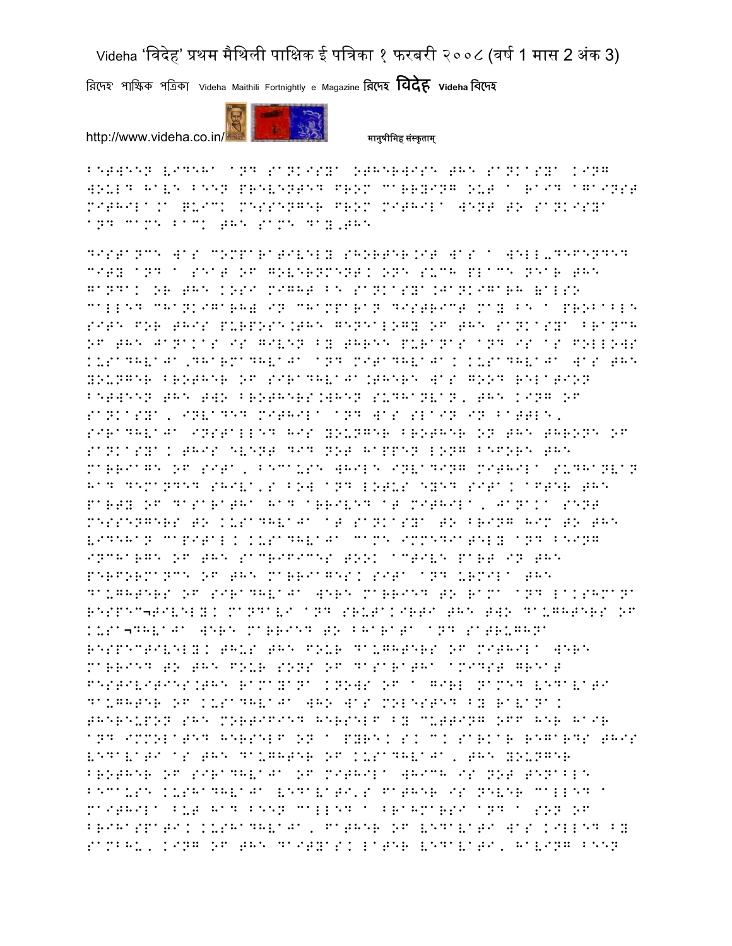িরেদহ' পািkক পিtকা Videha Maithili Fortnightly e Magazine িরেদহ िवदेह **Videha** িবেদহ

http://www.videha.co.in/ मानुषीमिह संस्कृताम्



BETWEEN VIDEHA AND SANKISYA OTHERWISE THE SANKASYA KING WOULD HAVE BEEN PREVENT TO BEEN POSSES OUT A RAID AGAINST MITHILA.A QUICK MESSENGER FROM MITHILA WENT TO SANKISYA AND CAME BACK THE SAME DAY,THE

DISTANCE WAS COMPARATIVELY SHORTER.IT WAS A WELL-DEFENDED CITY AND A SEAT OF GOVERNMENT. ONE SUCH PLACE NEAR THE GANDAK OR THE KOSI MIGHT BE SANKASYA.JANKIGARH (ALSO CALLED CHANKIGARH) IN CHAMPARAN DISTRICT MAY BE A PROBABLE SITE FOR THIS PURPOSE.THE GENEALOGY OF THE SANKASYA BRANCH OF THE JANAKAS IS GIVEN BY THREE PURANAS AND IS AS FOLLOWS KUSADHVAJA, DHARMADHVAJA, DHARMADHVAJA, KUSADHVAJA WAS THE MAJA YOUNGER BROTHER OF SIRADHVAJA.THERE WAS GOOD RELATION BETWEEN THE TWO BROTHERS.WHEN SUDHANVAN, THE KING OF SANKASYA, INVADED MITHILA AND WAS SLAIN IN BATTLE, SIRADHVAJA INSTALLED HIS YOUNGER BROTHER ON THE THRONE OF SANKASYA. THIS EVENT DID NOT HAPPEN LONG BEFORE THE MARRIAGE OF SITA, BECAUSE WHILE INVADING MITHILA SUDHANVAN HAD DEMANDED SHIVA'S BOW AND LOTUS EYED SITA. AFTER THE PARTY OF DASARATHA HAD ARRIVED AT MITHILA, JANAKA SENT MESSENGERS TO KUSADHVAJA AT SANKASYA TO BRING HIM TO THE VIDEHAN CAPITAL. KUSADHVAJA CAME IMMEDIATELY AND BEING INCHARGE OF THE SACRIFICES TOOK ACTIVE PART IN THE PERFORMANCE OF THE MARRIAGES. SITA AND URMILA THE DAUGHTERS OF SIRADHVAJA WERE MARRIED TO RAMA AND LAKSHMANA RESPEC**¬**TIVELY. MANDAVI AND SRUTAKIRTI THE TWO DAUGHTERS OF KUSA**¬**DHVAJA WERE MARRIED TO BHARATA AND SATRUGHNA RESPECTIVELY. THUS THE FOUR DAUGHTERS OF MITHILA WERE MARRIED TO THE FOUR SONS OF DASARATHA AMIDST GREAT FESTIVITIES.THE RAMAYANA KNOWS OF A GIRL NAMED VEDAVATI DAUGHTER OF KUSADHVAJA WHO WAS MOLESTED BY RAVANA. THEREUPON SHE MORTIFIED HERSELF BY CUTTING OFF HER HAIR AND IMMOLATED HERSELF ON A PYRE. S. C. SARKAR REGARDS THIS VEDAVATI AS THE DAUGHTER OF KUSADHVAJA, THE YOUNGER BROTHER OF SIRADHUAL OF MITHILA WHICH IS NOT TENABLE BECAUSE KUSHADHER IS FATHER IS FATHER IS NEVER CALLED AT A MAITHILA BUT HAD BEEN CALLED A BRAHMARSI AND A SON OF BRIHASPATI. KUSHADHUAJA, FATHER OF VEDAVATI BY SATISTI BY BY SAMBHU, KING OF THE DAITYAS. LATER VEDAVATI, HAVING BEEN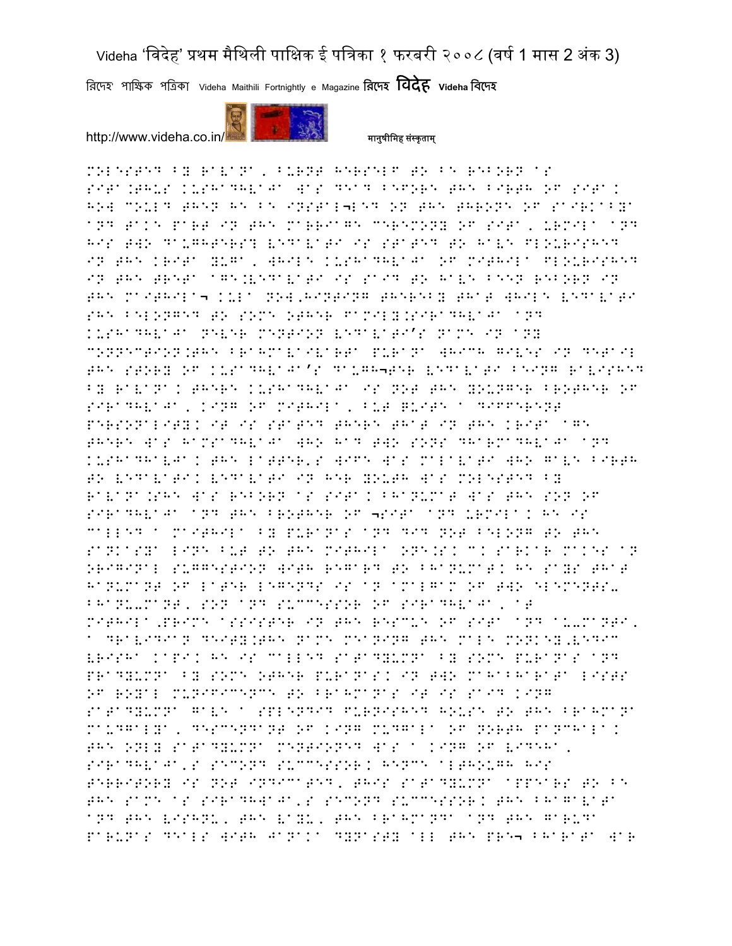MOLESTED BY RAVANA, BURNT HERSELF TO BE REBORN AS SITA DEAD KUSHIDALIA WAS DEAD BEFORE THE BIRTH OF SITA. HOW COULD THEN HE BE INSTAL**¬**LED ON THE THRONE OF SAIRKABYA AND TAKE PART IN THE MARRIAGE CEREMONY OF SITA, URMILA AND HIS TWO DAUGHTERS? IS STATED TO THE FLOW TO HAVE FLOURISHED IN THE KRITA YUGA, WHILE KUSHADHVAJA OF MITHILA FLOURISHED IN THE TRETA AGE.VEDAVATI IS SAID TO HAVE BEEN REBORN IN THE MAITHILA**¬** KULA NOW,HINTING THEREBY THAT WHILE VEDAVATI SHE BELONGED TO SOME OTHER FAMILY.SIRADHVAJA AND KUSHADHVAJA NEVER MENTION VEDAVATI**'**S NAME IN ANY CONNECTION.THE BRAHMAVAIVARTA PURANA WHICH GIVES IN DETAIL THE STORY OF KUSADHVAJA**'**S DAUGH**¬**TER VEDAVATI BEING RAVISHED BY RAVANA. THERE KUSHADHVAJA IS NOT THE YOUNGER BROTHER OF SIRADHVAJA, KING OF MITHILA, BUT QUITE A DIFFERENT PERSONALITY. IT IS STATED THERE THAT IN THE KRITA AGE THERE WAS HAMSADHVAJA WHO HAD TWO SONS DHARMADHVAJA AND KUSHADHAVJA. THE LATTER'S WIFE WAS MALAVATI WHO GAVE BIRTH TO VEDAVATI. VEDAVATI IN HER YOUTH WAS MOLESTED BY RAVANA.SHE WAS REBORN AS SITA. BHANUMAT WAS THE SON OF SIRADHVAJA AND THE BROTHER OF **¬**SITA AND URMILA. HE IS CALLED A MAITHILA BY PURANAS AND DID NOT BELONG TO THE SANKASYA LINE BUT TO THE MITHILA ONE.S. C. SARKAR MAKES AN ORIGINAL SUGGESTION WITH REGARD TO BHANUMAT. HE SAYS THAT HANUMANT OF LATER LEGENDS IS AN AMALGAM OF TWO ELEMENTS-BHANU-MANT, SON AND SUCCESSOR OF SIRADHVAJA, AT MITHILA,PRIME ASSISTED IN THE RESOLUTION OF SITE AND AUGUST AT  $\epsilon$ A DRAVIDIAN DEITY.THE NAME MEANING THE MALE MONKEY,VEDIC VRISHA KAPI. HE IS CALLED SATADYUMNA BY SOME PURANAS AND PRADYUMNA BY SOME OTHER PURANAS. IN TWO MAHABHARATA LISTS OF ROYAL MUNIFICENCE TO BRAHMANAS IT IS SAID KING SATADYUMNA GAVE A SPLENDID FURNISHED HOUSE TO THE BRAHMANA MAUDGALYA, DESCENDANT OF KING MUDGALA OF NORTH PANCHALA. THE ONLY SATADYUMNA MENTIONED WAS A KING OF VIDEHA, SIRADHUS SIRADHUS SUCCESSOR. HENCE ALTHOUGH HIS TERRITORY IS NOT INDICATED, THIS SATADYUMNA APPEARS TO BE THE SAME AS SIRADHWAJA'S SECOND SUCCESSOR. THE BHAGAVATA AND THE VISHNU, THE VAYU, THE BRAHMANDA AND THE GARUDA PARUNAS DEALS WITH JANAKA DYNASTY ALL THE PRE**¬** BHARATA WAR

http://www.videha.co.in/ मानुषीमिह संस्कृताम्



িরেদহ' পািkক পিtকা Videha Maithili Fortnightly e Magazine িরেদহ िवदेह **Videha** িবেদহ

Videha 'विदेह' प्रथम मैथिली पाक्षिक ई पत्रिका १ फरबरी २००८ (वर्ष 1 मास 2 अंक 3)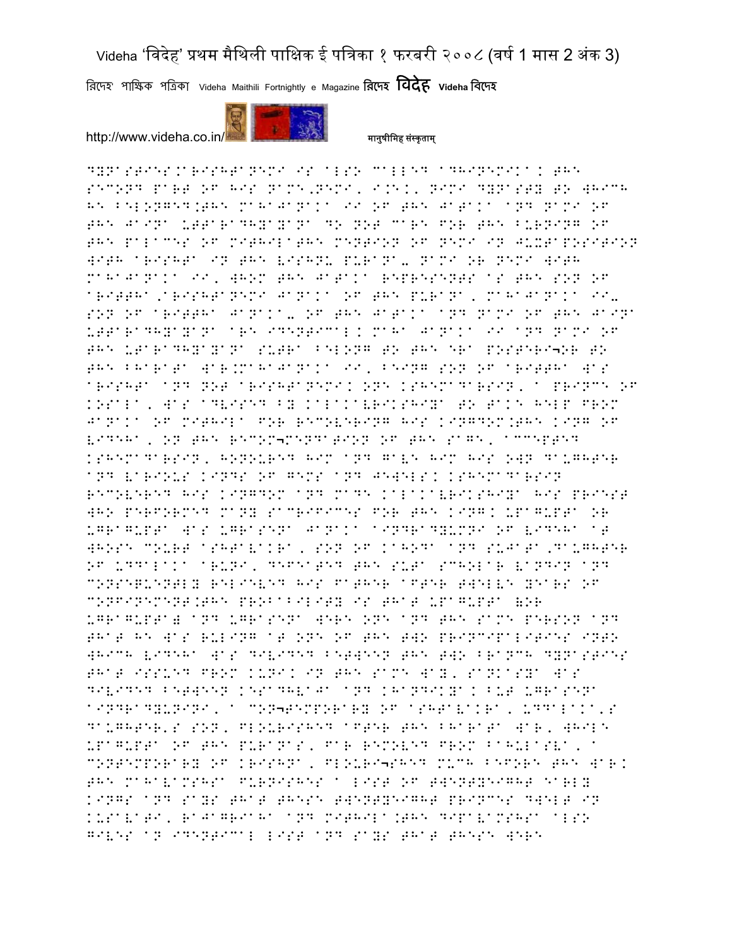িরেদহ' পািkক পিtকা Videha Maithili Fortnightly e Magazine িরেদহ िवदेह **Videha** িবেদহ

http://www.videha.co.in/ મહિને માનવિધાની માનવીમિદ संस्कृताम्



DYNASTIES.ARISHTANEMI IS ALSO CALLED ADHINEMIKA. THE SECOND PART OF HIS NAME,NEMI, I.E., NIMI DYNASTY TO WHICH HE BELONGED.THE MAHAJANAKA II OF THE JATAKA AND NAMI OF THE JAINA UTTARADHYAYANA DO NOT CARE FOR THE BURNING OF THE PALACES OF MITHILATHE MENTION OF NEMI IN JUXTAPOSITION WITH ARISHTA IN THE VISIT PURANA IN THE VISH OR NEW MAHAJANAKA II, WHOM THE JATAKA REPRESENTS AS THE SON OF ARITTHA,ARISHTANEMI JANAKA OF THE PURANA, MAHAJANAKA II-SON OF ARITTHA JANAKA- OF THE JATAKA AND NAMI OF THE JAINA UTTARADHYAYANA ARE IDENTICAL. MAHA JANAKA II AND NAMI OF THE UTARADHYAYANA SUTRA BELONG TO THE ERA POSTERI**¬**OR TO THE BHARATA WAR.MAHAJANAKA II, BEING SON OF ARITTHA WAS ARISHTA AND NOT ARISHTANEMI. ONE KSHEMADARSIN, A PRINCE OF KOSALA, WAS ADVISED BY KALAKAVRIKSHIYA TO TAKE HELP FROM JANAKA OF MITHILA FOR RECOVERING HIS KINGDOM.THE KING OF VIDEHA, ON THE RECOM**¬**MENDATION OF THE SAGE, ACCEPTED KSHEMADARSIN, HONOURED HIM AND GAVE HIM HIS OWN DAUGHTER AND VARIOUS KINDS OF GEMS AND JEWELS. KSHEMADARSIN RECOVERED HIS KINGDOM AND MADE KALAKAVRIKSHIYA HIS PRIEST WHO PERFORMED MANY SACRIFICES FOR THE KING. UPAGUPTA OR UGRAGUPTA WAS UGRASENA JANAKA AINDRADYUMNI OF VIDEHA AT WHOSE COURT ASHTAVAKRA, SON OF KAHOL AND SUJATA, SUJATA, SUJATA, OF UDDALAKA ARUNI, DEFEATED THE SUTA SCHOLAR VANDIN AND CONSEQUENTLY RELIEVED HIS FATHER AFTER TWELVE YEARS OF CONFINEMENT.THE PROBABILITY IS THAT UPAGUPTA (OR UGRAGUPTA) AND UGRASENA WERE ONE AND THE SAME PERSON AND THAT HE WAS RULING AT ONE OF THE TWO PRINCIPALITIES INTO WHICH VIDEHA WAS DIVIDED BETWEEN THE TWO BRANCH DIVIDENT THAT ISSUED FROM KUNI THE SAME WAY, SANKASYA WAS SAME WAY, SANKASYA WAS SAME WAS SAN DIVIDED BETWEEN KESADHVAJA AND KHANDIKYA. BUT UGRASENA AINDRADYUNINI, A CON**¬**TEMPORARY OF ASHTAVAKRA, UDDALAKA'S DAUGHTER'S SON, FLOURISHED AFTER THE BHARATA WAR, WHILE UPAGUPTA OF THE PURANAS, FAR REMOVED FROM BAHULASVA, A CONTEMPORARY OF KRISHNA, FLOURI**¬**SHED MUCH BEFORE THE WAR. THE MAHAVAMSHSA FURNISHES A LIST OF TWENTYEIGHT EARLY KINGS AND SAYS THAT THE TWENTY THAT THE TWENTY IN THE TWENTY KUSAVATI, RAJAGRIAHA AND MITHILA.THE DIPAVAMSHSA AND MITHILA.THE DIPAVAMSHSA ALSO BIGS AN INDEPENDENTICAL LIST AND SAYS THE THESE WERE SAYS THAT THE SAYS THAT THE SAYS THAT THE SAYS THAT THE S